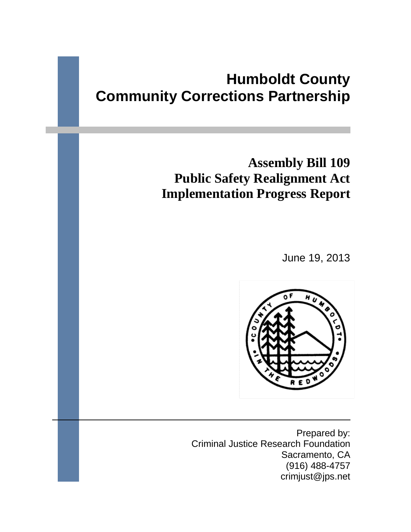# **Humboldt County Community Corrections Partnership**

# **Assembly Bill 109 Public Safety Realignment Act Implementation Progress Report**

June 19, 2013



Prepared by: Criminal Justice Research Foundation Sacramento, CA (916) 488-4757 crimjust@jps.net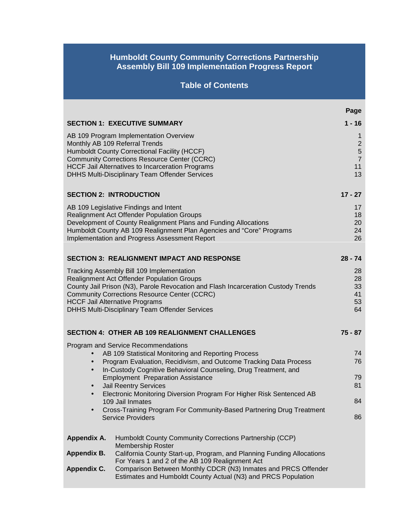## **Humboldt County Community Corrections Partnership Assembly Bill 109 Implementation Progress Report**

# **Table of Contents**

|                                       |                                                                                                                                                                                                                                                                                                                                                                                                                                                                                                                | Page                                                 |
|---------------------------------------|----------------------------------------------------------------------------------------------------------------------------------------------------------------------------------------------------------------------------------------------------------------------------------------------------------------------------------------------------------------------------------------------------------------------------------------------------------------------------------------------------------------|------------------------------------------------------|
|                                       | <b>SECTION 1: EXECUTIVE SUMMARY</b>                                                                                                                                                                                                                                                                                                                                                                                                                                                                            | $1 - 16$                                             |
| Monthly AB 109 Referral Trends        | AB 109 Program Implementation Overview<br>Humboldt County Correctional Facility (HCCF)<br><b>Community Corrections Resource Center (CCRC)</b>                                                                                                                                                                                                                                                                                                                                                                  | $\mathbf 1$<br>$\overline{c}$<br>5<br>$\overline{7}$ |
|                                       | <b>HCCF Jail Alternatives to Incarceration Programs</b><br>DHHS Multi-Disciplinary Team Offender Services                                                                                                                                                                                                                                                                                                                                                                                                      | 11<br>13                                             |
| <b>SECTION 2: INTRODUCTION</b>        |                                                                                                                                                                                                                                                                                                                                                                                                                                                                                                                | $17 - 27$                                            |
|                                       | AB 109 Legislative Findings and Intent<br><b>Realignment Act Offender Population Groups</b><br>Development of County Realignment Plans and Funding Allocations<br>Humboldt County AB 109 Realignment Plan Agencies and "Core" Programs<br>Implementation and Progress Assessment Report                                                                                                                                                                                                                        | 17<br>18<br>20<br>24<br>26                           |
|                                       | <b>SECTION 3: REALIGNMENT IMPACT AND RESPONSE</b>                                                                                                                                                                                                                                                                                                                                                                                                                                                              | $28 - 74$                                            |
| <b>HCCF Jail Alternative Programs</b> | Tracking Assembly Bill 109 Implementation<br>Realignment Act Offender Population Groups<br>County Jail Prison (N3), Parole Revocation and Flash Incarceration Custody Trends<br><b>Community Corrections Resource Center (CCRC)</b><br><b>DHHS Multi-Disciplinary Team Offender Services</b>                                                                                                                                                                                                                   | 28<br>28<br>33<br>41<br>53<br>64                     |
|                                       | <b>SECTION 4: OTHER AB 109 REALIGNMENT CHALLENGES</b>                                                                                                                                                                                                                                                                                                                                                                                                                                                          | $75 - 87$                                            |
| ٠                                     | Program and Service Recommendations<br>AB 109 Statistical Monitoring and Reporting Process<br>Program Evaluation, Recidivism, and Outcome Tracking Data Process<br>In-Custody Cognitive Behavioral Counseling, Drug Treatment, and<br><b>Employment Preparation Assistance</b><br><b>Jail Reentry Services</b><br>Electronic Monitoring Diversion Program For Higher Risk Sentenced AB<br>109 Jail Inmates<br>Cross-Training Program For Community-Based Partnering Drug Treatment<br><b>Service Providers</b> | 74<br>76<br>79<br>81<br>84<br>86                     |
| Appendix A.                           | Humboldt County Community Corrections Partnership (CCP)                                                                                                                                                                                                                                                                                                                                                                                                                                                        |                                                      |
| Appendix B.<br><b>Appendix C.</b>     | <b>Membership Roster</b><br>California County Start-up, Program, and Planning Funding Allocations<br>For Years 1 and 2 of the AB 109 Realignment Act<br>Comparison Between Monthly CDCR (N3) Inmates and PRCS Offender<br>Estimates and Humboldt County Actual (N3) and PRCS Population                                                                                                                                                                                                                        |                                                      |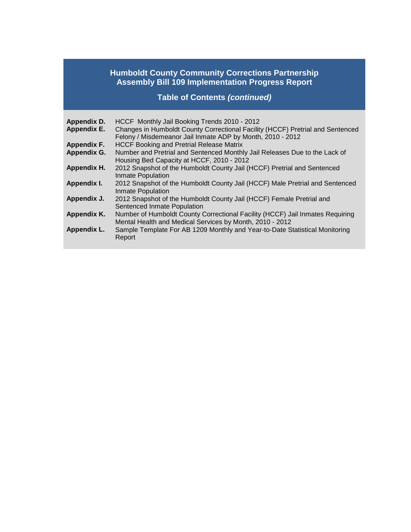## **Humboldt County Community Corrections Partnership Assembly Bill 109 Implementation Progress Report**

**Table of Contents** *(continued)*

| Appendix D.<br><b>Appendix E.</b> | HCCF Monthly Jail Booking Trends 2010 - 2012<br>Changes in Humboldt County Correctional Facility (HCCF) Pretrial and Sentenced<br>Felony / Misdemeanor Jail Inmate ADP by Month, 2010 - 2012 |
|-----------------------------------|----------------------------------------------------------------------------------------------------------------------------------------------------------------------------------------------|
| Appendix F.                       | <b>HCCF Booking and Pretrial Release Matrix</b>                                                                                                                                              |
| Appendix G.                       | Number and Pretrial and Sentenced Monthly Jail Releases Due to the Lack of<br>Housing Bed Capacity at HCCF, 2010 - 2012                                                                      |
| Appendix H.                       | 2012 Snapshot of the Humboldt County Jail (HCCF) Pretrial and Sentenced<br>Inmate Population                                                                                                 |
| Appendix I.                       | 2012 Snapshot of the Humboldt County Jail (HCCF) Male Pretrial and Sentenced<br>Inmate Population                                                                                            |
| Appendix J.                       | 2012 Snapshot of the Humboldt County Jail (HCCF) Female Pretrial and<br>Sentenced Inmate Population                                                                                          |
| Appendix K.                       | Number of Humboldt County Correctional Facility (HCCF) Jail Inmates Requiring<br>Mental Health and Medical Services by Month, 2010 - 2012                                                    |
| Appendix L.                       | Sample Template For AB 1209 Monthly and Year-to-Date Statistical Monitoring<br>Report                                                                                                        |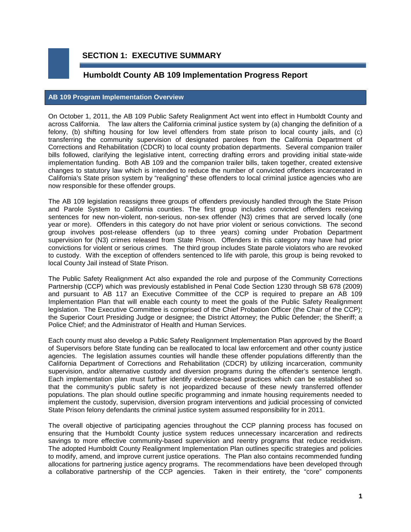## **SECTION 1: EXECUTIVE SUMMARY**

## **Humboldt County AB 109 Implementation Progress Report**

#### **AB 109 Program Implementation Overview**

On October 1, 2011, the AB 109 Public Safety Realignment Act went into effect in Humboldt County and across California. The law alters the California criminal justice system by (a) changing the definition of a felony, (b) shifting housing for low level offenders from state prison to local county jails, and (c) transferring the community supervision of designated parolees from the California Department of Corrections and Rehabilitation (CDCR) to local county probation departments. Several companion trailer bills followed, clarifying the legislative intent, correcting drafting errors and providing initial state-wide implementation funding. Both AB 109 and the companion trailer bills, taken together, created extensive changes to statutory law which is intended to reduce the number of convicted offenders incarcerated in California's State prison system by "realigning" these offenders to local criminal justice agencies who are now responsible for these offender groups.

The AB 109 legislation reassigns three groups of offenders previously handled through the State Prison and Parole System to California counties. The first group includes convicted offenders receiving sentences for new non-violent, non-serious, non-sex offender (N3) crimes that are served locally (one year or more). Offenders in this category do not have prior violent or serious convictions. The second group involves post-release offenders (up to three years) coming under Probation Department supervision for (N3) crimes released from State Prison. Offenders in this category may have had prior convictions for violent or serious crimes. The third group includes State parole violators who are revoked to custody. With the exception of offenders sentenced to life with parole, this group is being revoked to local County Jail instead of State Prison.

The Public Safety Realignment Act also expanded the role and purpose of the Community Corrections Partnership (CCP) which was previously established in Penal Code Section 1230 through SB 678 (2009) and pursuant to AB 117 an Executive Committee of the CCP is required to prepare an AB 109 Implementation Plan that will enable each county to meet the goals of the Public Safety Realignment legislation. The Executive Committee is comprised of the Chief Probation Officer (the Chair of the CCP); the Superior Court Presiding Judge or designee; the District Attorney; the Public Defender; the Sheriff; a Police Chief; and the Administrator of Health and Human Services.

Each county must also develop a Public Safety Realignment Implementation Plan approved by the Board of Supervisors before State funding can be reallocated to local law enforcement and other county justice agencies. The legislation assumes counties will handle these offender populations differently than the California Department of Corrections and Rehabilitation (CDCR) by utilizing incarceration, community supervision, and/or alternative custody and diversion programs during the offender's sentence length. Each implementation plan must further identify evidence-based practices which can be established so that the community's public safety is not jeopardized because of these newly transferred offender populations. The plan should outline specific programming and inmate housing requirements needed to implement the custody, supervision, diversion program interventions and judicial processing of convicted State Prison felony defendants the criminal justice system assumed responsibility for in 2011.

The overall objective of participating agencies throughout the CCP planning process has focused on ensuring that the Humboldt County justice system reduces unnecessary incarceration and redirects savings to more effective community-based supervision and reentry programs that reduce recidivism. The adopted Humboldt County Realignment Implementation Plan outlines specific strategies and policies to modify, amend, and improve current justice operations. The Plan also contains recommended funding allocations for partnering justice agency programs. The recommendations have been developed through a collaborative partnership of the CCP agencies. Taken in their entirety, the "core" components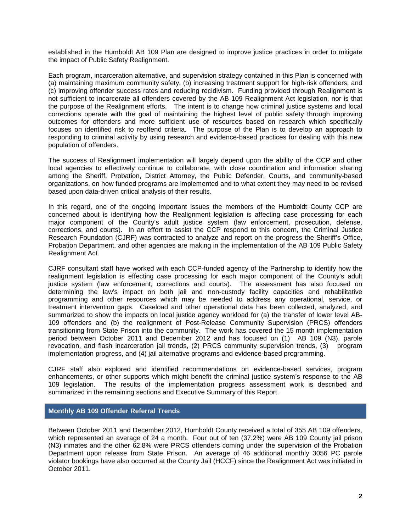established in the Humboldt AB 109 Plan are designed to improve justice practices in order to mitigate the impact of Public Safety Realignment.

Each program, incarceration alternative, and supervision strategy contained in this Plan is concerned with (a) maintaining maximum community safety, (b) increasing treatment support for high-risk offenders, and (c) improving offender success rates and reducing recidivism. Funding provided through Realignment is not sufficient to incarcerate all offenders covered by the AB 109 Realignment Act legislation, nor is that the purpose of the Realignment efforts. The intent is to change how criminal justice systems and local corrections operate with the goal of maintaining the highest level of public safety through improving outcomes for offenders and more sufficient use of resources based on research which specifically focuses on identified risk to reoffend criteria. The purpose of the Plan is to develop an approach to responding to criminal activity by using research and evidence-based practices for dealing with this new population of offenders.

The success of Realignment implementation will largely depend upon the ability of the CCP and other local agencies to effectively continue to collaborate, with close coordination and information sharing among the Sheriff, Probation, District Attorney, the Public Defender, Courts, and community-based organizations, on how funded programs are implemented and to what extent they may need to be revised based upon data-driven critical analysis of their results.

In this regard, one of the ongoing important issues the members of the Humboldt County CCP are concerned about is identifying how the Realignment legislation is affecting case processing for each major component of the County's adult justice system (law enforcement, prosecution, defense, corrections, and courts). In an effort to assist the CCP respond to this concern, the Criminal Justice Research Foundation (CJRF) was contracted to analyze and report on the progress the Sheriff's Office, Probation Department, and other agencies are making in the implementation of the AB 109 Public Safety Realignment Act.

CJRF consultant staff have worked with each CCP-funded agency of the Partnership to identify how the realignment legislation is effecting case processing for each major component of the County's adult justice system (law enforcement, corrections and courts). The assessment has also focused on determining the law's impact on both jail and non-custody facility capacities and rehabilitative programming and other resources which may be needed to address any operational, service, or treatment intervention gaps. Caseload and other operational data has been collected, analyzed, and summarized to show the impacts on local justice agency workload for (a) the transfer of lower level AB-109 offenders and (b) the realignment of Post-Release Community Supervision (PRCS) offenders transitioning from State Prison into the community. The work has covered the 15 month implementation period between October 2011 and December 2012 and has focused on (1) AB 109 (N3), parole revocation, and flash incarceration jail trends, (2) PRCS community supervision trends, (3) program implementation progress, and (4) jail alternative programs and evidence-based programming.

CJRF staff also explored and identified recommendations on evidence-based services, program enhancements, or other supports which might benefit the criminal justice system's response to the AB 109 legislation. The results of the implementation progress assessment work is described and summarized in the remaining sections and Executive Summary of this Report.

#### **Monthly AB 109 Offender Referral Trends**

Between October 2011 and December 2012, Humboldt County received a total of 355 AB 109 offenders, which represented an average of 24 a month. Four out of ten (37.2%) were AB 109 County jail prison (N3) inmates and the other 62.8% were PRCS offenders coming under the supervision of the Probation Department upon release from State Prison. An average of 46 additional monthly 3056 PC parole violator bookings have also occurred at the County Jail (HCCF) since the Realignment Act was initiated in October 2011.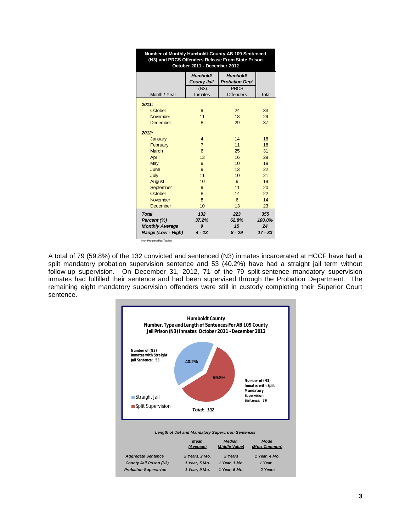| Number of Monthly Humboldt County AB 109 Sentenced<br>(N3) and PRCS Offenders Release From State Prison<br>October 2011 - December 2012 |                                       |                                          |                                  |  |  |  |
|-----------------------------------------------------------------------------------------------------------------------------------------|---------------------------------------|------------------------------------------|----------------------------------|--|--|--|
|                                                                                                                                         | <b>Humboldt</b><br><b>County Jail</b> | <b>Humboldt</b><br><b>Probation Dept</b> |                                  |  |  |  |
|                                                                                                                                         | (N3)                                  | <b>PRCS</b>                              |                                  |  |  |  |
| Month / Year                                                                                                                            | Inmates                               | <b>Offenders</b>                         | Total                            |  |  |  |
| 2011:                                                                                                                                   |                                       |                                          |                                  |  |  |  |
| October                                                                                                                                 | 9                                     | 24                                       | 33                               |  |  |  |
| <b>November</b>                                                                                                                         | 11                                    | 18                                       | 29                               |  |  |  |
| December                                                                                                                                | 8                                     | 29                                       | 37                               |  |  |  |
|                                                                                                                                         |                                       |                                          |                                  |  |  |  |
| 2012:                                                                                                                                   |                                       |                                          |                                  |  |  |  |
| January                                                                                                                                 | $\overline{4}$                        | 14                                       | 18                               |  |  |  |
| February                                                                                                                                | $\overline{7}$                        | 11                                       | 18                               |  |  |  |
| March                                                                                                                                   | 6                                     | 25                                       | 31                               |  |  |  |
| April                                                                                                                                   | 13                                    | 16                                       | 29                               |  |  |  |
| May                                                                                                                                     | 9                                     | 10                                       | 19                               |  |  |  |
| June                                                                                                                                    | 9                                     | 13                                       | 22                               |  |  |  |
| July                                                                                                                                    | 11                                    | 10                                       | 21                               |  |  |  |
| August                                                                                                                                  | 10                                    | 9                                        | 19                               |  |  |  |
| September                                                                                                                               | 9                                     | 11                                       | 20                               |  |  |  |
| October                                                                                                                                 | 8                                     | 14                                       | 22                               |  |  |  |
| <b>November</b>                                                                                                                         | 8                                     | 6                                        | 14                               |  |  |  |
| December                                                                                                                                | 10                                    | 13                                       | 23                               |  |  |  |
| <b>Total</b><br>Percent (%)<br><b>Monthly Average</b><br>Range (Low - High)                                                             | 132<br>37.2%<br>9<br>$4 - 13$         | 223<br>62.8%<br>15<br>$8 - 29$           | 355<br>100.0%<br>24<br>$17 - 33$ |  |  |  |

A total of 79 (59.8%) of the 132 convicted and sentenced (N3) inmates incarcerated at HCCF have had a split mandatory probation supervision sentence and 53 (40.2%) have had a straight jail term without follow-up supervision. On December 31, 2012, 71 of the 79 split-sentence mandatory supervision inmates had fulfilled their sentence and had been supervised through the Probation Department. The remaining eight mandatory supervision offenders were still in custody completing their Superior Court sentence.

HumProgressRpt/Table8

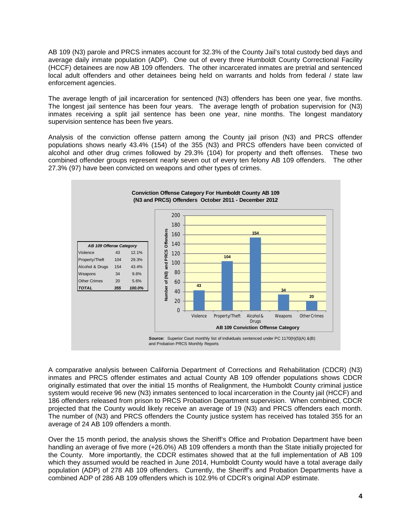AB 109 (N3) parole and PRCS inmates account for 32.3% of the County Jail's total custody bed days and average daily inmate population (ADP). One out of every three Humboldt County Correctional Facility (HCCF) detainees are now AB 109 offenders. The other incarcerated inmates are pretrial and sentenced local adult offenders and other detainees being held on warrants and holds from federal / state law enforcement agencies.

The average length of jail incarceration for sentenced (N3) offenders has been one year, five months. The longest jail sentence has been four years. The average length of probation supervision for (N3) inmates receiving a split jail sentence has been one year, nine months. The longest mandatory supervision sentence has been five years.

Analysis of the conviction offense pattern among the County jail prison (N3) and PRCS offender populations shows nearly 43.4% (154) of the 355 (N3) and PRCS offenders have been convicted of alcohol and other drug crimes followed by 29.3% (104) for property and theft offenses. These two combined offender groups represent nearly seven out of every ten felony AB 109 offenders. The other 27.3% (97) have been convicted on weapons and other types of crimes.



A comparative analysis between California Department of Corrections and Rehabilitation (CDCR) (N3) inmates and PRCS offender estimates and actual County AB 109 offender populations shows CDCR originally estimated that over the initial 15 months of Realignment, the Humboldt County criminal justice system would receive 96 new (N3) inmates sentenced to local incarceration in the County jail (HCCF) and 186 offenders released from prison to PRCS Probation Department supervision. When combined, CDCR projected that the County would likely receive an average of 19 (N3) and PRCS offenders each month. The number of (N3) and PRCS offenders the County justice system has received has totaled 355 for an average of 24 AB 109 offenders a month.

Over the 15 month period, the analysis shows the Sheriff's Office and Probation Department have been handling an average of five more (+26.0%) AB 109 offenders a month than the State initially projected for the County. More importantly, the CDCR estimates showed that at the full implementation of AB 109 which they assumed would be reached in June 2014, Humboldt County would have a total average daily population (ADP) of 278 AB 109 offenders. Currently, the Sheriff's and Probation Departments have a combined ADP of 286 AB 109 offenders which is 102.9% of CDCR's original ADP estimate.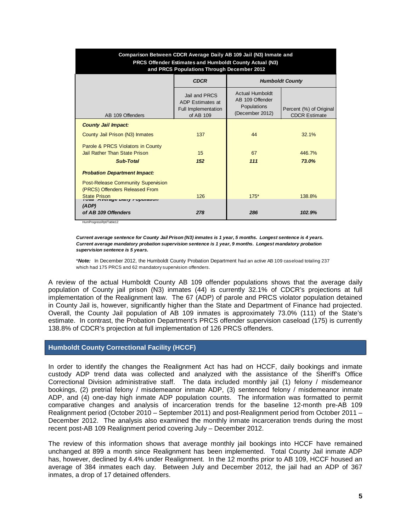| Comparison Between CDCR Average Daily AB 109 Jail (N3) Inmate and<br><b>PRCS Offender Estimates and Humboldt County Actual (N3)</b><br>and PRCS Populations Through December 2012 |                                                                       |                                                                             |                                                 |  |  |  |
|-----------------------------------------------------------------------------------------------------------------------------------------------------------------------------------|-----------------------------------------------------------------------|-----------------------------------------------------------------------------|-------------------------------------------------|--|--|--|
|                                                                                                                                                                                   | <b>CDCR</b>                                                           | <b>Humboldt County</b>                                                      |                                                 |  |  |  |
| AB 109 Offenders                                                                                                                                                                  | Jail and PRCS<br>ADP Estimates at<br>Full Implementation<br>of AB 109 | <b>Actual Humboldt</b><br>AB 109 Offender<br>Populations<br>(December 2012) | Percent (%) of Original<br><b>CDCR Estimate</b> |  |  |  |
| <b>County Jail Impact:</b>                                                                                                                                                        |                                                                       |                                                                             |                                                 |  |  |  |
| County Jail Prison (N3) Inmates                                                                                                                                                   | 137                                                                   | 44                                                                          | 32.1%                                           |  |  |  |
| Parole & PRCS Violators in County<br><b>Jail Rather Than State Prison</b><br><b>Sub-Total</b>                                                                                     | 15<br>152                                                             | 67<br>111                                                                   | 446.7%<br>73.0%                                 |  |  |  |
| <b>Probation Department Impact:</b>                                                                                                                                               |                                                                       |                                                                             |                                                 |  |  |  |
| <b>Post-Release Community Supervision</b><br>(PRCS) Offenders Released From<br><b>State Prison</b>                                                                                | 126                                                                   | $175*$                                                                      | 138.8%                                          |  |  |  |
| Averaye Dairy rupuration<br>(ADP)<br>of AB 109 Offenders                                                                                                                          | 278                                                                   | 286                                                                         | 102.9%                                          |  |  |  |

HumProgressRpt/Table12

*Current average sentence for County Jail Prison (N3) inmates is 1 year, 5 months. Longest sentence is 4 years. Current average mandatory probation supervision sentence is 1 year, 9 months. Longest mandatory probation supervision sentence is 5 years.*

\**Note:* In December 2012, the Humboldt County Probation Department had an active AB 109 caseload totaling 237 which had 175 PRCS and 62 mandatory supervision offenders.

A review of the actual Humboldt County AB 109 offender populations shows that the average daily population of County jail prison (N3) inmates (44) is currently 32.1% of CDCR's projections at full implementation of the Realignment law. The 67 (ADP) of parole and PRCS violator population detained in County Jail is, however, significantly higher than the State and Department of Finance had projected. Overall, the County Jail population of AB 109 inmates is approximately 73.0% (111) of the State's estimate. In contrast, the Probation Department's PRCS offender supervision caseload (175) is currently 138.8% of CDCR's projection at full implementation of 126 PRCS offenders.

#### **Humboldt County Correctional Facility (HCCF)**

In order to identify the changes the Realignment Act has had on HCCF, daily bookings and inmate custody ADP trend data was collected and analyzed with the assistance of the Sheriff's Office Correctional Division administrative staff. The data included monthly jail (1) felony / misdemeanor bookings, (2) pretrial felony / misdemeanor inmate ADP, (3) sentenced felony / misdemeanor inmate ADP, and (4) one-day high inmate ADP population counts. The information was formatted to permit comparative changes and analysis of incarceration trends for the baseline 12-month pre-AB 109 Realignment period (October 2010 – September 2011) and post-Realignment period from October 2011 – December 2012. The analysis also examined the monthly inmate incarceration trends during the most recent post-AB 109 Realignment period covering July – December 2012.

The review of this information shows that average monthly jail bookings into HCCF have remained unchanged at 899 a month since Realignment has been implemented. Total County Jail inmate ADP has, however, declined by 4.4% under Realignment. In the 12 months prior to AB 109, HCCF housed an average of 384 inmates each day. Between July and December 2012, the jail had an ADP of 367 inmates, a drop of 17 detained offenders.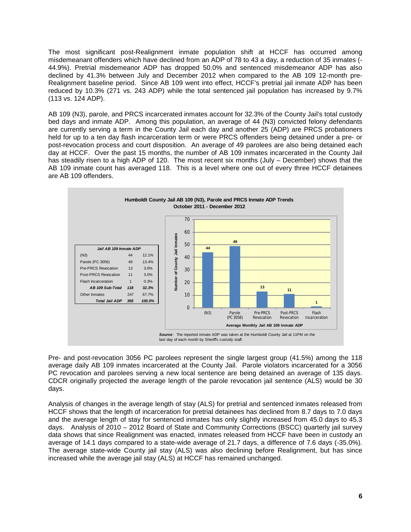The most significant post-Realignment inmate population shift at HCCF has occurred among misdemeanant offenders which have declined from an ADP of 78 to 43 a day, a reduction of 35 inmates (- 44.9%). Pretrial misdemeanor ADP has dropped 50.0% and sentenced misdemeanor ADP has also declined by 41.3% between July and December 2012 when compared to the AB 109 12-month pre-Realignment baseline period. Since AB 109 went into effect, HCCF's pretrial jail inmate ADP has been reduced by 10.3% (271 vs. 243 ADP) while the total sentenced jail population has increased by 9.7% (113 vs. 124 ADP).

AB 109 (N3), parole, and PRCS incarcerated inmates account for 32.3% of the County Jail's total custody bed days and inmate ADP. Among this population, an average of 44 (N3) convicted felony defendants are currently serving a term in the County Jail each day and another 25 (ADP) are PRCS probationers held for up to a ten day flash incarceration term or were PRCS offenders being detained under a pre- or post-revocation process and court disposition. An average of 49 parolees are also being detained each day at HCCF. Over the past 15 months, the number of AB 109 inmates incarcerated in the County Jail has steadily risen to a high ADP of 120. The most recent six months (July – December) shows that the AB 109 inmate count has averaged 118. This is a level where one out of every three HCCF detainees are AB 109 offenders.



Pre- and post-revocation 3056 PC parolees represent the single largest group (41.5%) among the 118 average daily AB 109 inmates incarcerated at the County Jail. Parole violators incarcerated for a 3056 PC revocation and parolees serving a new local sentence are being detained an average of 135 days. CDCR originally projected the average length of the parole revocation jail sentence (ALS) would be 30 days.

Analysis of changes in the average length of stay (ALS) for pretrial and sentenced inmates released from HCCF shows that the length of incarceration for pretrial detainees has declined from 8.7 days to 7.0 days and the average length of stay for sentenced inmates has only slightly increased from 45.0 days to 45.3 days. Analysis of 2010 – 2012 Board of State and Community Corrections (BSCC) quarterly jail survey data shows that since Realignment was enacted, inmates released from HCCF have been in custody an average of 14.1 days compared to a state-wide average of 21.7 days, a difference of 7.6 days (-35.0%). The average state-wide County jail stay (ALS) was also declining before Realignment, but has since increased while the average jail stay (ALS) at HCCF has remained unchanged.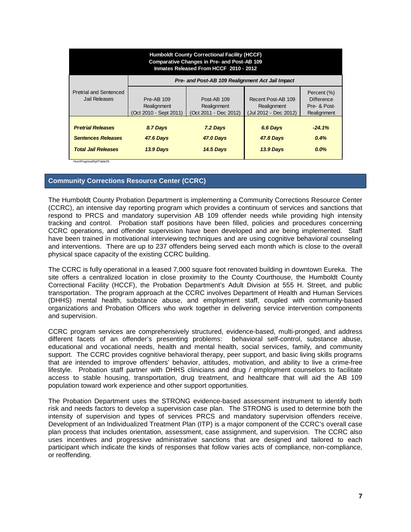| <b>Humboldt County Correctional Facility (HCCF)</b><br><b>Comparative Changes in Pre- and Post-AB 109</b><br>Inmates Released From HCCF 2010 - 2012 |                                                            |                                                     |                                                            |                                                                 |  |  |  |  |
|-----------------------------------------------------------------------------------------------------------------------------------------------------|------------------------------------------------------------|-----------------------------------------------------|------------------------------------------------------------|-----------------------------------------------------------------|--|--|--|--|
|                                                                                                                                                     | Pre- and Post-AB 109 Realignment Act Jail Impact           |                                                     |                                                            |                                                                 |  |  |  |  |
| <b>Pretrial and Sentenced</b><br>Jail Releases                                                                                                      | <b>Pre-AB 109</b><br>Realignment<br>(Oct 2010 - Sept 2011) | Post-AB 109<br>Realignment<br>(Oct 2011 - Dec 2012) | Recent Post-AB 109<br>Realignment<br>(Jul 2012 - Dec 2012) | Percent (%)<br><b>Difference</b><br>Pre- & Post-<br>Realignment |  |  |  |  |
| <b>Pretrial Releases</b><br><b>Sentences Releases</b><br><b>Total Jail Releases</b><br>HumProgressRpt/Table25                                       | 8.7 Days<br><b>47.6 Days</b><br>13.9 Days                  | 7.2 Days<br><b>47.0 Days</b><br><b>14.5 Days</b>    | 6.6 Days<br><b>47.8 Days</b><br>13.9 Days                  | $-24.1%$<br>0.4%<br>$0.0\%$                                     |  |  |  |  |

#### **Community Corrections Resource Center (CCRC)**

The Humboldt County Probation Department is implementing a Community Corrections Resource Center (CCRC), an intensive day reporting program which provides a continuum of services and sanctions that respond to PRCS and mandatory supervision AB 109 offender needs while providing high intensity tracking and control. Probation staff positions have been filled, policies and procedures concerning CCRC operations, and offender supervision have been developed and are being implemented. Staff have been trained in motivational interviewing techniques and are using cognitive behavioral counseling and interventions. There are up to 237 offenders being served each month which is close to the overall physical space capacity of the existing CCRC building.

The CCRC is fully operational in a leased 7,000 square foot renovated building in downtown Eureka. The site offers a centralized location in close proximity to the County Courthouse, the Humboldt County Correctional Facility (HCCF), the Probation Department's Adult Division at 555 H. Street, and public transportation. The program approach at the CCRC involves Department of Health and Human Services (DHHS) mental health, substance abuse, and employment staff, coupled with community-based organizations and Probation Officers who work together in delivering service intervention components and supervision.

CCRC program services are comprehensively structured, evidence-based, multi-pronged, and address different facets of an offender's presenting problems: behavioral self-control, substance abuse, educational and vocational needs, health and mental health, social services, family, and community support. The CCRC provides cognitive behavioral therapy, peer support, and basic living skills programs that are intended to improve offenders' behavior, attitudes, motivation, and ability to live a crime-free lifestyle. Probation staff partner with DHHS clinicians and drug / employment counselors to facilitate access to stable housing, transportation, drug treatment, and healthcare that will aid the AB 109 population toward work experience and other support opportunities.

The Probation Department uses the STRONG evidence-based assessment instrument to identify both risk and needs factors to develop a supervision case plan. The STRONG is used to determine both the intensity of supervision and types of services PRCS and mandatory supervision offenders receive. Development of an Individualized Treatment Plan (ITP) is a major component of the CCRC's overall case plan process that includes orientation, assessment, case assignment, and supervision. The CCRC also uses incentives and progressive administrative sanctions that are designed and tailored to each participant which indicate the kinds of responses that follow varies acts of compliance, non-compliance, or reoffending.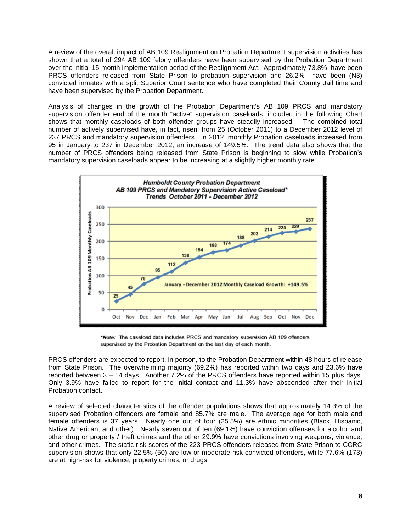A review of the overall impact of AB 109 Realignment on Probation Department supervision activities has shown that a total of 294 AB 109 felony offenders have been supervised by the Probation Department over the initial 15-month implementation period of the Realignment Act. Approximately 73.8% have been PRCS offenders released from State Prison to probation supervision and 26.2% have been (N3) convicted inmates with a split Superior Court sentence who have completed their County Jail time and have been supervised by the Probation Department.

Analysis of changes in the growth of the Probation Department's AB 109 PRCS and mandatory supervision offender end of the month "active" supervision caseloads, included in the following Chart<br>shows that monthly caseloads of both offender groups have steadily increased. The combined total shows that monthly caseloads of both offender groups have steadily increased. number of actively supervised have, in fact, risen, from 25 (October 2011) to a December 2012 level of 237 PRCS and mandatory supervision offenders. In 2012, monthly Probation caseloads increased from 95 in January to 237 in December 2012, an increase of 149.5%. The trend data also shows that the number of PRCS offenders being released from State Prison is beginning to slow while Probation's mandatory supervision caseloads appear to be increasing at a slightly higher monthly rate.



\*Note: The caseload data includes PRCS and mandatory supervision AB 109 offenders supervised by the Probation Department on the last day of each month.

PRCS offenders are expected to report, in person, to the Probation Department within 48 hours of release from State Prison. The overwhelming majority (69.2%) has reported within two days and 23.6% have reported between 3 – 14 days. Another 7.2% of the PRCS offenders have reported within 15 plus days. Only 3.9% have failed to report for the initial contact and 11.3% have absconded after their initial Probation contact.

A review of selected characteristics of the offender populations shows that approximately 14.3% of the supervised Probation offenders are female and 85.7% are male. The average age for both male and female offenders is 37 years. Nearly one out of four (25.5%) are ethnic minorities (Black, Hispanic, Native American, and other). Nearly seven out of ten (69.1%) have conviction offenses for alcohol and other drug or property / theft crimes and the other 29.9% have convictions involving weapons, violence, and other crimes. The static risk scores of the 223 PRCS offenders released from State Prison to CCRC supervision shows that only 22.5% (50) are low or moderate risk convicted offenders, while 77.6% (173) are at high-risk for violence, property crimes, or drugs.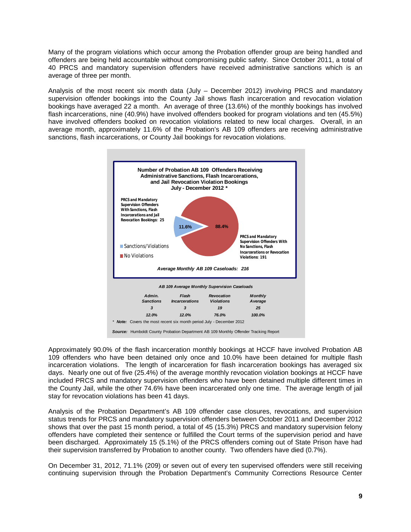Many of the program violations which occur among the Probation offender group are being handled and offenders are being held accountable without compromising public safety. Since October 2011, a total of 40 PRCS and mandatory supervision offenders have received administrative sanctions which is an average of three per month.

Analysis of the most recent six month data (July – December 2012) involving PRCS and mandatory supervision offender bookings into the County Jail shows flash incarceration and revocation violation bookings have averaged 22 a month. An average of three (13.6%) of the monthly bookings has involved flash incarcerations, nine (40.9%) have involved offenders booked for program violations and ten (45.5%) have involved offenders booked on revocation violations related to new local charges. Overall, in an average month, approximately 11.6% of the Probation's AB 109 offenders are receiving administrative sanctions, flash incarcerations, or County Jail bookings for revocation violations.



Approximately 90.0% of the flash incarceration monthly bookings at HCCF have involved Probation AB 109 offenders who have been detained only once and 10.0% have been detained for multiple flash incarceration violations. The length of incarceration for flash incarceration bookings has averaged six days. Nearly one out of five (25.4%) of the average monthly revocation violation bookings at HCCF have included PRCS and mandatory supervision offenders who have been detained multiple different times in the County Jail, while the other 74.6% have been incarcerated only one time. The average length of jail stay for revocation violations has been 41 days.

Analysis of the Probation Department's AB 109 offender case closures, revocations, and supervision status trends for PRCS and mandatory supervision offenders between October 2011 and December 2012 shows that over the past 15 month period, a total of 45 (15.3%) PRCS and mandatory supervision felony offenders have completed their sentence or fulfilled the Court terms of the supervision period and have been discharged. Approximately 15 (5.1%) of the PRCS offenders coming out of State Prison have had their supervision transferred by Probation to another county. Two offenders have died (0.7%).

On December 31, 2012, 71.1% (209) or seven out of every ten supervised offenders were still receiving continuing supervision through the Probation Department's Community Corrections Resource Center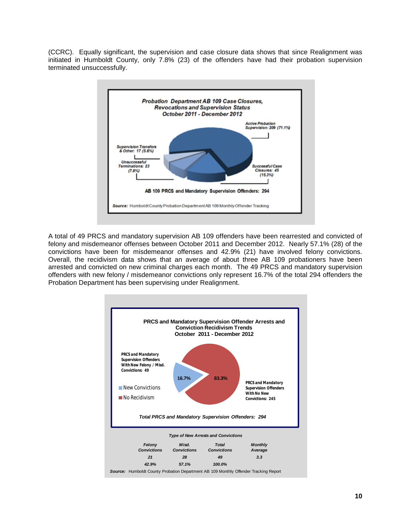(CCRC). Equally significant, the supervision and case closure data shows that since Realignment was initiated in Humboldt County, only 7.8% (23) of the offenders have had their probation supervision terminated unsuccessfully.



A total of 49 PRCS and mandatory supervision AB 109 offenders have been rearrested and convicted of felony and misdemeanor offenses between October 2011 and December 2012. Nearly 57.1% (28) of the convictions have been for misdemeanor offenses and 42.9% (21) have involved felony convictions. Overall, the recidivism data shows that an average of about three AB 109 probationers have been arrested and convicted on new criminal charges each month. The 49 PRCS and mandatory supervision offenders with new felony / misdemeanor convictions only represent 16.7% of the total 294 offenders the Probation Department has been supervising under Realignment.

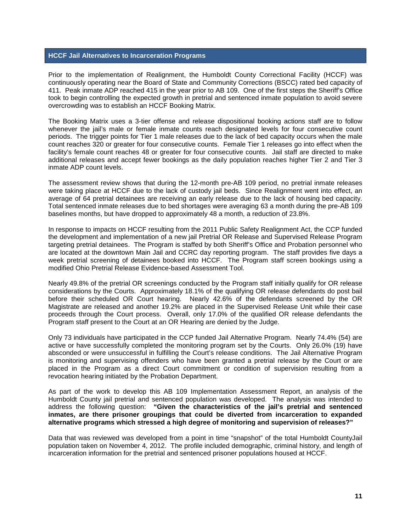#### **HCCF Jail Alternatives to Incarceration Programs**

Prior to the implementation of Realignment, the Humboldt County Correctional Facility (HCCF) was continuously operating near the Board of State and Community Corrections (BSCC) rated bed capacity of 411. Peak inmate ADP reached 415 in the year prior to AB 109. One of the first steps the Sheriff's Office took to begin controlling the expected growth in pretrial and sentenced inmate population to avoid severe overcrowding was to establish an HCCF Booking Matrix.

The Booking Matrix uses a 3-tier offense and release dispositional booking actions staff are to follow whenever the jail's male or female inmate counts reach designated levels for four consecutive count periods. The trigger points for Tier 1 male releases due to the lack of bed capacity occurs when the male count reaches 320 or greater for four consecutive counts. Female Tier 1 releases go into effect when the facility's female count reaches 48 or greater for four consecutive counts. Jail staff are directed to make additional releases and accept fewer bookings as the daily population reaches higher Tier 2 and Tier 3 inmate ADP count levels.

The assessment review shows that during the 12-month pre-AB 109 period, no pretrial inmate releases were taking place at HCCF due to the lack of custody jail beds. Since Realignment went into effect, an average of 64 pretrial detainees are receiving an early release due to the lack of housing bed capacity. Total sentenced inmate releases due to bed shortages were averaging 63 a month during the pre-AB 109 baselines months, but have dropped to approximately 48 a month, a reduction of 23.8%.

In response to impacts on HCCF resulting from the 2011 Public Safety Realignment Act, the CCP funded the development and implementation of a new jail Pretrial OR Release and Supervised Release Program targeting pretrial detainees. The Program is staffed by both Sheriff's Office and Probation personnel who are located at the downtown Main Jail and CCRC day reporting program. The staff provides five days a week pretrial screening of detainees booked into HCCF. The Program staff screen bookings using a modified Ohio Pretrial Release Evidence-based Assessment Tool.

Nearly 49.8% of the pretrial OR screenings conducted by the Program staff initially qualify for OR release considerations by the Courts. Approximately 18.1% of the qualifying OR release defendants do post bail before their scheduled OR Court hearing. Nearly 42.6% of the defendants screened by the OR Magistrate are released and another 19.2% are placed in the Supervised Release Unit while their case proceeds through the Court process. Overall, only 17.0% of the qualified OR release defendants the Program staff present to the Court at an OR Hearing are denied by the Judge.

Only 73 individuals have participated in the CCP funded Jail Alternative Program. Nearly 74.4% (54) are active or have successfully completed the monitoring program set by the Courts. Only 26.0% (19) have absconded or were unsuccessful in fulfilling the Court's release conditions. The Jail Alternative Program is monitoring and supervising offenders who have been granted a pretrial release by the Court or are placed in the Program as a direct Court commitment or condition of supervision resulting from a revocation hearing initiated by the Probation Department.

As part of the work to develop this AB 109 Implementation Assessment Report, an analysis of the Humboldt County jail pretrial and sentenced population was developed. The analysis was intended to address the following question: **"Given the characteristics of the jail's pretrial and sentenced inmates, are there prisoner groupings that could be diverted from incarceration to expanded alternative programs which stressed a high degree of monitoring and supervision of releases?"** 

Data that was reviewed was developed from a point in time "snapshot" of the total Humboldt CountyJail population taken on November 4, 2012. The profile included demographic, criminal history, and length of incarceration information for the pretrial and sentenced prisoner populations housed at HCCF.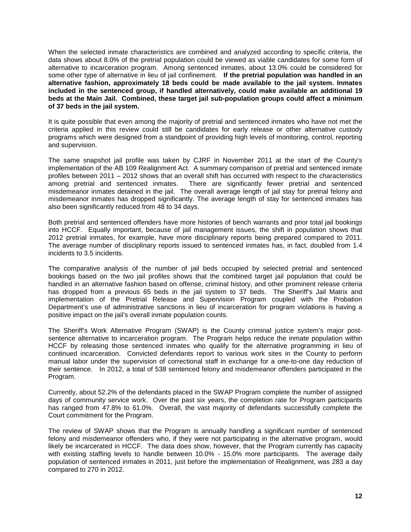When the selected inmate characteristics are combined and analyzed according to specific criteria, the data shows about 8.0% of the pretrial population could be viewed as viable candidates for some form of alternative to incarceration program. Among sentenced inmates, about 13.0% could be considered for some other type of alternative in lieu of jail confinement. **If the pretrial population was handled in an alternative fashion, approximately 18 beds could be made available to the jail system. Inmates included in the sentenced group, if handled alternatively, could make available an additional 19 beds at the Main Jail. Combined, these target jail sub-population groups could affect a minimum of 37 beds in the jail system.**

It is quite possible that even among the majority of pretrial and sentenced inmates who have not met the criteria applied in this review could still be candidates for early release or other alternative custody programs which were designed from a standpoint of providing high levels of monitoring, control, reporting and supervision.

The same snapshot jail profile was taken by CJRF in November 2011 at the start of the County's implementation of the AB 109 Realignment Act. A summary comparison of pretrial and sentenced inmate profiles between 2011 – 2012 shows that an overall shift has occurred with respect to the characteristics among pretrial and sentenced inmates. There are significantly fewer pretrial and sentenced misdemeanor inmates detained in the jail. The overall average length of jail stay for pretrial felony and misdemeanor inmates has dropped significantly. The average length of stay for sentenced inmates has also been significantly reduced from 48 to 34 days.

Both pretrial and sentenced offenders have more histories of bench warrants and prior total jail bookings into HCCF. Equally important, because of jail management issues, the shift in population shows that 2012 pretrial inmates, for example, have more disciplinary reports being prepared compared to 2011. The average number of disciplinary reports issued to sentenced inmates has, in fact, doubled from 1.4 incidents to 3.5 incidents.

The comparative analysis of the number of jail beds occupied by selected pretrial and sentenced bookings based on the two jail profiles shows that the combined target jail population that could be handled in an alternative fashion based on offense, criminal history, and other prominent release criteria has dropped from a previous 65 beds in the jail system to 37 beds. The Sheriff's Jail Matrix and implementation of the Pretrial Release and Supervision Program coupled with the Probation Department's use of administrative sanctions in lieu of incarceration for program violations is having a positive impact on the jail's overall inmate population counts.

The Sheriff's Work Alternative Program (SWAP) is the County criminal justice system's major postsentence alternative to incarceration program. The Program helps reduce the inmate population within HCCF by releasing those sentenced inmates who qualify for the alternative programming in lieu of continued incarceration. Convicted defendants report to various work sites in the County to perform manual labor under the supervision of correctional staff in exchange for a one-to-one day reduction of their sentence. In 2012, a total of 538 sentenced felony and misdemeanor offenders participated in the Program.

Currently, about 52.2% of the defendants placed in the SWAP Program complete the number of assigned days of community service work. Over the past six years, the completion rate for Program participants has ranged from 47.8% to 61.0%. Overall, the vast majority of defendants successfully complete the Court commitment for the Program.

The review of SWAP shows that the Program is annually handling a significant number of sentenced felony and misdemeanor offenders who, if they were not participating in the alternative program, would likely be incarcerated in HCCF. The data does show, however, that the Program currently has capacity with existing staffing levels to handle between 10.0% - 15.0% more participants. The average daily population of sentenced inmates in 2011, just before the implementation of Realignment, was 283 a day compared to 270 in 2012.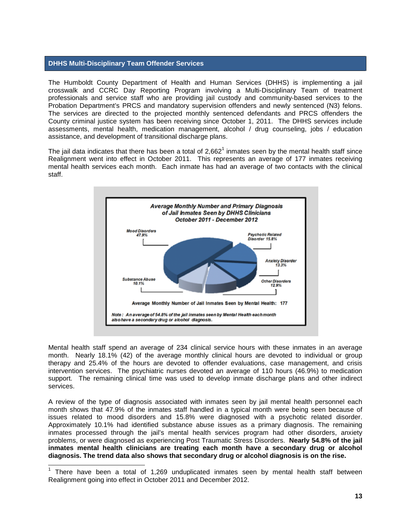#### **DHHS Multi-Disciplinary Team Offender Services**

The Humboldt County Department of Health and Human Services (DHHS) is implementing a jail crosswalk and CCRC Day Reporting Program involving a Multi-Disciplinary Team of treatment professionals and service staff who are providing jail custody and community-based services to the Probation Department's PRCS and mandatory supervision offenders and newly sentenced (N3) felons. The services are directed to the projected monthly sentenced defendants and PRCS offenders the County criminal justice system has been receiving since October 1, 2011. The DHHS services include assessments, mental health, medication management, alcohol / drug counseling, jobs / education assistance, and development of transitional discharge plans.

The jail data indicates that there has been a total of  $2,662<sup>1</sup>$  inmates seen by the mental health staff since Realignment went into effect in October 2011. This represents an average of 177 inmates receiving mental health services each month. Each inmate has had an average of two contacts with the clinical staff.



Mental health staff spend an average of 234 clinical service hours with these inmates in an average month. Nearly 18.1% (42) of the average monthly clinical hours are devoted to individual or group therapy and 25.4% of the hours are devoted to offender evaluations, case management, and crisis intervention services. The psychiatric nurses devoted an average of 110 hours (46.9%) to medication support. The remaining clinical time was used to develop inmate discharge plans and other indirect services.

A review of the type of diagnosis associated with inmates seen by jail mental health personnel each month shows that 47.9% of the inmates staff handled in a typical month were being seen because of issues related to mood disorders and 15.8% were diagnosed with a psychotic related disorder. Approximately 10.1% had identified substance abuse issues as a primary diagnosis. The remaining inmates processed through the jail's mental health services program had other disorders, anxiety problems, or were diagnosed as experiencing Post Traumatic Stress Disorders. **Nearly 54.8% of the jail inmates mental health clinicians are treating each month have a secondary drug or alcohol diagnosis. The trend data also shows that secondary drug or alcohol diagnosis is on the rise.**

 <sup>1</sup> There have been a total of 1,269 unduplicated inmates seen by mental health staff between Realignment going into effect in October 2011 and December 2012.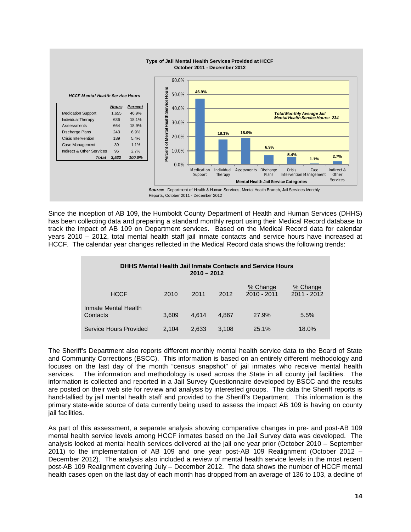

Since the inception of AB 109, the Humboldt County Department of Health and Human Services (DHHS) has been collecting data and preparing a standard monthly report using their Medical Record database to track the impact of AB 109 on Department services. Based on the Medical Record data for calendar years 2010 – 2012, total mental health staff jail inmate contacts and service hours have increased at HCCF. The calendar year changes reflected in the Medical Record data shows the following trends:

| <b>DHHS Mental Health Jail Inmate Contacts and Service Hours</b><br>$2010 - 2012$ |       |       |       |                         |                         |  |  |  |
|-----------------------------------------------------------------------------------|-------|-------|-------|-------------------------|-------------------------|--|--|--|
| <b>HCCF</b>                                                                       | 2010  | 2011  | 2012  | % Change<br>2010 - 2011 | % Change<br>2011 - 2012 |  |  |  |
| Inmate Mental Health<br>Contacts                                                  | 3.609 | 4.614 | 4.867 | 27.9%                   | 5.5%                    |  |  |  |
| Service Hours Provided                                                            | 2.104 | 2.633 | 3,108 | 25.1%                   | 18.0%                   |  |  |  |

The Sheriff's Department also reports different monthly mental health service data to the Board of State and Community Corrections (BSCC). This information is based on an entirely different methodology and focuses on the last day of the month "census snapshot" of jail inmates who receive mental health services. The information and methodology is used across the State in all county jail facilities. The information is collected and reported in a Jail Survey Questionnaire developed by BSCC and the results are posted on their web site for review and analysis by interested groups. The data the Sheriff reports is hand-tallied by jail mental health staff and provided to the Sheriff's Department. This information is the primary state-wide source of data currently being used to assess the impact AB 109 is having on county jail facilities.

As part of this assessment, a separate analysis showing comparative changes in pre- and post-AB 109 mental health service levels among HCCF inmates based on the Jail Survey data was developed. The analysis looked at mental health services delivered at the jail one year prior (October 2010 – September 2011) to the implementation of AB 109 and one year post-AB 109 Realignment (October 2012 – December 2012). The analysis also included a review of mental health service levels in the most recent post-AB 109 Realignment covering July – December 2012. The data shows the number of HCCF mental health cases open on the last day of each month has dropped from an average of 136 to 103, a decline of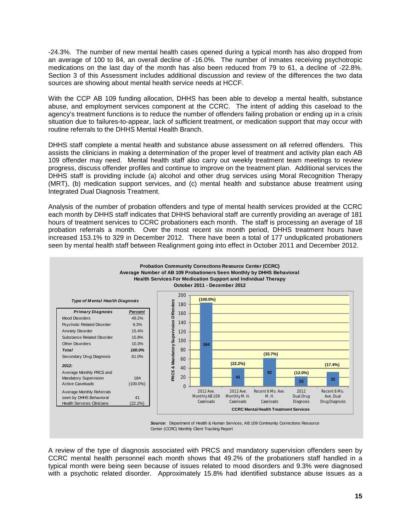-24.3%. The number of new mental health cases opened during a typical month has also dropped from an average of 100 to 84, an overall decline of -16.0%. The number of inmates receiving psychotropic medications on the last day of the month has also been reduced from 79 to 61, a decline of -22.8%. Section 3 of this Assessment includes additional discussion and review of the differences the two data sources are showing about mental health service needs at HCCF.

With the CCP AB 109 funding allocation, DHHS has been able to develop a mental health, substance abuse, and employment services component at the CCRC. The intent of adding this caseload to the agency's treatment functions is to reduce the number of offenders failing probation or ending up in a crisis situation due to failures-to-appear, lack of sufficient treatment, or medication support that may occur with routine referrals to the DHHS Mental Health Branch.

DHHS staff complete a mental health and substance abuse assessment on all referred offenders. This assists the clinicians in making a determination of the proper level of treatment and activity plan each AB 109 offender may need. Mental health staff also carry out weekly treatment team meetings to review progress, discuss offender profiles and continue to improve on the treatment plan. Additional services the DHHS staff is providing include (a) alcohol and other drug services using Moral Recognition Therapy (MRT), (b) medication support services, and (c) mental health and substance abuse treatment using Integrated Dual Diagnosis Treatment.

Analysis of the number of probation offenders and type of mental health services provided at the CCRC each month by DHHS staff indicates that DHHS behavioral staff are currently providing an average of 181 hours of treatment services to CCRC probationers each month. The staff is processing an average of 18 probation referrals a month. Over the most recent six month period, DHHS treatment hours have increased 153.1% to 329 in December 2012. There have been a total of 177 unduplicated probationers seen by mental health staff between Realignment going into effect in October 2011 and December 2012.



Center (CCRC) Monthly Client Tracking Report

A review of the type of diagnosis associated with PRCS and mandatory supervision offenders seen by CCRC mental health personnel each month shows that 49.2% of the probationers staff handled in a typical month were being seen because of issues related to mood disorders and 9.3% were diagnosed with a psychotic related disorder. Approximately 15.8% had identified substance abuse issues as a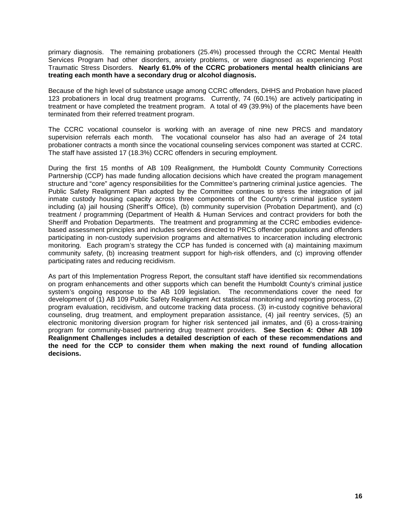primary diagnosis. The remaining probationers (25.4%) processed through the CCRC Mental Health Services Program had other disorders, anxiety problems, or were diagnosed as experiencing Post Traumatic Stress Disorders. **Nearly 61.0% of the CCRC probationers mental health clinicians are treating each month have a secondary drug or alcohol diagnosis.** 

Because of the high level of substance usage among CCRC offenders, DHHS and Probation have placed 123 probationers in local drug treatment programs. Currently, 74 (60.1%) are actively participating in treatment or have completed the treatment program. A total of 49 (39.9%) of the placements have been terminated from their referred treatment program.

The CCRC vocational counselor is working with an average of nine new PRCS and mandatory supervision referrals each month. The vocational counselor has also had an average of 24 total probationer contracts a month since the vocational counseling services component was started at CCRC. The staff have assisted 17 (18.3%) CCRC offenders in securing employment.

During the first 15 months of AB 109 Realignment, the Humboldt County Community Corrections Partnership (CCP) has made funding allocation decisions which have created the program management structure and "core" agency responsibilities for the Committee's partnering criminal justice agencies. The Public Safety Realignment Plan adopted by the Committee continues to stress the integration of jail inmate custody housing capacity across three components of the County's criminal justice system including (a) jail housing (Sheriff's Office), (b) community supervision (Probation Department), and (c) treatment / programming (Department of Health & Human Services and contract providers for both the Sheriff and Probation Departments. The treatment and programming at the CCRC embodies evidencebased assessment principles and includes services directed to PRCS offender populations and offenders participating in non-custody supervision programs and alternatives to incarceration including electronic monitoring. Each program's strategy the CCP has funded is concerned with (a) maintaining maximum community safety, (b) increasing treatment support for high-risk offenders, and (c) improving offender participating rates and reducing recidivism.

As part of this Implementation Progress Report, the consultant staff have identified six recommendations on program enhancements and other supports which can benefit the Humboldt County's criminal justice system's ongoing response to the AB 109 legislation. The recommendations cover the need for development of (1) AB 109 Public Safety Realignment Act statistical monitoring and reporting process, (2) program evaluation, recidivism, and outcome tracking data process. (3) in-custody cognitive behavioral counseling, drug treatment, and employment preparation assistance, (4) jail reentry services, (5) an electronic monitoring diversion program for higher risk sentenced jail inmates, and (6) a cross-training program for community-based partnering drug treatment providers. **See Section 4: Other AB 109 Realignment Challenges includes a detailed description of each of these recommendations and the need for the CCP to consider them when making the next round of funding allocation decisions.**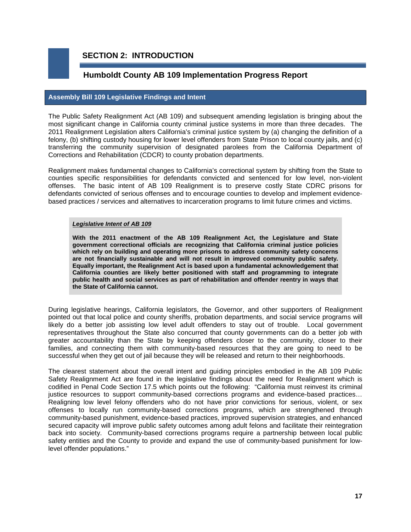## **SECTION 2: INTRODUCTION**

## **Humboldt County AB 109 Implementation Progress Report**

#### **Assembly Bill 109 Legislative Findings and Intent**

The Public Safety Realignment Act (AB 109) and subsequent amending legislation is bringing about the most significant change in California county criminal justice systems in more than three decades. The 2011 Realignment Legislation alters California's criminal justice system by (a) changing the definition of a felony, (b) shifting custody housing for lower level offenders from State Prison to local county jails, and (c) transferring the community supervision of designated parolees from the California Department of Corrections and Rehabilitation (CDCR) to county probation departments.

Realignment makes fundamental changes to California's correctional system by shifting from the State to counties specific responsibilities for defendants convicted and sentenced for low level, non-violent offenses. The basic intent of AB 109 Realignment is to preserve costly State CDRC prisons for defendants convicted of serious offenses and to encourage counties to develop and implement evidencebased practices / services and alternatives to incarceration programs to limit future crimes and victims.

#### *Legislative Intent of AB 109*

**With the 2011 enactment of the AB 109 Realignment Act, the Legislature and State government correctional officials are recognizing that California criminal justice policies which rely on building and operating more prisons to address community safety concerns are not financially sustainable and will not result in improved community public safety. Equally important, the Realignment Act is based upon a fundamental acknowledgement that California counties are likely better positioned with staff and programming to integrate public health and social services as part of rehabilitation and offender reentry in ways that the State of California cannot.** 

During legislative hearings, California legislators, the Governor, and other supporters of Realignment pointed out that local police and county sheriffs, probation departments, and social service programs will likely do a better job assisting low level adult offenders to stay out of trouble. Local government representatives throughout the State also concurred that county governments can do a better job with greater accountability than the State by keeping offenders closer to the community, closer to their families, and connecting them with community-based resources that they are going to need to be successful when they get out of jail because they will be released and return to their neighborhoods.

The clearest statement about the overall intent and guiding principles embodied in the AB 109 Public Safety Realignment Act are found in the legislative findings about the need for Realignment which is codified in Penal Code Section 17.5 which points out the following: "California must reinvest its criminal justice resources to support community-based corrections programs and evidence-based practices… Realigning low level felony offenders who do not have prior convictions for serious, violent, or sex offenses to locally run community-based corrections programs, which are strengthened through community-based punishment, evidence-based practices, improved supervision strategies, and enhanced secured capacity will improve public safety outcomes among adult felons and facilitate their reintegration back into society. Community-based corrections programs require a partnership between local public safety entities and the County to provide and expand the use of community-based punishment for lowlevel offender populations."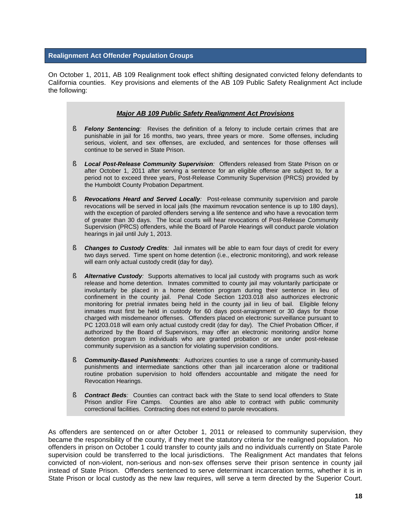#### **Realignment Act Offender Population Groups**

On October 1, 2011, AB 109 Realignment took effect shifting designated convicted felony defendants to California counties. Key provisions and elements of the AB 109 Public Safety Realignment Act include the following:

#### *Major AB 109 Public Safety Realignment Act Provisions*

- § *Felony Sentencing:* Revises the definition of a felony to include certain crimes that are punishable in jail for 16 months, two years, three years or more. Some offenses, including serious, violent, and sex offenses, are excluded, and sentences for those offenses will continue to be served in State Prison.
- § *Local Post-Release Community Supervision:* Offenders released from State Prison on or after October 1, 2011 after serving a sentence for an eligible offense are subject to, for a period not to exceed three years, Post-Release Community Supervision (PRCS) provided by the Humboldt County Probation Department.
- § *Revocations Heard and Served Locally:* Post-release community supervision and parole revocations will be served in local jails (the maximum revocation sentence is up to 180 days), with the exception of paroled offenders serving a life sentence and who have a revocation term of greater than 30 days. The local courts will hear revocations of Post-Release Community Supervision (PRCS) offenders, while the Board of Parole Hearings will conduct parole violation hearings in jail until July 1, 2013.
- § *Changes to Custody Credits:* Jail inmates will be able to earn four days of credit for every two days served. Time spent on home detention (i.e., electronic monitoring), and work release will earn only actual custody credit (day for day).
- § *Alternative Custody:* Supports alternatives to local jail custody with programs such as work release and home detention. Inmates committed to county jail may voluntarily participate or involuntarily be placed in a home detention program during their sentence in lieu of confinement in the county jail. Penal Code Section 1203.018 also authorizes electronic monitoring for pretrial inmates being held in the county jail in lieu of bail. Eligible felony inmates must first be held in custody for 60 days post-arraignment or 30 days for those charged with misdemeanor offenses. Offenders placed on electronic surveillance pursuant to PC 1203.018 will earn only actual custody credit (day for day). The Chief Probation Officer, if authorized by the Board of Supervisors, may offer an electronic monitoring and/or home detention program to individuals who are granted probation or are under post-release community supervision as a sanction for violating supervision conditions.
- § *Community-Based Punishments:* Authorizes counties to use a range of community-based punishments and intermediate sanctions other than jail incarceration alone or traditional routine probation supervision to hold offenders accountable and mitigate the need for Revocation Hearings.
- § *Contract Beds:* Counties can contract back with the State to send local offenders to State Prison and/or Fire Camps. Counties are also able to contract with public community correctional facilities. Contracting does not extend to parole revocations.

As offenders are sentenced on or after October 1, 2011 or released to community supervision, they became the responsibility of the county, if they meet the statutory criteria for the realigned population. No offenders in prison on October 1 could transfer to county jails and no individuals currently on State Parole supervision could be transferred to the local jurisdictions. The Realignment Act mandates that felons convicted of non-violent, non-serious and non-sex offenses serve their prison sentence in county jail instead of State Prison. Offenders sentenced to serve determinant incarceration terms, whether it is in State Prison or local custody as the new law requires, will serve a term directed by the Superior Court.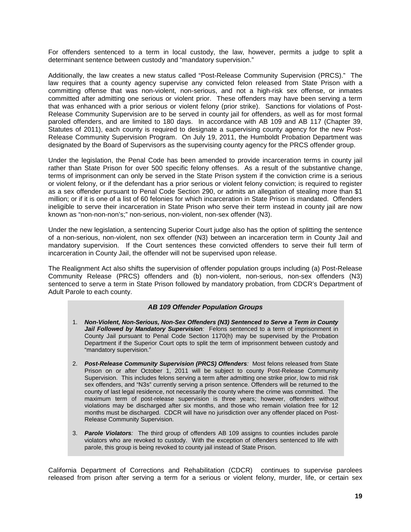For offenders sentenced to a term in local custody, the law, however, permits a judge to split a determinant sentence between custody and "mandatory supervision."

Additionally, the law creates a new status called "Post-Release Community Supervision (PRCS)." The law requires that a county agency supervise any convicted felon released from State Prison with a committing offense that was non-violent, non-serious, and not a high-risk sex offense, or inmates committed after admitting one serious or violent prior. These offenders may have been serving a term that was enhanced with a prior serious or violent felony (prior strike). Sanctions for violations of Post-Release Community Supervision are to be served in county jail for offenders, as well as for most formal paroled offenders, and are limited to 180 days. In accordance with AB 109 and AB 117 (Chapter 39, Statutes of 2011), each county is required to designate a supervising county agency for the new Post-Release Community Supervision Program. On July 19, 2011, the Humboldt Probation Department was designated by the Board of Supervisors as the supervising county agency for the PRCS offender group.

Under the legislation, the Penal Code has been amended to provide incarceration terms in county jail rather than State Prison for over 500 specific felony offenses. As a result of the substantive change, terms of imprisonment can only be served in the State Prison system if the conviction crime is a serious or violent felony, or if the defendant has a prior serious or violent felony conviction; is required to register as a sex offender pursuant to Penal Code Section 290, or admits an allegation of stealing more than \$1 million; or if it is one of a list of 60 felonies for which incarceration in State Prison is mandated. Offenders ineligible to serve their incarceration in State Prison who serve their term instead in county jail are now known as "non-non-non's;" non-serious, non-violent, non-sex offender (N3).

Under the new legislation, a sentencing Superior Court judge also has the option of splitting the sentence of a non-serious, non-violent, non sex offender (N3) between an incarceration term in County Jail and mandatory supervision. If the Court sentences these convicted offenders to serve their full term of incarceration in County Jail, the offender will not be supervised upon release.

The Realignment Act also shifts the supervision of offender population groups including (a) Post-Release Community Release (PRCS) offenders and (b) non-violent, non-serious, non-sex offenders (N3) sentenced to serve a term in State Prison followed by mandatory probation, from CDCR's Department of Adult Parole to each county.

#### *AB 109 Offender Population Groups*

- 1. *Non-Violent, Non-Serious, Non-Sex Offenders (N3) Sentenced to Serve a Term in County*  Jail Followed by Mandatory Supervision: Felons sentenced to a term of imprisonment in County Jail pursuant to Penal Code Section 1170(h) may be supervised by the Probation Department if the Superior Court opts to split the term of imprisonment between custody and "mandatory supervision."
- 2. *Post-Release Community Supervision (PRCS) Offenders:* Most felons released from State Prison on or after October 1, 2011 will be subject to county Post-Release Community Supervision. This includes felons serving a term after admitting one strike prior, low to mid risk sex offenders, and "N3s" currently serving a prison sentence. Offenders will be returned to the county of last legal residence, not necessarily the county where the crime was committed. The maximum term of post-release supervision is three years; however, offenders without violations may be discharged after six months, and those who remain violation free for 12 months must be discharged. CDCR will have no jurisdiction over any offender placed on Post-Release Community Supervision.
- 3. *Parole Violators:* The third group of offenders AB 109 assigns to counties includes parole violators who are revoked to custody. With the exception of offenders sentenced to life with parole, this group is being revoked to county jail instead of State Prison.

California Department of Corrections and Rehabilitation (CDCR) continues to supervise parolees released from prison after serving a term for a serious or violent felony, murder, life, or certain sex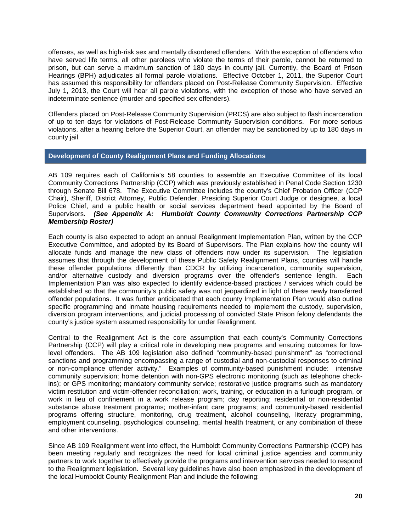offenses, as well as high-risk sex and mentally disordered offenders. With the exception of offenders who have served life terms, all other parolees who violate the terms of their parole, cannot be returned to prison, but can serve a maximum sanction of 180 days in county jail. Currently, the Board of Prison Hearings (BPH) adjudicates all formal parole violations. Effective October 1, 2011, the Superior Court has assumed this responsibility for offenders placed on Post-Release Community Supervision. Effective July 1, 2013, the Court will hear all parole violations, with the exception of those who have served an indeterminate sentence (murder and specified sex offenders).

Offenders placed on Post-Release Community Supervision (PRCS) are also subject to flash incarceration of up to ten days for violations of Post-Release Community Supervision conditions. For more serious violations, after a hearing before the Superior Court, an offender may be sanctioned by up to 180 days in county jail.

#### **Development of County Realignment Plans and Funding Allocations**

AB 109 requires each of California's 58 counties to assemble an Executive Committee of its local Community Corrections Partnership (CCP) which was previously established in Penal Code Section 1230 through Senate Bill 678. The Executive Committee includes the county's Chief Probation Officer (CCP Chair), Sheriff, District Attorney, Public Defender, Presiding Superior Court Judge or designee, a local Police Chief, and a public health or social services department head appointed by the Board of Supervisors. *(See Appendix A: Humboldt County Community Corrections Partnership CCP Membership Roster)*

Each county is also expected to adopt an annual Realignment Implementation Plan, written by the CCP Executive Committee, and adopted by its Board of Supervisors. The Plan explains how the county will allocate funds and manage the new class of offenders now under its supervision. The legislation assumes that through the development of these Public Safety Realignment Plans, counties will handle these offender populations differently than CDCR by utilizing incarceration, community supervision, and/or alternative custody and diversion programs over the offender's sentence length. Each Implementation Plan was also expected to identify evidence-based practices / services which could be established so that the community's public safety was not jeopardized in light of these newly transferred offender populations. It was further anticipated that each county Implementation Plan would also outline specific programming and inmate housing requirements needed to implement the custody, supervision, diversion program interventions, and judicial processing of convicted State Prison felony defendants the county's justice system assumed responsibility for under Realignment.

Central to the Realignment Act is the core assumption that each county's Community Corrections Partnership (CCP) will play a critical role in developing new programs and ensuring outcomes for lowlevel offenders. The AB 109 legislation also defined "community-based punishment" as "correctional sanctions and programming encompassing a range of custodial and non-custodial responses to criminal or non-compliance offender activity." Examples of community-based punishment include: intensive community supervision; home detention with non-GPS electronic monitoring (such as telephone checkins); or GPS monitoring; mandatory community service; restorative justice programs such as mandatory victim restitution and victim-offender reconciliation; work, training, or education in a furlough program, or work in lieu of confinement in a work release program; day reporting; residential or non-residential substance abuse treatment programs; mother-infant care programs; and community-based residential programs offering structure, monitoring, drug treatment, alcohol counseling, literacy programming, employment counseling, psychological counseling, mental health treatment, or any combination of these and other interventions.

Since AB 109 Realignment went into effect, the Humboldt Community Corrections Partnership (CCP) has been meeting regularly and recognizes the need for local criminal justice agencies and community partners to work together to effectively provide the programs and intervention services needed to respond to the Realignment legislation. Several key guidelines have also been emphasized in the development of the local Humboldt County Realignment Plan and include the following: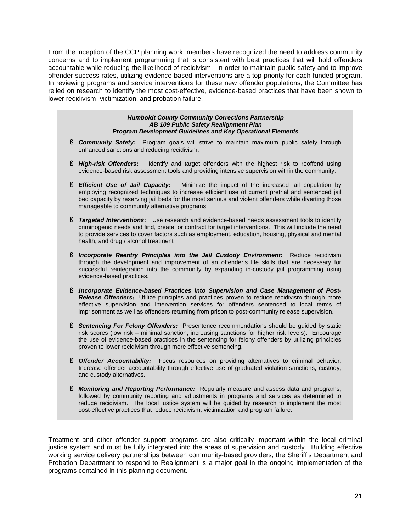From the inception of the CCP planning work, members have recognized the need to address community concerns and to implement programming that is consistent with best practices that will hold offenders accountable while reducing the likelihood of recidivism. In order to maintain public safety and to improve offender success rates, utilizing evidence-based interventions are a top priority for each funded program. In reviewing programs and service interventions for these new offender populations, the Committee has relied on research to identify the most cost-effective, evidence-based practices that have been shown to lower recidivism, victimization, and probation failure.

#### *Humboldt County Community Corrections Partnership AB 109 Public Safety Realignment Plan Program Development Guidelines and Key Operational Elements*

- § *Community Safety***:** Program goals will strive to maintain maximum public safety through enhanced sanctions and reducing recidivism.
- § *High-risk Offenders***:** Identify and target offenders with the highest risk to reoffend using evidence-based risk assessment tools and providing intensive supervision within the community.
- § *Efficient Use of Jail Capacity***:** Minimize the impact of the increased jail population by employing recognized techniques to increase efficient use of current pretrial and sentenced jail bed capacity by reserving jail beds for the most serious and violent offenders while diverting those manageable to community alternative programs.
- § *Targeted Interventions***:** Use research and evidence-based needs assessment tools to identify criminogenic needs and find, create, or contract for target interventions. This will include the need to provide services to cover factors such as employment, education, housing, physical and mental health, and drug / alcohol treatment
- § *Incorporate Reentry Principles into the Jail Custody Environment***:** Reduce recidivism through the development and improvement of an offender's life skills that are necessary for successful reintegration into the community by expanding in-custody jail programming using evidence-based practices.
- § *Incorporate Evidence-based Practices into Supervision and Case Management of Post-***Release Offenders:** Utilize principles and practices proven to reduce recidivism through more effective supervision and intervention services for offenders sentenced to local terms of imprisonment as well as offenders returning from prison to post-community release supervision.
- § **Sentencing For Felony Offenders:** Presentence recommendations should be guided by static risk scores (low risk – minimal sanction, increasing sanctions for higher risk levels). Encourage the use of evidence-based practices in the sentencing for felony offenders by utilizing principles proven to lower recidivism through more effective sentencing.
- § **Offender Accountability:** Focus resources on providing alternatives to criminal behavior. Increase offender accountability through effective use of graduated violation sanctions, custody, and custody alternatives.
- § *Monitoring and Reporting Performance:*Regularly measure and assess data and programs, followed by community reporting and adjustments in programs and services as determined to reduce recidivism. The local justice system will be guided by research to implement the most cost-effective practices that reduce recidivism, victimization and program failure.

Treatment and other offender support programs are also critically important within the local criminal justice system and must be fully integrated into the areas of supervision and custody. Building effective working service delivery partnerships between community-based providers, the Sheriff's Department and Probation Department to respond to Realignment is a major goal in the ongoing implementation of the programs contained in this planning document.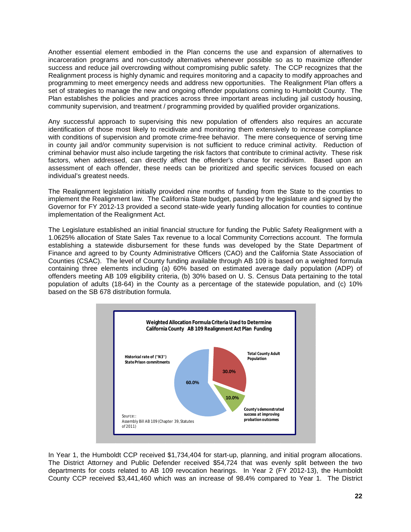Another essential element embodied in the Plan concerns the use and expansion of alternatives to incarceration programs and non-custody alternatives whenever possible so as to maximize offender success and reduce jail overcrowding without compromising public safety. The CCP recognizes that the Realignment process is highly dynamic and requires monitoring and a capacity to modify approaches and programming to meet emergency needs and address new opportunities. The Realignment Plan offers a set of strategies to manage the new and ongoing offender populations coming to Humboldt County. The Plan establishes the policies and practices across three important areas including jail custody housing, community supervision, and treatment / programming provided by qualified provider organizations.

Any successful approach to supervising this new population of offenders also requires an accurate identification of those most likely to recidivate and monitoring them extensively to increase compliance with conditions of supervision and promote crime-free behavior. The mere consequence of serving time in county jail and/or community supervision is not sufficient to reduce criminal activity. Reduction of criminal behavior must also include targeting the risk factors that contribute to criminal activity. These risk factors, when addressed, can directly affect the offender's chance for recidivism. Based upon an assessment of each offender, these needs can be prioritized and specific services focused on each individual's greatest needs.

The Realignment legislation initially provided nine months of funding from the State to the counties to implement the Realignment law. The California State budget, passed by the legislature and signed by the Governor for FY 2012-13 provided a second state-wide yearly funding allocation for counties to continue implementation of the Realignment Act.

The Legislature established an initial financial structure for funding the Public Safety Realignment with a 1.0625% allocation of State Sales Tax revenue to a local Community Corrections account. The formula establishing a statewide disbursement for these funds was developed by the State Department of Finance and agreed to by County Administrative Officers (CAO) and the California State Association of Counties (CSAC). The level of County funding available through AB 109 is based on a weighted formula containing three elements including (a) 60% based on estimated average daily population (ADP) of offenders meeting AB 109 eligibility criteria, (b) 30% based on U. S. Census Data pertaining to the total population of adults (18-64) in the County as a percentage of the statewide population, and (c) 10% based on the SB 678 distribution formula.



In Year 1, the Humboldt CCP received \$1,734,404 for start-up, planning, and initial program allocations. The District Attorney and Public Defender received \$54,724 that was evenly split between the two departments for costs related to AB 109 revocation hearings. In Year 2 (FY 2012-13), the Humboldt County CCP received \$3,441,460 which was an increase of 98.4% compared to Year 1. The District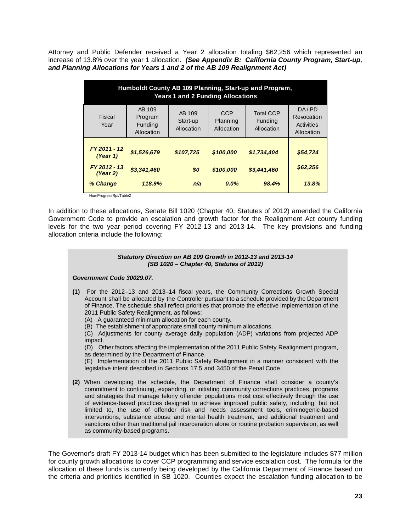Attorney and Public Defender received a Year 2 allocation totaling \$62,256 which represented an increase of 13.8% over the year 1 allocation. *(See Appendix B: California County Program, Start-up, and Planning Allocations for Years 1 and 2 of the AB 109 Realignment Act)*

| Humboldt County AB 109 Planning, Start-up and Program,<br><b>Years 1 and 2 Funding Allocations</b> |                                            |                                  |                                      |                                           |                                                 |  |  |
|----------------------------------------------------------------------------------------------------|--------------------------------------------|----------------------------------|--------------------------------------|-------------------------------------------|-------------------------------------------------|--|--|
| Fiscal<br>Year                                                                                     | AB 109<br>Program<br>Funding<br>Allocation | AB 109<br>Start-up<br>Allocation | <b>CCP</b><br>Planning<br>Allocation | <b>Total CCP</b><br>Funding<br>Allocation | DA/PD<br>Revocation<br>Activities<br>Allocation |  |  |
| FY 2011 - 12<br>(Year 1)                                                                           | \$1,526,679                                | \$107,725                        | \$100,000                            | \$1,734,404                               | \$54,724                                        |  |  |
| FY 2012 - 13<br>(Year 2)                                                                           | \$3,341,460                                | \$0                              | \$100,000                            | \$3,441,460                               | \$62,256                                        |  |  |
| % Change<br>HumProgressRpt/Table2                                                                  | 118.9%                                     | n/a                              | $0.0\%$                              | 98.4%                                     | 13.8%                                           |  |  |

In addition to these allocations, Senate Bill 1020 (Chapter 40, Statutes of 2012) amended the California Government Code to provide an escalation and growth factor for the Realignment Act county funding levels for the two year period covering FY 2012-13 and 2013-14. The key provisions and funding allocation criteria include the following:



The Governor's draft FY 2013-14 budget which has been submitted to the legislature includes \$77 million for county growth allocations to cover CCP programming and service escalation cost. The formula for the allocation of these funds is currently being developed by the California Department of Finance based on the criteria and priorities identified in SB 1020. Counties expect the escalation funding allocation to be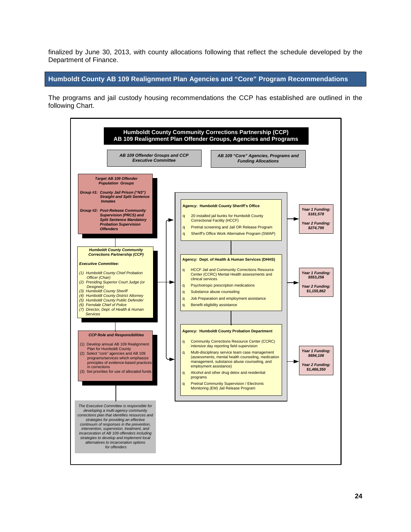finalized by June 30, 2013, with county allocations following that reflect the schedule developed by the Department of Finance.

**Humboldt County AB 109 Realignment Plan Agencies and "Core" Program Recommendations**

The programs and jail custody housing recommendations the CCP has established are outlined in the following Chart.

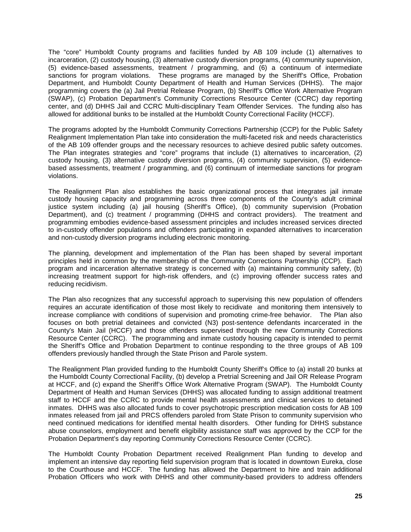The "core" Humboldt County programs and facilities funded by AB 109 include (1) alternatives to incarceration, (2) custody housing, (3) alternative custody diversion programs, (4) community supervision, (5) evidence-based assessments, treatment / programming, and (6) a continuum of intermediate sanctions for program violations. These programs are managed by the Sheriff's Office, Probation Department, and Humboldt County Department of Health and Human Services (DHHS). The major programming covers the (a) Jail Pretrial Release Program, (b) Sheriff's Office Work Alternative Program (SWAP), (c) Probation Department's Community Corrections Resource Center (CCRC) day reporting center, and (d) DHHS Jail and CCRC Multi-disciplinary Team Offender Services. The funding also has allowed for additional bunks to be installed at the Humboldt County Correctional Facility (HCCF).

The programs adopted by the Humboldt Community Corrections Partnership (CCP) for the Public Safety Realignment Implementation Plan take into consideration the multi-faceted risk and needs characteristics of the AB 109 offender groups and the necessary resources to achieve desired public safety outcomes. The Plan integrates strategies and "core" programs that include (1) alternatives to incarceration, (2) custody housing, (3) alternative custody diversion programs, (4) community supervision, (5) evidencebased assessments, treatment / programming, and (6) continuum of intermediate sanctions for program violations.

The Realignment Plan also establishes the basic organizational process that integrates jail inmate custody housing capacity and programming across three components of the County's adult criminal justice system including (a) jail housing (Sheriff's Office), (b) community supervision (Probation Department), and (c) treatment / programming (DHHS and contract providers). The treatment and programming embodies evidence-based assessment principles and includes increased services directed to in-custody offender populations and offenders participating in expanded alternatives to incarceration and non-custody diversion programs including electronic monitoring.

The planning, development and implementation of the Plan has been shaped by several important principles held in common by the membership of the Community Corrections Partnership (CCP). Each program and incarceration alternative strategy is concerned with (a) maintaining community safety, (b) increasing treatment support for high-risk offenders, and (c) improving offender success rates and reducing recidivism.

The Plan also recognizes that any successful approach to supervising this new population of offenders requires an accurate identification of those most likely to recidivate and monitoring them intensively to increase compliance with conditions of supervision and promoting crime-free behavior. The Plan also focuses on both pretrial detainees and convicted (N3) post-sentence defendants incarcerated in the County's Main Jail (HCCF) and those offenders supervised through the new Community Corrections Resource Center (CCRC). The programming and inmate custody housing capacity is intended to permit the Sheriff's Office and Probation Department to continue responding to the three groups of AB 109 offenders previously handled through the State Prison and Parole system.

The Realignment Plan provided funding to the Humboldt County Sheriff's Office to (a) install 20 bunks at the Humboldt County Correctional Facility, (b) develop a Pretrial Screening and Jail OR Release Program at HCCF, and (c) expand the Sheriff's Office Work Alternative Program (SWAP). The Humboldt County Department of Health and Human Services (DHHS) was allocated funding to assign additional treatment staff to HCCF and the CCRC to provide mental health assessments and clinical services to detained inmates. DHHS was also allocated funds to cover psychotropic prescription medication costs for AB 109 inmates released from jail and PRCS offenders paroled from State Prison to community supervision who need continued medications for identified mental health disorders. Other funding for DHHS substance abuse counselors, employment and benefit eligibility assistance staff was approved by the CCP for the Probation Department's day reporting Community Corrections Resource Center (CCRC).

The Humboldt County Probation Department received Realignment Plan funding to develop and implement an intensive day reporting field supervision program that is located in downtown Eureka, close to the Courthouse and HCCF. The funding has allowed the Department to hire and train additional Probation Officers who work with DHHS and other community-based providers to address offenders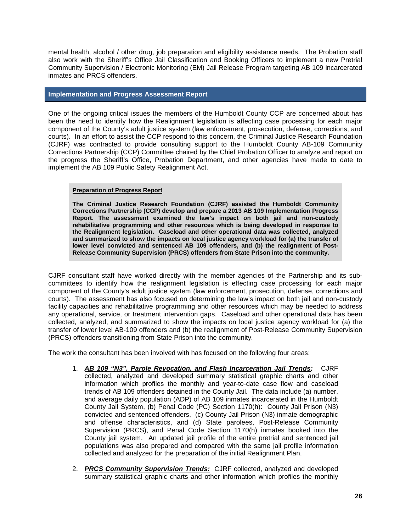mental health, alcohol / other drug, job preparation and eligibility assistance needs. The Probation staff also work with the Sheriff's Office Jail Classification and Booking Officers to implement a new Pretrial Community Supervision / Electronic Monitoring (EM) Jail Release Program targeting AB 109 incarcerated inmates and PRCS offenders.

#### **Implementation and Progress Assessment Report**

One of the ongoing critical issues the members of the Humboldt County CCP are concerned about has been the need to identify how the Realignment legislation is affecting case processing for each major component of the County's adult justice system (law enforcement, prosecution, defense, corrections, and courts). In an effort to assist the CCP respond to this concern, the Criminal Justice Research Foundation (CJRF) was contracted to provide consulting support to the Humboldt County AB-109 Community Corrections Partnership (CCP) Committee chaired by the Chief Probation Officer to analyze and report on the progress the Sheriff's Office, Probation Department, and other agencies have made to date to implement the AB 109 Public Safety Realignment Act.

#### **Preparation of Progress Report**

**The Criminal Justice Research Foundation (CJRF) assisted the Humboldt Community Corrections Partnership (CCP) develop and prepare a 2013 AB 109 Implementation Progress Report. The assessment examined the law's impact on both jail and non-custody rehabilitative programming and other resources which is being developed in response to the Realignment legislation. Caseload and other operational data was collected, analyzed and summarized to show the impacts on local justice agency workload for (a) the transfer of lower level convicted and sentenced AB 109 offenders, and (b) the realignment of Post-Release Community Supervision (PRCS) offenders from State Prison into the community.**

CJRF consultant staff have worked directly with the member agencies of the Partnership and its subcommittees to identify how the realignment legislation is effecting case processing for each major component of the County's adult justice system (law enforcement, prosecution, defense, corrections and courts). The assessment has also focused on determining the law's impact on both jail and non-custody facility capacities and rehabilitative programming and other resources which may be needed to address any operational, service, or treatment intervention gaps. Caseload and other operational data has been collected, analyzed, and summarized to show the impacts on local justice agency workload for (a) the transfer of lower level AB-109 offenders and (b) the realignment of Post-Release Community Supervision (PRCS) offenders transitioning from State Prison into the community.

The work the consultant has been involved with has focused on the following four areas:

- 1. *AB 109 "N3", Parole Revocation, and Flash Incarceration Jail Trends:* CJRF collected, analyzed and developed summary statistical graphic charts and other information which profiles the monthly and year-to-date case flow and caseload trends of AB 109 offenders detained in the County Jail. The data include (a) number, and average daily population (ADP) of AB 109 inmates incarcerated in the Humboldt County Jail System, (b) Penal Code (PC) Section 1170(h): County Jail Prison (N3) convicted and sentenced offenders, (c) County Jail Prison (N3) inmate demographic and offense characteristics, and (d) State parolees, Post-Release Community Supervision (PRCS), and Penal Code Section 1170(h) inmates booked into the County jail system. An updated jail profile of the entire pretrial and sentenced jail populations was also prepared and compared with the same jail profile information collected and analyzed for the preparation of the initial Realignment Plan.
- 2. *PRCS Community Supervision Trends:* CJRF collected, analyzed and developed summary statistical graphic charts and other information which profiles the monthly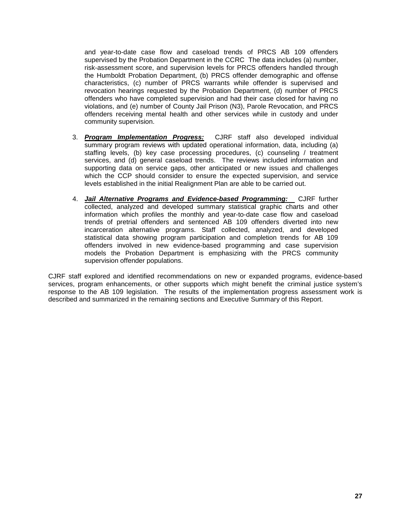and year-to-date case flow and caseload trends of PRCS AB 109 offenders supervised by the Probation Department in the CCRC The data includes (a) number, risk-assessment score, and supervision levels for PRCS offenders handled through the Humboldt Probation Department, (b) PRCS offender demographic and offense characteristics, (c) number of PRCS warrants while offender is supervised and revocation hearings requested by the Probation Department, (d) number of PRCS offenders who have completed supervision and had their case closed for having no violations, and (e) number of County Jail Prison (N3), Parole Revocation, and PRCS offenders receiving mental health and other services while in custody and under community supervision.

- 3. *Program Implementation Progress:* CJRF staff also developed individual summary program reviews with updated operational information, data, including (a) staffing levels, (b) key case processing procedures, (c) counseling / treatment services, and (d) general caseload trends. The reviews included information and supporting data on service gaps, other anticipated or new issues and challenges which the CCP should consider to ensure the expected supervision, and service levels established in the initial Realignment Plan are able to be carried out.
- 4. **Jail Alternative Programs and Evidence-based Programming:** CJRF further collected, analyzed and developed summary statistical graphic charts and other information which profiles the monthly and year-to-date case flow and caseload trends of pretrial offenders and sentenced AB 109 offenders diverted into new incarceration alternative programs. Staff collected, analyzed, and developed statistical data showing program participation and completion trends for AB 109 offenders involved in new evidence-based programming and case supervision models the Probation Department is emphasizing with the PRCS community supervision offender populations.

CJRF staff explored and identified recommendations on new or expanded programs, evidence-based services, program enhancements, or other supports which might benefit the criminal justice system's response to the AB 109 legislation. The results of the implementation progress assessment work is described and summarized in the remaining sections and Executive Summary of this Report.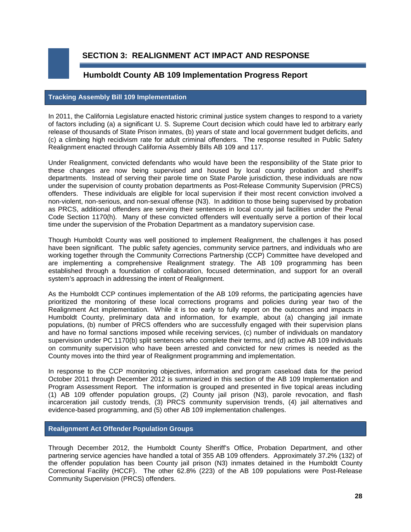**SECTION 3: REALIGNMENT ACT IMPACT AND RESPONSE**

## **Humboldt County AB 109 Implementation Progress Report**

#### **Tracking Assembly Bill 109 Implementation**

In 2011, the California Legislature enacted historic criminal justice system changes to respond to a variety of factors including (a) a significant U. S. Supreme Court decision which could have led to arbitrary early release of thousands of State Prison inmates, (b) years of state and local government budget deficits, and (c) a climbing high recidivism rate for adult criminal offenders. The response resulted in Public Safety Realignment enacted through California Assembly Bills AB 109 and 117.

Under Realignment, convicted defendants who would have been the responsibility of the State prior to these changes are now being supervised and housed by local county probation and sheriff's departments. Instead of serving their parole time on State Parole jurisdiction, these individuals are now under the supervision of county probation departments as Post-Release Community Supervision (PRCS) offenders. These individuals are eligible for local supervision if their most recent conviction involved a non-violent, non-serious, and non-sexual offense (N3). In addition to those being supervised by probation as PRCS, additional offenders are serving their sentences in local county jail facilities under the Penal Code Section 1170(h). Many of these convicted offenders will eventually serve a portion of their local time under the supervision of the Probation Department as a mandatory supervision case.

Though Humboldt County was well positioned to implement Realignment, the challenges it has posed have been significant. The public safety agencies, community service partners, and individuals who are working together through the Community Corrections Partnership (CCP) Committee have developed and are implementing a comprehensive Realignment strategy. The AB 109 programming has been established through a foundation of collaboration, focused determination, and support for an overall system's approach in addressing the intent of Realignment.

As the Humboldt CCP continues implementation of the AB 109 reforms, the participating agencies have prioritized the monitoring of these local corrections programs and policies during year two of the Realignment Act implementation. While it is too early to fully report on the outcomes and impacts in Humboldt County, preliminary data and information, for example, about (a) changing jail inmate populations, (b) number of PRCS offenders who are successfully engaged with their supervision plans and have no formal sanctions imposed while receiving services, (c) number of individuals on mandatory supervision under PC 1170(b) split sentences who complete their terms, and (d) active AB 109 individuals on community supervision who have been arrested and convicted for new crimes is needed as the County moves into the third year of Realignment programming and implementation.

In response to the CCP monitoring objectives, information and program caseload data for the period October 2011 through December 2012 is summarized in this section of the AB 109 Implementation and Program Assessment Report. The information is grouped and presented in five topical areas including (1) AB 109 offender population groups, (2) County jail prison (N3), parole revocation, and flash incarceration jail custody trends, (3) PRCS community supervision trends, (4) jail alternatives and evidence-based programming, and (5) other AB 109 implementation challenges.

### **Realignment Act Offender Population Groups**

Through December 2012, the Humboldt County Sheriff's Office, Probation Department, and other partnering service agencies have handled a total of 355 AB 109 offenders. Approximately 37.2% (132) of the offender population has been County jail prison (N3) inmates detained in the Humboldt County Correctional Facility (HCCF). The other 62.8% (223) of the AB 109 populations were Post-Release Community Supervision (PRCS) offenders.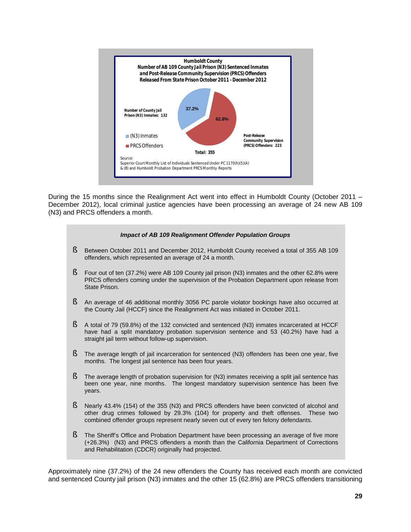

During the 15 months since the Realignment Act went into effect in Humboldt County (October 2011 – December 2012), local criminal justice agencies have been processing an average of 24 new AB 109 (N3) and PRCS offenders a month.



Approximately nine (37.2%) of the 24 new offenders the County has received each month are convicted and sentenced County jail prison (N3) inmates and the other 15 (62.8%) are PRCS offenders transitioning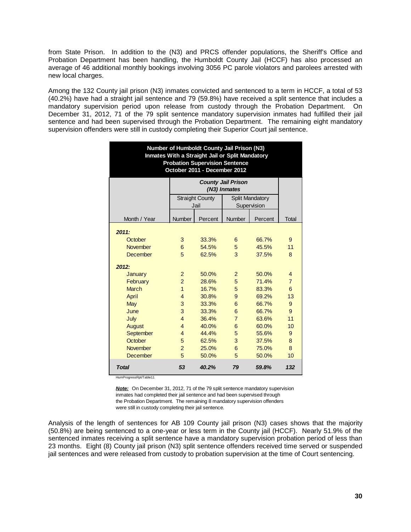from State Prison. In addition to the (N3) and PRCS offender populations, the Sheriff's Office and Probation Department has been handling, the Humboldt County Jail (HCCF) has also processed an average of 46 additional monthly bookings involving 3056 PC parole violators and parolees arrested with new local charges.

Among the 132 County jail prison (N3) inmates convicted and sentenced to a term in HCCF, a total of 53 (40.2%) have had a straight jail sentence and 79 (59.8%) have received a split sentence that includes a mandatory supervision period upon release from custody through the Probation Department. On December 31, 2012, 71 of the 79 split sentence mandatory supervision inmates had fulfilled their jail sentence and had been supervised through the Probation Department. The remaining eight mandatory supervision offenders were still in custody completing their Superior Court jail sentence.

| Number of Humboldt County Jail Prison (N3)<br>Inmates With a Straight Jail or Split Mandatory<br><b>Probation Supervision Sentence</b><br>October 2011 - December 2012 |                |                        |                                           |                        |                |  |  |  |
|------------------------------------------------------------------------------------------------------------------------------------------------------------------------|----------------|------------------------|-------------------------------------------|------------------------|----------------|--|--|--|
|                                                                                                                                                                        |                |                        | <b>County Jail Prison</b><br>(N3) Inmates |                        |                |  |  |  |
|                                                                                                                                                                        |                | <b>Straight County</b> |                                           | <b>Split Mandatory</b> |                |  |  |  |
|                                                                                                                                                                        |                | Jail                   |                                           | Supervision            |                |  |  |  |
| Month / Year                                                                                                                                                           | Number         | Percent                | Number                                    | Percent                | Total          |  |  |  |
| 2011:                                                                                                                                                                  |                |                        |                                           |                        |                |  |  |  |
| October                                                                                                                                                                | 3              | 33.3%                  | 6                                         | 66.7%                  | 9              |  |  |  |
| <b>November</b>                                                                                                                                                        | 6              | 54.5%                  | 5                                         | 45.5%                  | 11             |  |  |  |
| December                                                                                                                                                               | 5              | 62.5%                  | 3                                         | 37.5%                  | 8              |  |  |  |
| 2012:                                                                                                                                                                  |                |                        |                                           |                        |                |  |  |  |
| January                                                                                                                                                                | $\overline{2}$ | 50.0%                  | 2                                         | 50.0%                  | 4              |  |  |  |
| February                                                                                                                                                               | $\overline{2}$ | 28.6%                  | 5                                         | 71.4%                  | $\overline{7}$ |  |  |  |
| <b>March</b>                                                                                                                                                           | $\mathbf{1}$   | 16.7%                  | 5                                         | 83.3%                  | 6              |  |  |  |
| April                                                                                                                                                                  | $\overline{4}$ | 30.8%                  | 9                                         | 69.2%                  | 13             |  |  |  |
| May                                                                                                                                                                    | 3              | 33.3%                  | 6                                         | 66.7%                  | 9              |  |  |  |
| June                                                                                                                                                                   | 3              | 33.3%                  | 6                                         | 66.7%                  | 9              |  |  |  |
| July                                                                                                                                                                   | $\overline{4}$ | 36.4%                  | $\overline{7}$                            | 63.6%                  | 11             |  |  |  |
| August                                                                                                                                                                 | $\overline{4}$ | 40.0%                  | 6                                         | 60.0%                  | 10             |  |  |  |
| September                                                                                                                                                              | $\overline{4}$ | 44.4%                  | 5                                         | 55.6%                  | 9              |  |  |  |
| October                                                                                                                                                                | 5              | 62.5%                  | 3                                         | 37.5%                  | 8              |  |  |  |
| <b>November</b>                                                                                                                                                        | $\overline{2}$ | 25.0%                  | 6                                         | 75.0%                  | 8              |  |  |  |
| <b>December</b>                                                                                                                                                        | 5              | 50.0%                  | 5                                         | 50.0%                  | 10             |  |  |  |
| <b>Total</b>                                                                                                                                                           | 53             | 40.2%                  | 79                                        | 59.8%                  | 132            |  |  |  |

HumProgressRpt/Table11

*Note:* On December 31, 2012, 71 of the 79 split sentence mandatory supervision inmates had completed their jail sentence and had been supervised through the Probation Department. The remaining 8 mandatory supervision offenders were still in custody completing their jail sentence.

Analysis of the length of sentences for AB 109 County jail prison (N3) cases shows that the majority (50.8%) are being sentenced to a one-year or less term in the County jail (HCCF). Nearly 51.9% of the sentenced inmates receiving a split sentence have a mandatory supervision probation period of less than 23 months. Eight (8) County jail prison (N3) split sentence offenders received time served or suspended jail sentences and were released from custody to probation supervision at the time of Court sentencing.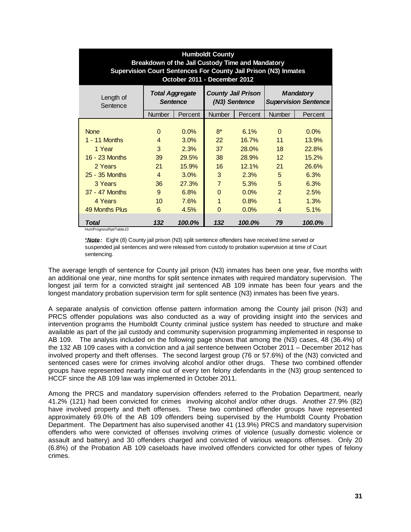| <b>Humboldt County</b><br>Breakdown of the Jail Custody Time and Mandatory<br>Supervision Court Sentences For County Jail Prison (N3) Inmates<br>October 2011 - December 2012 |                                           |                        |                                            |                         |                                                 |                         |  |
|-------------------------------------------------------------------------------------------------------------------------------------------------------------------------------|-------------------------------------------|------------------------|--------------------------------------------|-------------------------|-------------------------------------------------|-------------------------|--|
| Length of<br>Sentence                                                                                                                                                         | <b>Total Aggregate</b><br><b>Sentence</b> |                        | <b>County Jail Prison</b><br>(N3) Sentence |                         | <b>Mandatory</b><br><b>Supervision Sentence</b> |                         |  |
|                                                                                                                                                                               | <b>Number</b>                             | Percent                | <b>Number</b>                              | Percent                 | <b>Number</b>                                   | Percent                 |  |
| <b>None</b><br>1 - 11 Months                                                                                                                                                  | $\Omega$<br>$\overline{4}$<br>3           | 0.0%<br>3.0%           | $8*$<br>22                                 | 6.1%<br>16.7%           | $\Omega$<br>11<br>18                            | 0.0%<br>13.9%           |  |
| 1 Year<br>16 - 23 Months<br>2 Years                                                                                                                                           | 39<br>21                                  | 2.3%<br>29.5%<br>15.9% | 37<br>38<br>16                             | 28.0%<br>28.9%<br>12.1% | 12 <sup>2</sup><br>21                           | 22.8%<br>15.2%<br>26.6% |  |
| 25 - 35 Months<br>3 Years                                                                                                                                                     | 4<br>36                                   | 3.0%<br>27.3%          | 3<br>$\overline{7}$                        | 2.3%<br>5.3%            | 5<br>5                                          | 6.3%<br>6.3%            |  |
| 37 - 47 Months<br>4 Years                                                                                                                                                     | 9<br>10                                   | 6.8%<br>7.6%           | $\Omega$<br>1                              | 0.0%<br>0.8%            | $\overline{2}$<br>1                             | 2.5%<br>1.3%            |  |
| 49 Months Plus<br>Total<br>HumProgressRpt/Table10                                                                                                                             | 6<br>132                                  | 4.5%<br>100.0%         | $\Omega$<br>132                            | 0.0%<br>100.0%          | 4<br>79                                         | 5.1%<br>100.0%          |  |

\**Note:* Eight (8) County jail prison (N3) split sentence offenders have received time served or suspended jail sentences and were released from custody to probation supervision at time of Court sentencing.

The average length of sentence for County jail prison (N3) inmates has been one year, five months with an additional one year, nine months for split sentence inmates with required mandatory supervision. The longest jail term for a convicted straight jail sentenced AB 109 inmate has been four years and the longest mandatory probation supervision term for split sentence (N3) inmates has been five years.

A separate analysis of conviction offense pattern information among the County jail prison (N3) and PRCS offender populations was also conducted as a way of providing insight into the services and intervention programs the Humboldt County criminal justice system has needed to structure and make available as part of the jail custody and community supervision programming implemented in response to AB 109. The analysis included on the following page shows that among the (N3) cases, 48 (36.4%) of the 132 AB 109 cases with a conviction and a jail sentence between October 2011 – December 2012 has involved property and theft offenses. The second largest group (76 or 57.6%) of the (N3) convicted and sentenced cases were for crimes involving alcohol and/or other drugs. These two combined offender groups have represented nearly nine out of every ten felony defendants in the (N3) group sentenced to HCCF since the AB 109 law was implemented in October 2011.

Among the PRCS and mandatory supervision offenders referred to the Probation Department, nearly 41.2% (121) had been convicted for crimes involving alcohol and/or other drugs. Another 27.9% (82) have involved property and theft offenses. These two combined offender groups have represented approximately 69.0% of the AB 109 offenders being supervised by the Humboldt County Probation Department. The Department has also supervised another 41 (13.9%) PRCS and mandatory supervision offenders who were convicted of offenses involving crimes of violence (usually domestic violence or assault and battery) and 30 offenders charged and convicted of various weapons offenses. Only 20 (6.8%) of the Probation AB 109 caseloads have involved offenders convicted for other types of felony crimes.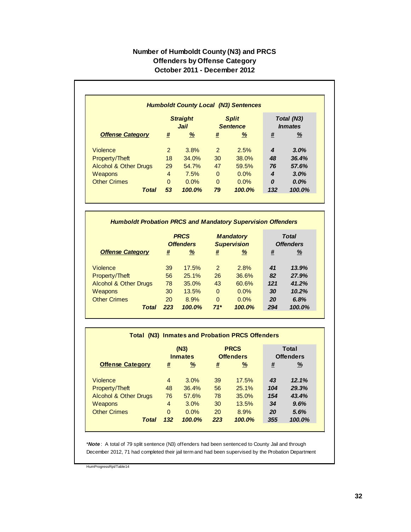## **Number of Humboldt County (N3) and PRCS Offenders by Offense Category October 2011 - December 2012**

|                                  |                         |               |                                 | <b>Humboldt County Local (N3) Sentences</b> |                                     |          |
|----------------------------------|-------------------------|---------------|---------------------------------|---------------------------------------------|-------------------------------------|----------|
|                                  | <b>Straight</b><br>Jail |               | <b>Split</b><br><b>Sentence</b> |                                             | Total (N3)<br><i><b>Inmates</b></i> |          |
| <b>Offense Category</b>          | #                       | $\frac{9}{6}$ | #                               | <u>%</u>                                    | #                                   | <u>%</u> |
| Violence                         | $\overline{2}$          | 3.8%          | $\mathcal{P}$                   | 2.5%                                        | 4                                   | 3.0%     |
| Property/Theft                   | 18                      | 34.0%         | 30                              | 38.0%                                       | 48                                  | 36.4%    |
| <b>Alcohol &amp; Other Drugs</b> | 29                      | 54.7%         | 47                              | 59.5%                                       | 76                                  | 57.6%    |
| Weapons                          | 4                       | 7.5%          | $\Omega$                        | $0.0\%$                                     | 4                                   | 3.0%     |
| <b>Other Crimes</b>              | $\Omega$                | 0.0%          | $\Omega$                        | $0.0\%$                                     | $\boldsymbol{0}$                    | $0.0\%$  |
| <b>Total</b>                     | 53                      | 100.0%        | 79                              | 100.0%                                      | 132                                 | 100.0%   |

#### *Humboldt Probation PRCS and Mandatory Supervision Offenders*

|                                  | <b>PRCS</b><br><b>Offenders</b> |        | <b>Mandatory</b><br><b>Supervision</b> |         | <b>Total</b><br><b>Offenders</b> |          |
|----------------------------------|---------------------------------|--------|----------------------------------------|---------|----------------------------------|----------|
| <b>Offense Category</b>          | #                               | %      | #                                      | %       | #                                | <u>%</u> |
| <b>Violence</b>                  | 39                              | 17.5%  | 2                                      | 2.8%    | 41                               | 13.9%    |
| Property/Theft                   | 56                              | 25.1%  | 26                                     | 36.6%   | 82                               | 27.9%    |
| <b>Alcohol &amp; Other Drugs</b> | 78                              | 35.0%  | 43                                     | 60.6%   | 121                              | 41.2%    |
| <b>Weapons</b>                   | 30                              | 13.5%  | $\Omega$                               | 0.0%    | 30                               | 10.2%    |
| <b>Other Crimes</b>              | 20                              | 8.9%   | $\Omega$                               | $0.0\%$ | 20                               | 6.8%     |
| Total                            | 223                             | 100.0% | $71*$                                  | 100.0%  | 294                              | 100.0%   |

#### **Offense Category # % # % # %** Violence 4 3.0% 39 17.5% *43 12.1%* Property/Theft 48 36.4% 56 25.1% *104 29.3%* Alcohol & Other Drugs 76 57.6% 78 35.0% *154 43.4%* Weapons 4 3.0% 30 13.5% *34 9.6%* Other Crimes 0 0.0% 20 8.9% *20 5.6% Total 132 100.0% 223 100.0% 355 100.0%* **(N3) Inmates PRCS Offenders Total (N3) Inmates and Probation PRCS Offenders Total Offenders**

\**Note* : A total of 79 split sentence (N3) offenders had been sentenced to County Jail and through December 2012, 71 had completed their jail term and had been supervised by the Probation Department

HumProgressRpt/Table14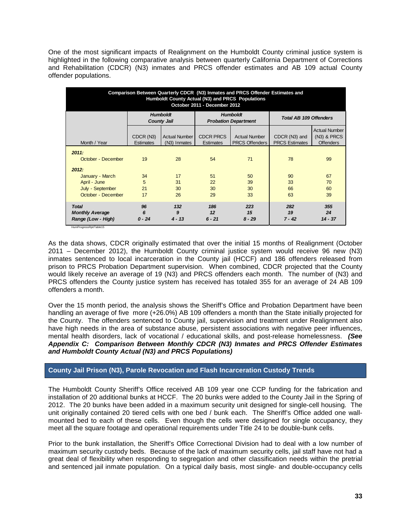One of the most significant impacts of Realignment on the Humboldt County criminal justice system is highlighted in the following comparative analysis between quarterly California Department of Corrections and Rehabilitation (CDCR) (N3) inmates and PRCS offender estimates and AB 109 actual County offender populations.

| Comparison Between Quarterly CDCR (N3) Inmates and PRCS Offender Estimates and<br>Humboldt County Actual (N3) and PRCS Populations<br>October 2011 - December 2012 |                                       |                                      |                                      |                                                |                                        |                                                         |  |  |  |
|--------------------------------------------------------------------------------------------------------------------------------------------------------------------|---------------------------------------|--------------------------------------|--------------------------------------|------------------------------------------------|----------------------------------------|---------------------------------------------------------|--|--|--|
|                                                                                                                                                                    | <b>Humboldt</b><br><b>County Jail</b> |                                      |                                      | <b>Humboldt</b><br><b>Probation Department</b> | <b>Total AB 109 Offenders</b>          |                                                         |  |  |  |
| Month / Year                                                                                                                                                       | CDCR (N3)<br><b>Estimates</b>         | <b>Actual Number</b><br>(N3) Inmates | <b>CDCR PRCS</b><br><b>Estimates</b> | <b>Actual Number</b><br><b>PRCS Offenders</b>  | CDCR (N3) and<br><b>PRCS Estimates</b> | <b>Actual Number</b><br>(N3) & PRCS<br><b>Offenders</b> |  |  |  |
| 2011:<br>October - December                                                                                                                                        | 19                                    | 28                                   | 54                                   | 71                                             | 78                                     | 99                                                      |  |  |  |
| 2012:<br>January - March<br>April - June                                                                                                                           | 34<br>5                               | 17<br>31                             | 51<br>22                             | 50<br>39                                       | 90<br>33                               | 67<br>70                                                |  |  |  |
| July - September<br>October - December                                                                                                                             | 21<br>17                              | 30<br>26                             | 30<br>29                             | 30<br>33                                       | 66<br>63                               | 60<br>39                                                |  |  |  |
| <b>Total</b><br><b>Monthly Average</b><br>Range (Low - High)<br>HumProgressRpt/Table15                                                                             | 96<br>6<br>$0 - 24$                   | 132<br>9<br>$4 - 13$                 | 186<br>12<br>$6 - 21$                | 223<br>15<br>$8 - 29$                          | 282<br>19<br>$7 - 42$                  | 355<br>24<br>$14 - 37$                                  |  |  |  |

As the data shows, CDCR originally estimated that over the initial 15 months of Realignment (October 2011 – December 2012), the Humboldt County criminal justice system would receive 96 new (N3) inmates sentenced to local incarceration in the County jail (HCCF) and 186 offenders released from prison to PRCS Probation Department supervision. When combined, CDCR projected that the County would likely receive an average of 19 (N3) and PRCS offenders each month. The number of (N3) and PRCS offenders the County justice system has received has totaled 355 for an average of 24 AB 109 offenders a month.

Over the 15 month period, the analysis shows the Sheriff's Office and Probation Department have been handling an average of five more (+26.0%) AB 109 offenders a month than the State initially projected for the County. The offenders sentenced to County jail, supervision and treatment under Realignment also have high needs in the area of substance abuse, persistent associations with negative peer influences, mental health disorders, lack of vocational / educational skills, and post-release homelessness. *(See Appendix C: Comparison Between Monthly CDCR (N3) Inmates and PRCS Offender Estimates and Humboldt County Actual (N3) and PRCS Populations)*

### **County Jail Prison (N3), Parole Revocation and Flash Incarceration Custody Trends**

The Humboldt County Sheriff's Office received AB 109 year one CCP funding for the fabrication and installation of 20 additional bunks at HCCF. The 20 bunks were added to the County Jail in the Spring of 2012. The 20 bunks have been added in a maximum security unit designed for single-cell housing. The unit originally contained 20 tiered cells with one bed / bunk each. The Sheriff's Office added one wallmounted bed to each of these cells. Even though the cells were designed for single occupancy, they meet all the square footage and operational requirements under Title 24 to be double-bunk cells.

Prior to the bunk installation, the Sheriff's Office Correctional Division had to deal with a low number of maximum security custody beds. Because of the lack of maximum security cells, jail staff have not had a great deal of flexibility when responding to segregation and other classification needs within the pretrial and sentenced jail inmate population. On a typical daily basis, most single- and double-occupancy cells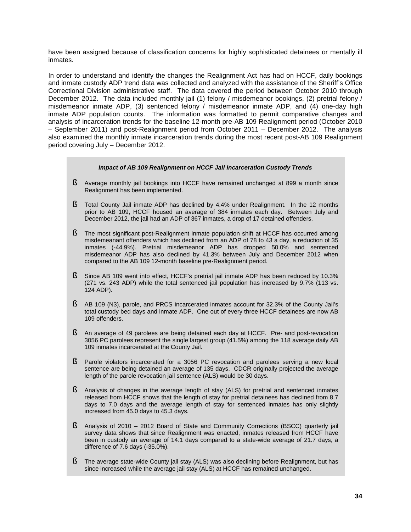have been assigned because of classification concerns for highly sophisticated detainees or mentally ill inmates.

In order to understand and identify the changes the Realignment Act has had on HCCF, daily bookings and inmate custody ADP trend data was collected and analyzed with the assistance of the Sheriff's Office Correctional Division administrative staff. The data covered the period between October 2010 through December 2012. The data included monthly jail (1) felony / misdemeanor bookings, (2) pretrial felony / misdemeanor inmate ADP, (3) sentenced felony / misdemeanor inmate ADP, and (4) one-day high inmate ADP population counts. The information was formatted to permit comparative changes and analysis of incarceration trends for the baseline 12-month pre-AB 109 Realignment period (October 2010 – September 2011) and post-Realignment period from October 2011 – December 2012. The analysis also examined the monthly inmate incarceration trends during the most recent post-AB 109 Realignment period covering July – December 2012.

#### *Impact of AB 109 Realignment on HCCF Jail Incarceration Custody Trends*

- § Average monthly jail bookings into HCCF have remained unchanged at 899 a month since Realignment has been implemented.
- § Total County Jail inmate ADP has declined by 4.4% under Realignment. In the 12 months prior to AB 109, HCCF housed an average of 384 inmates each day. Between July and December 2012, the jail had an ADP of 367 inmates, a drop of 17 detained offenders.
- § The most significant post-Realignment inmate population shift at HCCF has occurred among misdemeanant offenders which has declined from an ADP of 78 to 43 a day, a reduction of 35 inmates (-44.9%). Pretrial misdemeanor ADP has dropped 50.0% and sentenced misdemeanor ADP has also declined by 41.3% between July and December 2012 when compared to the AB 109 12-month baseline pre-Realignment period.
- § Since AB 109 went into effect, HCCF's pretrial jail inmate ADP has been reduced by 10.3% (271 vs. 243 ADP) while the total sentenced jail population has increased by 9.7% (113 vs. 124 ADP).
- § AB 109 (N3), parole, and PRCS incarcerated inmates account for 32.3% of the County Jail's total custody bed days and inmate ADP. One out of every three HCCF detainees are now AB 109 offenders.
- § An average of 49 parolees are being detained each day at HCCF. Pre- and post-revocation 3056 PC parolees represent the single largest group (41.5%) among the 118 average daily AB 109 inmates incarcerated at the County Jail.
- § Parole violators incarcerated for a 3056 PC revocation and parolees serving a new local sentence are being detained an average of 135 days. CDCR originally projected the average length of the parole revocation jail sentence (ALS) would be 30 days.
- § Analysis of changes in the average length of stay (ALS) for pretrial and sentenced inmates released from HCCF shows that the length of stay for pretrial detainees has declined from 8.7 days to 7.0 days and the average length of stay for sentenced inmates has only slightly increased from 45.0 days to 45.3 days.
- § Analysis of 2010 2012 Board of State and Community Corrections (BSCC) quarterly jail survey data shows that since Realignment was enacted, inmates released from HCCF have been in custody an average of 14.1 days compared to a state-wide average of 21.7 days, a difference of 7.6 days (-35.0%).
- **§** The average state-wide County jail stay (ALS) was also declining before Realignment, but has since increased while the average jail stay (ALS) at HCCF has remained unchanged.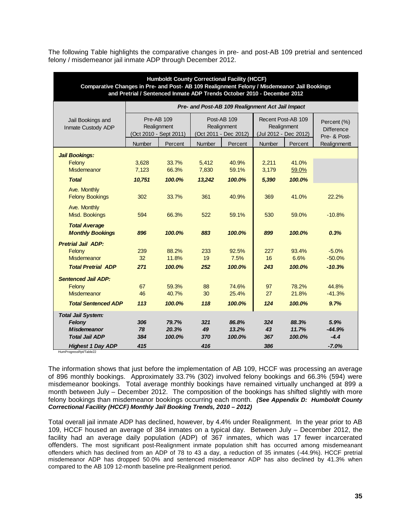The following Table highlights the comparative changes in pre- and post-AB 109 pretrial and sentenced felony / misdemeanor jail inmate ADP through December 2012.

| <b>Humboldt County Correctional Facility (HCCF)</b><br>Comparative Changes in Pre- and Post- AB 109 Realignment Felony / Misdemeanor Jail Bookings<br>and Pretrial / Sentenced Inmate ADP Trends October 2010 - December 2012 |                  |                                                     |                                                  |                                                     |                  |                                                            |                                                  |
|-------------------------------------------------------------------------------------------------------------------------------------------------------------------------------------------------------------------------------|------------------|-----------------------------------------------------|--------------------------------------------------|-----------------------------------------------------|------------------|------------------------------------------------------------|--------------------------------------------------|
|                                                                                                                                                                                                                               |                  |                                                     | Pre- and Post-AB 109 Realignment Act Jail Impact |                                                     |                  |                                                            |                                                  |
| Jail Bookings and<br>Inmate Custody ADP                                                                                                                                                                                       |                  | Pre-AB 109<br>Realignment<br>(Oct 2010 - Sept 2011) |                                                  | Post-AB 109<br>Realignment<br>(Oct 2011 - Dec 2012) |                  | Recent Post-AB 109<br>Realignment<br>(Jul 2012 - Dec 2012) | Percent (%)<br><b>Difference</b><br>Pre- & Post- |
|                                                                                                                                                                                                                               | Number           | Percent                                             | <b>Number</b>                                    | Percent                                             | <b>Number</b>    | Percent                                                    | Realignmentt                                     |
| <b>Jail Bookings:</b><br>Felony<br>Misdemeanor                                                                                                                                                                                | 3,628<br>7,123   | 33.7%<br>66.3%                                      | 5,412<br>7,830                                   | 40.9%<br>59.1%                                      | 2,211<br>3,179   | 41.0%<br>59.0%                                             |                                                  |
| <b>Total</b>                                                                                                                                                                                                                  | 10,751           | 100.0%                                              | 13,242                                           | 100.0%                                              | 5,390            | 100.0%                                                     |                                                  |
| Ave. Monthly<br><b>Felony Bookings</b>                                                                                                                                                                                        | 302              | 33.7%                                               | 361                                              | 40.9%                                               | 369              | 41.0%                                                      | 22.2%                                            |
| Ave. Monthly<br>Misd. Bookings                                                                                                                                                                                                | 594              | 66.3%                                               | 522                                              | 59.1%                                               | 530              | 59.0%                                                      | $-10.8%$                                         |
| <b>Total Average</b><br><b>Monthly Bookings</b>                                                                                                                                                                               | 896              | 100.0%                                              | 883                                              | 100.0%                                              | 899              | 100.0%                                                     | 0.3%                                             |
| <b>Pretrial Jail ADP:</b>                                                                                                                                                                                                     |                  |                                                     |                                                  |                                                     |                  |                                                            |                                                  |
| Felony                                                                                                                                                                                                                        | 239              | 88.2%                                               | 233                                              | 92.5%                                               | 227              | 93.4%                                                      | $-5.0%$                                          |
| Misdemeanor<br><b>Total Pretrial ADP</b>                                                                                                                                                                                      | 32<br>271        | 11.8%<br>100.0%                                     | 19<br>252                                        | 7.5%<br>100.0%                                      | 16<br>243        | 6.6%<br>100.0%                                             | $-50.0%$<br>$-10.3%$                             |
|                                                                                                                                                                                                                               |                  |                                                     |                                                  |                                                     |                  |                                                            |                                                  |
| <b>Sentenced Jail ADP:</b><br>Felony                                                                                                                                                                                          | 67               | 59.3%                                               | 88                                               | 74.6%                                               | 97               | 78.2%                                                      | 44.8%                                            |
| Misdemeanor                                                                                                                                                                                                                   | 46               | 40.7%                                               | 30                                               | 25.4%                                               | 27               | 21.8%                                                      | $-41.3%$                                         |
| <b>Total Sentenced ADP</b>                                                                                                                                                                                                    | 113              | 100.0%                                              | 118                                              | 100.0%                                              | 124              | 100.0%                                                     | 9.7%                                             |
| <b>Total Jail System:</b><br>Felony<br><b>Misdemeanor</b><br><b>Total Jail ADP</b>                                                                                                                                            | 306<br>78<br>384 | 79.7%<br>20.3%<br>100.0%                            | 321<br>49<br>370                                 | 86.8%<br>13.2%<br>100.0%                            | 324<br>43<br>367 | 88.3%<br>11.7%<br>100.0%                                   | 5.9%<br>$-44.9%$<br>$-4.4$                       |
| <b>Highest 1 Day ADP</b>                                                                                                                                                                                                      | 415              |                                                     | 416                                              |                                                     | 386              |                                                            | $-7.0%$                                          |

HumProgressRpt/Table22

The information shows that just before the implementation of AB 109, HCCF was processing an average of 896 monthly bookings. Approximately 33.7% (302) involved felony bookings and 66.3% (594) were misdemeanor bookings. Total average monthly bookings have remained virtually unchanged at 899 a month between July – December 2012. The composition of the bookings has shifted slightly with more felony bookings than misdemeanor bookings occurring each month. *(See Appendix D: Humboldt County Correctional Facility (HCCF) Monthly Jail Booking Trends, 2010 – 2012)*

Total overall jail inmate ADP has declined, however, by 4.4% under Realignment. In the year prior to AB 109, HCCF housed an average of 384 inmates on a typical day. Between July – December 2012, the facility had an average daily population (ADP) of 367 inmates, which was 17 fewer incarcerated offenders. The most significant post-Realignment inmate population shift has occurred among misdemeanant offenders which has declined from an ADP of 78 to 43 a day, a reduction of 35 inmates (-44.9%). HCCF pretrial misdemeanor ADP has dropped 50.0% and sentenced misdemeanor ADP has also declined by 41.3% when compared to the AB 109 12-month baseline pre-Realignment period.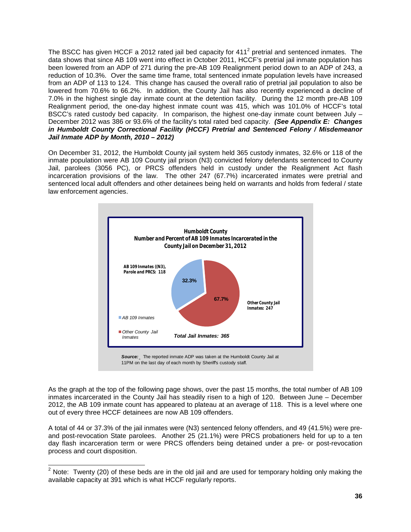The BSCC has given HCCF a 2012 rated jail bed capacity for  $411<sup>2</sup>$  pretrial and sentenced inmates. The data shows that since AB 109 went into effect in October 2011, HCCF's pretrial jail inmate population has been lowered from an ADP of 271 during the pre-AB 109 Realignment period down to an ADP of 243, a reduction of 10.3%. Over the same time frame, total sentenced inmate population levels have increased from an ADP of 113 to 124. This change has caused the overall ratio of pretrial jail population to also be lowered from 70.6% to 66.2%. In addition, the County Jail has also recently experienced a decline of 7.0% in the highest single day inmate count at the detention facility. During the 12 month pre-AB 109 Realignment period, the one-day highest inmate count was 415, which was 101.0% of HCCF's total BSCC's rated custody bed capacity. In comparison, the highest one-day inmate count between July -December 2012 was 386 or 93.6% of the facility's total rated bed capacity. *(See Appendix E: Changes in Humboldt County Correctional Facility (HCCF) Pretrial and Sentenced Felony / Misdemeanor Jail Inmate ADP by Month, 2010 – 2012)*

On December 31, 2012, the Humboldt County jail system held 365 custody inmates, 32.6% or 118 of the inmate population were AB 109 County jail prison (N3) convicted felony defendants sentenced to County Jail, parolees (3056 PC), or PRCS offenders held in custody under the Realignment Act flash incarceration provisions of the law. The other 247 (67.7%) incarcerated inmates were pretrial and sentenced local adult offenders and other detainees being held on warrants and holds from federal / state law enforcement agencies.



As the graph at the top of the following page shows, over the past 15 months, the total number of AB 109 inmates incarcerated in the County Jail has steadily risen to a high of 120. Between June – December 2012, the AB 109 inmate count has appeared to plateau at an average of 118. This is a level where one out of every three HCCF detainees are now AB 109 offenders.

A total of 44 or 37.3% of the jail inmates were (N3) sentenced felony offenders, and 49 (41.5%) were preand post-revocation State parolees. Another 25 (21.1%) were PRCS probationers held for up to a ten day flash incarceration term or were PRCS offenders being detained under a pre- or post-revocation process and court disposition.

 $2$  Note: Twenty (20) of these beds are in the old jail and are used for temporary holding only making the available capacity at 391 which is what HCCF regularly reports.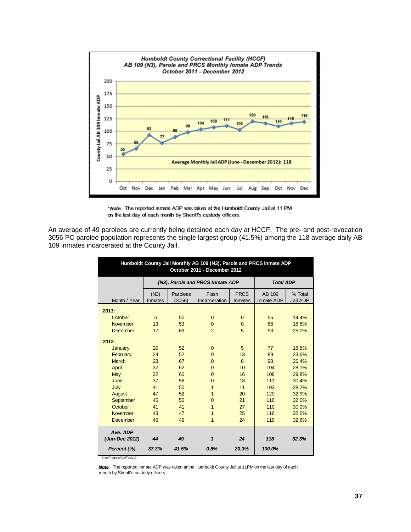

"Mode: The reported inmate ADP was taken at the Humboldt County Jail at 11 PM on the last day of each month by Sheriff's custody officers.

An average of 49 parolees are currently being detained each day at HCCF. The pre- and post-revocation 3056 PC parolee population represents the single largest group (41.5%) among the 118 average daily AB 109 inmates incarcerated at the County Jail.

| Humboldt County Jail Monthly AB 109 (N3), Parole and PRCS Inmate ADP<br>October 2011 - December 2012 |                 |                    |                                  |                        |                      |                     |  |
|------------------------------------------------------------------------------------------------------|-----------------|--------------------|----------------------------------|------------------------|----------------------|---------------------|--|
|                                                                                                      |                 |                    | (N3), Parole and PRCS Inmate ADP |                        | <b>Total ADP</b>     |                     |  |
| Month / Year                                                                                         | (N3)<br>Inmates | Parolees<br>(3056) | Flash<br>Incarceration           | <b>PRCS</b><br>Inmates | AB 109<br>Inmate ADP | % Total<br>Jail ADP |  |
| 2011:                                                                                                |                 |                    |                                  |                        |                      |                     |  |
| October                                                                                              | 5               | 50                 | $\mathbf{0}$                     | $\mathbf{0}$           | 55                   | 14.4%               |  |
| November                                                                                             | 13              | 53                 | $\mathbf{0}$                     | $\overline{0}$         | 66                   | 18.6%               |  |
| <b>December</b>                                                                                      | 17              | 69                 | $\overline{2}$                   | 5                      | 93                   | 25.0%               |  |
| 2012:                                                                                                |                 |                    |                                  |                        |                      |                     |  |
| January                                                                                              | 20              | 52                 | $\mathbf{0}$                     | 5                      | 77                   | 18.8%               |  |
| February                                                                                             | 24              | 52                 | $\Omega$                         | 13                     | 89                   | 23.6%               |  |
| <b>March</b>                                                                                         | 23              | 67                 | $\Omega$                         | 8                      | 98                   | 26.4%               |  |
| April                                                                                                | 32              | 62                 | $\Omega$                         | 10                     | 104                  | 28.1%               |  |
| May                                                                                                  | 32              | 60                 | $\Omega$                         | 16                     | 108                  | 29.8%               |  |
| June                                                                                                 | 37              | 56                 | $\Omega$                         | 18                     | 111                  | 30.4%               |  |
| July                                                                                                 | 41              | 50                 | 1                                | 11                     | 103                  | 28.2%               |  |
| August                                                                                               | 47              | 52                 | 1                                | 20                     | 120                  | 32.9%               |  |
| September                                                                                            | 45              | 50                 | $\Omega$                         | 21                     | 116                  | 32.0%               |  |
| October                                                                                              | 41              | 41                 | 1                                | 27                     | 110                  | 30.0%               |  |
| November                                                                                             | 43              | 47                 | 1                                | 25                     | 116                  | 32.0%               |  |
| <b>December</b>                                                                                      | 45              | 49                 | 1                                | 24                     | 119                  | 32.6%               |  |
| Ave. ADP                                                                                             |                 |                    |                                  |                        |                      |                     |  |
| (Jun-Dec 2012)                                                                                       | 44              | 49                 | 1                                | 24                     | 118                  | 32.3%               |  |
| Percent (%)<br>HumProgressRpt/Table17                                                                | 37.3%           | 41.5%              | 0.8%                             | 20.3%                  | 100.0%               |                     |  |

*Note*: The reported inmate ADP was taken at the Humboldt County Jail at 11PM on the last day of each month by Sheriff's custody officers.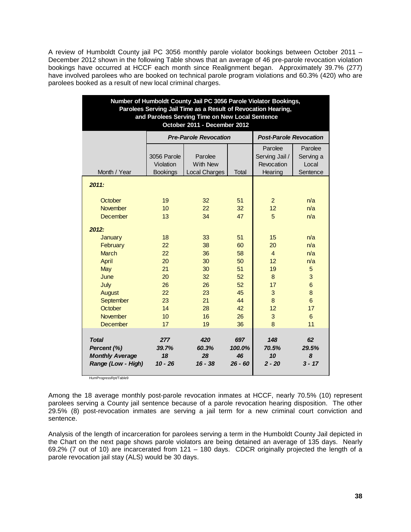A review of Humboldt County jail PC 3056 monthly parole violator bookings between October 2011 – December 2012 shown in the following Table shows that an average of 46 pre-parole revocation violation bookings have occurred at HCCF each month since Realignment began. Approximately 39.7% (277) have involved parolees who are booked on technical parole program violations and 60.3% (420) who are parolees booked as a result of new local criminal charges.

| Number of Humboldt County Jail PC 3056 Parole Violator Bookings,<br>Parolees Serving Jail Time as a Result of Revocation Hearing,<br>and Parolees Serving Time on New Local Sentence<br>October 2011 - December 2012 |                                                                |                                                                |                                                                |                                                                        |                                                                           |  |  |
|----------------------------------------------------------------------------------------------------------------------------------------------------------------------------------------------------------------------|----------------------------------------------------------------|----------------------------------------------------------------|----------------------------------------------------------------|------------------------------------------------------------------------|---------------------------------------------------------------------------|--|--|
|                                                                                                                                                                                                                      |                                                                | <b>Pre-Parole Revocation</b>                                   |                                                                | <b>Post-Parole Revocation</b>                                          |                                                                           |  |  |
| Month / Year                                                                                                                                                                                                         | 3056 Parole<br>Violation<br><b>Bookings</b>                    | Parolee<br><b>With New</b><br>Local Charges                    | Parolee<br>Serving Jail /<br>Revocation<br>Hearing             | Parolee<br>Serving a<br>Local<br>Sentence                              |                                                                           |  |  |
| 2011:                                                                                                                                                                                                                |                                                                |                                                                |                                                                |                                                                        |                                                                           |  |  |
| October<br><b>November</b><br><b>December</b>                                                                                                                                                                        | 19<br>10<br>13                                                 | 32<br>22<br>34                                                 | 51<br>32<br>47                                                 | $\overline{2}$<br>12<br>5                                              | n/a<br>n/a<br>n/a                                                         |  |  |
| 2012:<br>January<br>February<br><b>March</b><br>April<br>May<br>June<br>July<br><b>August</b><br>September<br>October<br><b>November</b>                                                                             | 18<br>22<br>22<br>20<br>21<br>20<br>26<br>22<br>23<br>14<br>10 | 33<br>38<br>36<br>30<br>30<br>32<br>26<br>23<br>21<br>28<br>16 | 51<br>60<br>58<br>50<br>51<br>52<br>52<br>45<br>44<br>42<br>26 | 15<br>20<br>$\overline{4}$<br>12<br>19<br>8<br>17<br>3<br>8<br>12<br>3 | n/a<br>n/a<br>n/a<br>n/a<br>5<br>3<br>6<br>8<br>$6\phantom{1}$<br>17<br>6 |  |  |
| <b>December</b><br>Total<br>Percent (%)<br><b>Monthly Average</b><br>Range (Low - High)                                                                                                                              | 17<br>277<br>39.7%<br>18<br>$10 - 26$                          | 19<br>420<br>60.3%<br>28<br>$16 - 38$                          | 36<br>697<br>100.0%<br>46<br>$26 - 60$                         | 8<br>148<br>70.5%<br>10<br>$2 - 20$                                    | 11<br>62<br>29.5%<br>8<br>$3 - 17$                                        |  |  |

HumProgressRpt/Table9

Among the 18 average monthly post-parole revocation inmates at HCCF, nearly 70.5% (10) represent parolees serving a County jail sentence because of a parole revocation hearing disposition. The other 29.5% (8) post-revocation inmates are serving a jail term for a new criminal court conviction and sentence.

Analysis of the length of incarceration for parolees serving a term in the Humboldt County Jail depicted in the Chart on the next page shows parole violators are being detained an average of 135 days. Nearly 69.2% (7 out of 10) are incarcerated from 121 – 180 days. CDCR originally projected the length of a parole revocation jail stay (ALS) would be 30 days.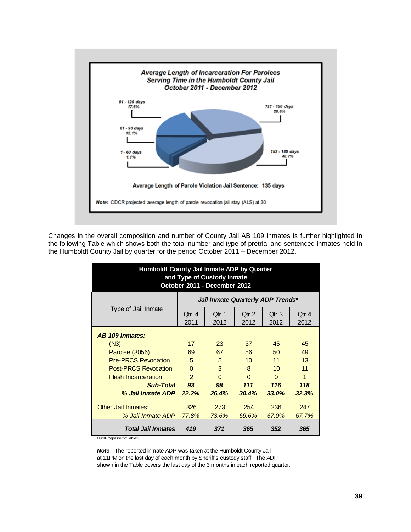

Changes in the overall composition and number of County Jail AB 109 inmates is further highlighted in the following Table which shows both the total number and type of pretrial and sentenced inmates held in the Humboldt County Jail by quarter for the period October 2011 – December 2012.

| Humboldt County Jail Inmate ADP by Quarter<br>and Type of Custody Inmate<br>October 2011 - December 2012 |                                 |                                   |                          |                          |               |  |  |  |  |
|----------------------------------------------------------------------------------------------------------|---------------------------------|-----------------------------------|--------------------------|--------------------------|---------------|--|--|--|--|
|                                                                                                          |                                 | Jail Inmate Quarterly ADP Trends* |                          |                          |               |  |  |  |  |
| Type of Jail Inmate                                                                                      | $Qtr$ 4<br>2011                 | Otr 1<br>2012                     | Qtr <sub>2</sub><br>2012 | Qtr <sub>3</sub><br>2012 | Qtr 4<br>2012 |  |  |  |  |
| AB 109 Inmates:                                                                                          |                                 |                                   |                          |                          |               |  |  |  |  |
| (N3)                                                                                                     | 17                              | 23                                | 37                       | 45                       | 45            |  |  |  |  |
| Parolee (3056)                                                                                           | 69                              | 67                                | 56                       | 50                       | 49            |  |  |  |  |
| <b>Pre-PRCS Revocation</b>                                                                               | 5                               | 5                                 | 10                       | 11                       | 13            |  |  |  |  |
| <b>Post-PRCS Revocation</b>                                                                              | $\Omega$                        | 3                                 | 8                        | 10                       | 11            |  |  |  |  |
| <b>Flash Incarceration</b>                                                                               | $\overline{2}$                  | $\Omega$                          | $\Omega$                 | $\Omega$                 | 1             |  |  |  |  |
| <b>Sub-Total</b>                                                                                         | 93                              | 98                                | 111                      | 116                      | 118           |  |  |  |  |
| % Jail Inmate ADP                                                                                        | 22.2%                           | 26.4%                             | 30.4%                    | 33.0%                    | 32.3%         |  |  |  |  |
| <b>Other Jail Inmates:</b>                                                                               | 326                             | 273                               | 254                      | 236                      | 247           |  |  |  |  |
| % Jail Inmate ADP                                                                                        | 77.8%                           | 73.6%                             | 69.6%                    | 67.0%                    | 67.7%         |  |  |  |  |
| <b>Total Jail Inmates</b><br>HumProgressRpt/Table18                                                      | 419<br>371<br>352<br>365<br>365 |                                   |                          |                          |               |  |  |  |  |

*Note*: The reported inmate ADP was taken at the Humboldt County Jail at 11PM on the last day of each month by Sheriff's custody staff. The ADP shown in the Table covers the last day of the 3 months in each reported quarter.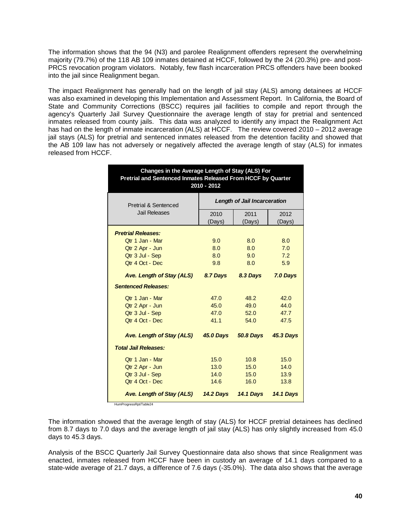The information shows that the 94 (N3) and parolee Realignment offenders represent the overwhelming majority (79.7%) of the 118 AB 109 inmates detained at HCCF, followed by the 24 (20.3%) pre- and post-PRCS revocation program violators. Notably, few flash incarceration PRCS offenders have been booked into the jail since Realignment began.

The impact Realignment has generally had on the length of jail stay (ALS) among detainees at HCCF was also examined in developing this Implementation and Assessment Report. In California, the Board of State and Community Corrections (BSCC) requires jail facilities to compile and report through the agency's Quarterly Jail Survey Questionnaire the average length of stay for pretrial and sentenced inmates released from county jails. This data was analyzed to identify any impact the Realignment Act has had on the length of inmate incarceration (ALS) at HCCF. The review covered 2010 – 2012 average jail stays (ALS) for pretrial and sentenced inmates released from the detention facility and showed that the AB 109 law has not adversely or negatively affected the average length of stay (ALS) for inmates released from HCCF.

| Changes in the Average Length of Stay (ALS) For<br>Pretrial and Sentenced Inmates Released From HCCF by Quarter<br>2010 - 2012 |                              |                  |                  |  |  |  |
|--------------------------------------------------------------------------------------------------------------------------------|------------------------------|------------------|------------------|--|--|--|
| <b>Pretrial &amp; Sentenced</b>                                                                                                | Length of Jail Incarceration |                  |                  |  |  |  |
| <b>Jail Releases</b>                                                                                                           | 2010<br>(Days)               | 2011<br>(Days)   | 2012<br>(Days)   |  |  |  |
| <b>Pretrial Releases:</b>                                                                                                      |                              |                  |                  |  |  |  |
| Otr 1 Jan - Mar                                                                                                                | 9.0                          | 8.0              | 8.0              |  |  |  |
| Qtr 2 Apr - Jun                                                                                                                | 8.0                          | 8.0              | 7.0              |  |  |  |
| Qtr 3 Jul - Sep                                                                                                                | 8.0                          | 9.0              | 7.2              |  |  |  |
| Otr 4 Oct - Dec                                                                                                                | 9.8                          | 8.0              | 5.9              |  |  |  |
| <b>Ave. Length of Stay (ALS)</b>                                                                                               | 8.7 Days                     | 8.3 Days         | 7.0 Days         |  |  |  |
| <b>Sentenced Releases:</b>                                                                                                     |                              |                  |                  |  |  |  |
| Qtr 1 Jan - Mar                                                                                                                | 47.0                         | 48.2             | 42.0             |  |  |  |
| Qtr 2 Apr - Jun                                                                                                                | 45.0                         | 49.0             | 44.0             |  |  |  |
| Qtr 3 Jul - Sep                                                                                                                | 47.0                         | 52.0             | 47.7             |  |  |  |
| Otr 4 Oct - Dec                                                                                                                | 41.1                         | 54.0             | 47.5             |  |  |  |
| <b>Ave. Length of Stay (ALS)</b>                                                                                               | <b>45.0 Days</b>             | <b>50.8 Days</b> | <b>45.3 Days</b> |  |  |  |
| <b>Total Jail Releases:</b>                                                                                                    |                              |                  |                  |  |  |  |
| Otr 1 Jan - Mar                                                                                                                | 15.0                         | 10.8             | 15.0             |  |  |  |
| Qtr 2 Apr - Jun                                                                                                                | 13.0                         | 15.0             | 14.0             |  |  |  |
| Qtr 3 Jul - Sep                                                                                                                | 14.0                         | 15.0             | 13.9             |  |  |  |
| Qtr 4 Oct - Dec                                                                                                                | 14.6                         | 16.0             | 13.8             |  |  |  |
| Ave. Length of Stay (ALS)                                                                                                      | <b>14.2 Days</b>             | <b>14.1 Days</b> | <b>14.1 Days</b> |  |  |  |

HumProgressRpt/Table24

The information showed that the average length of stay (ALS) for HCCF pretrial detainees has declined from 8.7 days to 7.0 days and the average length of jail stay (ALS) has only slightly increased from 45.0 days to 45.3 days.

Analysis of the BSCC Quarterly Jail Survey Questionnaire data also shows that since Realignment was enacted, inmates released from HCCF have been in custody an average of 14.1 days compared to a state-wide average of 21.7 days, a difference of 7.6 days (-35.0%). The data also shows that the average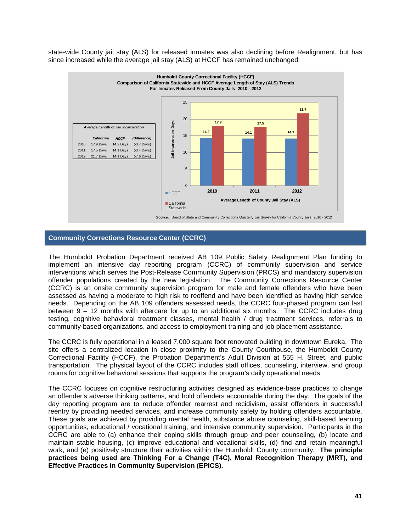state-wide County jail stay (ALS) for released inmates was also declining before Realignment, but has since increased while the average jail stay (ALS) at HCCF has remained unchanged.



### **Community Corrections Resource Center (CCRC)**

The Humboldt Probation Department received AB 109 Public Safety Realignment Plan funding to implement an intensive day reporting program (CCRC) of community supervision and service interventions which serves the Post-Release Community Supervision (PRCS) and mandatory supervision offender populations created by the new legislation. The Community Corrections Resource Center (CCRC) is an onsite community supervision program for male and female offenders who have been assessed as having a moderate to high risk to reoffend and have been identified as having high service needs. Depending on the AB 109 offenders assessed needs, the CCRC four-phased program can last between 9 – 12 months with aftercare for up to an additional six months. The CCRC includes drug testing, cognitive behavioral treatment classes, mental health / drug treatment services, referrals to community-based organizations, and access to employment training and job placement assistance.

The CCRC is fully operational in a leased 7,000 square foot renovated building in downtown Eureka. The site offers a centralized location in close proximity to the County Courthouse, the Humboldt County Correctional Facility (HCCF), the Probation Department's Adult Division at 555 H. Street, and public transportation. The physical layout of the CCRC includes staff offices, counseling, interview, and group rooms for cognitive behavioral sessions that supports the program's daily operational needs.

The CCRC focuses on cognitive restructuring activities designed as evidence-base practices to change an offender's adverse thinking patterns, and hold offenders accountable during the day. The goals of the day reporting program are to reduce offender rearrest and recidivism, assist offenders in successful reentry by providing needed services, and increase community safety by holding offenders accountable. These goals are achieved by providing mental health, substance abuse counseling, skill-based learning opportunities, educational / vocational training, and intensive community supervision. Participants in the CCRC are able to (a) enhance their coping skills through group and peer counseling, (b) locate and maintain stable housing, (c) improve educational and vocational skills, (d) find and retain meaningful work, and (e) positively structure their activities within the Humboldt County community. **The principle practices being used are Thinking For a Change (T4C), Moral Recognition Therapy (MRT), and Effective Practices in Community Supervision (EPICS).**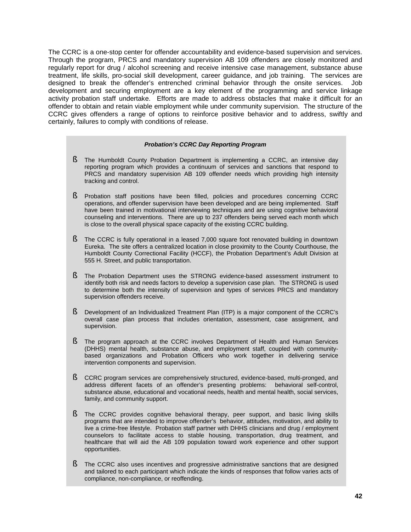The CCRC is a one-stop center for offender accountability and evidence-based supervision and services. Through the program, PRCS and mandatory supervision AB 109 offenders are closely monitored and regularly report for drug / alcohol screening and receive intensive case management, substance abuse treatment, life skills, pro-social skill development, career guidance, and job training. The services are designed to break the offender's entrenched criminal behavior through the onsite services. Job development and securing employment are a key element of the programming and service linkage activity probation staff undertake. Efforts are made to address obstacles that make it difficult for an offender to obtain and retain viable employment while under community supervision. The structure of the CCRC gives offenders a range of options to reinforce positive behavior and to address, swiftly and certainly, failures to comply with conditions of release.

#### *Probation's CCRC Day Reporting Program*

- § The Humboldt County Probation Department is implementing a CCRC, an intensive day reporting program which provides a continuum of services and sanctions that respond to PRCS and mandatory supervision AB 109 offender needs which providing high intensity tracking and control.
- § Probation staff positions have been filled, policies and procedures concerning CCRC operations, and offender supervision have been developed and are being implemented. Staff have been trained in motivational interviewing techniques and are using cognitive behavioral counseling and interventions. There are up to 237 offenders being served each month which is close to the overall physical space capacity of the existing CCRC building.
- § The CCRC is fully operational in a leased 7,000 square foot renovated building in downtown Eureka. The site offers a centralized location in close proximity to the County Courthouse, the Humboldt County Correctional Facility (HCCF), the Probation Department's Adult Division at 555 H. Street, and public transportation.
- § The Probation Department uses the STRONG evidence-based assessment instrument to identify both risk and needs factors to develop a supervision case plan. The STRONG is used to determine both the intensity of supervision and types of services PRCS and mandatory supervision offenders receive.
- § Development of an Individualized Treatment Plan (ITP) is a major component of the CCRC's overall case plan process that includes orientation, assessment, case assignment, and supervision.
- § The program approach at the CCRC involves Department of Health and Human Services (DHHS) mental health, substance abuse, and employment staff, coupled with communitybased organizations and Probation Officers who work together in delivering service intervention components and supervision.
- § CCRC program services are comprehensively structured, evidence-based, multi-pronged, and address different facets of an offender's presenting problems: behavioral self-control, substance abuse, educational and vocational needs, health and mental health, social services, family, and community support.
- § The CCRC provides cognitive behavioral therapy, peer support, and basic living skills programs that are intended to improve offender's behavior, attitudes, motivation, and ability to live a crime-free lifestyle. Probation staff partner with DHHS clinicians and drug / employment counselors to facilitate access to stable housing, transportation, drug treatment, and healthcare that will aid the AB 109 population toward work experience and other support opportunities.
- § The CCRC also uses incentives and progressive administrative sanctions that are designed and tailored to each participant which indicate the kinds of responses that follow varies acts of compliance, non-compliance, or reoffending.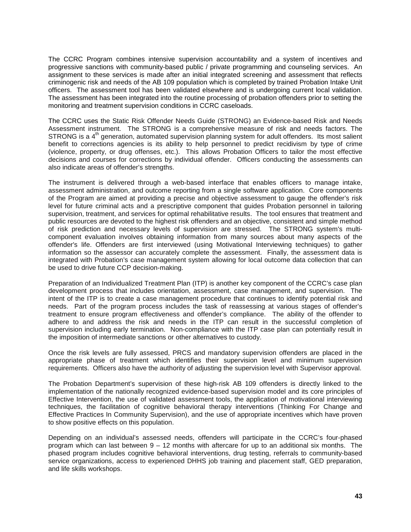The CCRC Program combines intensive supervision accountability and a system of incentives and progressive sanctions with community-based public / private programming and counseling services. An assignment to these services is made after an initial integrated screening and assessment that reflects criminogenic risk and needs of the AB 109 population which is completed by trained Probation Intake Unit officers. The assessment tool has been validated elsewhere and is undergoing current local validation. The assessment has been integrated into the routine processing of probation offenders prior to setting the monitoring and treatment supervision conditions in CCRC caseloads.

The CCRC uses the Static Risk Offender Needs Guide (STRONG) an Evidence-based Risk and Needs Assessment instrument. The STRONG is a comprehensive measure of risk and needs factors. The STRONG is a 4<sup>th</sup> generation, automated supervision planning system for adult offenders. Its most salient benefit to corrections agencies is its ability to help personnel to predict recidivism by type of crime (violence, property, or drug offenses, etc.). This allows Probation Officers to tailor the most effective decisions and courses for corrections by individual offender. Officers conducting the assessments can also indicate areas of offender's strengths.

The instrument is delivered through a web-based interface that enables officers to manage intake, assessment administration, and outcome reporting from a single software application. Core components of the Program are aimed at providing a precise and objective assessment to gauge the offender's risk level for future criminal acts and a prescriptive component that guides Probation personnel in tailoring supervision, treatment, and services for optimal rehabilitative results. The tool ensures that treatment and public resources are devoted to the highest risk offenders and an objective, consistent and simple method of risk prediction and necessary levels of supervision are stressed. The STRONG system's multicomponent evaluation involves obtaining information from many sources about many aspects of the offender's life. Offenders are first interviewed (using Motivational Interviewing techniques) to gather information so the assessor can accurately complete the assessment. Finally, the assessment data is integrated with Probation's case management system allowing for local outcome data collection that can be used to drive future CCP decision-making.

Preparation of an Individualized Treatment Plan (ITP) is another key component of the CCRC's case plan development process that includes orientation, assessment, case management, and supervision. The intent of the ITP is to create a case management procedure that continues to identify potential risk and needs. Part of the program process includes the task of reassessing at various stages of offender's treatment to ensure program effectiveness and offender's compliance. The ability of the offender to adhere to and address the risk and needs in the ITP can result in the successful completion of supervision including early termination. Non-compliance with the ITP case plan can potentially result in the imposition of intermediate sanctions or other alternatives to custody.

Once the risk levels are fully assessed, PRCS and mandatory supervision offenders are placed in the appropriate phase of treatment which identifies their supervision level and minimum supervision requirements. Officers also have the authority of adjusting the supervision level with Supervisor approval.

The Probation Department's supervision of these high-risk AB 109 offenders is directly linked to the implementation of the nationally recognized evidence-based supervision model and its core principles of Effective Intervention, the use of validated assessment tools, the application of motivational interviewing techniques, the facilitation of cognitive behavioral therapy interventions (Thinking For Change and Effective Practices In Community Supervision), and the use of appropriate incentives which have proven to show positive effects on this population.

Depending on an individual's assessed needs, offenders will participate in the CCRC's four-phased program which can last between  $9 - 12$  months with aftercare for up to an additional six months. The phased program includes cognitive behavioral interventions, drug testing, referrals to community-based service organizations, access to experienced DHHS job training and placement staff, GED preparation, and life skills workshops.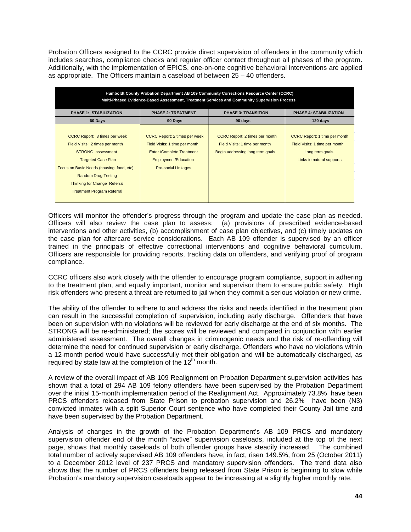Probation Officers assigned to the CCRC provide direct supervision of offenders in the community which includes searches, compliance checks and regular officer contact throughout all phases of the program. Additionally, with the implementation of EPICS, one-on-one cognitive behavioral interventions are applied as appropriate. The Officers maintain a caseload of between  $25 - 40$  offenders.

| Humboldt County Probation Department AB 109 Community Corrections Resource Center (CCRC)<br>Multi-Phased Evidence-Based Assessment, Treatment Services and Community Supervision Process                                                                           |                                                                                                                                                                  |                                                                                                             |                                                                                                                        |  |  |  |  |
|--------------------------------------------------------------------------------------------------------------------------------------------------------------------------------------------------------------------------------------------------------------------|------------------------------------------------------------------------------------------------------------------------------------------------------------------|-------------------------------------------------------------------------------------------------------------|------------------------------------------------------------------------------------------------------------------------|--|--|--|--|
| <b>PHASE 1: STABILIZATION</b>                                                                                                                                                                                                                                      | <b>PHASE 2: TREATMENT</b>                                                                                                                                        | <b>PHASE 3: TRANSITION</b>                                                                                  | <b>PHASE 4: STABILIZATION</b>                                                                                          |  |  |  |  |
| 60 Days                                                                                                                                                                                                                                                            | 90 Days                                                                                                                                                          | 90 days                                                                                                     | 120 days                                                                                                               |  |  |  |  |
| CCRC Report: 3 times per week<br>Field Visits: 2 times per month<br>STRONG assessment<br><b>Targeted Case Plan</b><br>Focus on Basic Needs (housing, food, etc)<br><b>Random Drug Testing</b><br>Thinking for Change Referral<br><b>Treatment Program Referral</b> | <b>CCRC Report: 2 times per week</b><br>Field Visits: 1 time per month<br><b>Enter /Complete Treatment</b><br>Employment/Education<br><b>Pro-social Linkages</b> | <b>CCRC Report: 2 times per month</b><br>Field Visits: 1 time per month<br>Begin addressing long term goals | <b>CCRC Report: 1 time per month</b><br>Field Visits: 1 time per month<br>Long term goals<br>Links to natural supports |  |  |  |  |

Officers will monitor the offender's progress through the program and update the case plan as needed. Officers will also review the case plan to assess: (a) provisions of prescribed evidence-based interventions and other activities, (b) accomplishment of case plan objectives, and (c) timely updates on the case plan for aftercare service considerations. Each AB 109 offender is supervised by an officer trained in the principals of effective correctional interventions and cognitive behavioral curriculum. Officers are responsible for providing reports, tracking data on offenders, and verifying proof of program compliance.

CCRC officers also work closely with the offender to encourage program compliance, support in adhering to the treatment plan, and equally important, monitor and supervisor them to ensure public safety. High risk offenders who present a threat are returned to jail when they commit a serious violation or new crime.

The ability of the offender to adhere to and address the risks and needs identified in the treatment plan can result in the successful completion of supervision, including early discharge. Offenders that have been on supervision with no violations will be reviewed for early discharge at the end of six months. The STRONG will be re-administered; the scores will be reviewed and compared in conjunction with earlier administered assessment. The overall changes in criminogenic needs and the risk of re-offending will determine the need for continued supervision or early discharge. Offenders who have no violations within a 12-month period would have successfully met their obligation and will be automatically discharged, as required by state law at the completion of the  $12<sup>th</sup>$  month.

A review of the overall impact of AB 109 Realignment on Probation Department supervision activities has shown that a total of 294 AB 109 felony offenders have been supervised by the Probation Department over the initial 15-month implementation period of the Realignment Act. Approximately 73.8% have been PRCS offenders released from State Prison to probation supervision and 26.2% have been (N3) convicted inmates with a split Superior Court sentence who have completed their County Jail time and have been supervised by the Probation Department.

Analysis of changes in the growth of the Probation Department's AB 109 PRCS and mandatory supervision offender end of the month "active" supervision caseloads, included at the top of the next page, shows that monthly caseloads of both offender groups have steadily increased. The combined total number of actively supervised AB 109 offenders have, in fact, risen 149.5%, from 25 (October 2011) to a December 2012 level of 237 PRCS and mandatory supervision offenders. The trend data also shows that the number of PRCS offenders being released from State Prison is beginning to slow while Probation's mandatory supervision caseloads appear to be increasing at a slightly higher monthly rate.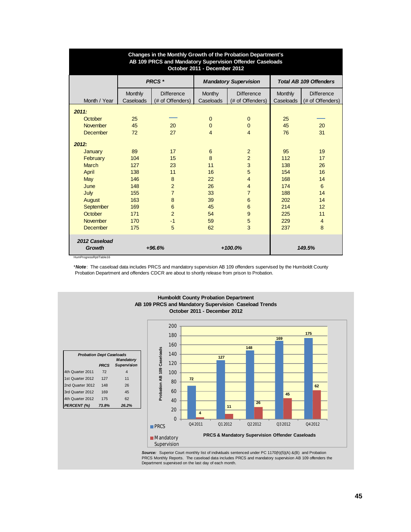| Changes in the Monthly Growth of the Probation Department's<br>AB 109 PRCS and Mandatory Supervision Offender Caseloads<br>October 2011 - December 2012 |                      |                                       |                     |                                       |                      |                                       |  |
|---------------------------------------------------------------------------------------------------------------------------------------------------------|----------------------|---------------------------------------|---------------------|---------------------------------------|----------------------|---------------------------------------|--|
|                                                                                                                                                         |                      | PRCS *                                |                     | <b>Mandatory Supervision</b>          |                      | <b>Total AB 109 Offenders</b>         |  |
| Month / Year                                                                                                                                            | Monthly<br>Caseloads | <b>Difference</b><br>(# of Offenders) | Monthy<br>Caseloads | <b>Difference</b><br>(# of Offenders) | Monthly<br>Caseloads | <b>Difference</b><br>(# of Offenders) |  |
| 2011:                                                                                                                                                   |                      |                                       |                     |                                       |                      |                                       |  |
| October                                                                                                                                                 | 25                   |                                       | $\Omega$            | $\overline{0}$                        | 25                   |                                       |  |
| <b>November</b>                                                                                                                                         | 45                   | 20                                    | $\Omega$            | $\Omega$                              | 45                   | 20                                    |  |
| <b>December</b>                                                                                                                                         | 72                   | 27                                    | $\overline{4}$      | 4                                     | 76                   | 31                                    |  |
| 2012:<br>January                                                                                                                                        | 89                   | 17                                    | 6                   | $\overline{2}$                        | 95                   | 19                                    |  |
| February                                                                                                                                                | 104                  | 15                                    | 8                   | $\overline{2}$                        | 112                  | 17                                    |  |
| <b>March</b><br>April                                                                                                                                   | 127<br>138           | 23<br>11                              | 11<br>16            | 3<br>5                                | 138<br>154           | 26<br>16                              |  |
| May                                                                                                                                                     | 146                  | 8                                     | 22                  | $\overline{4}$                        | 168                  | 14                                    |  |
| June                                                                                                                                                    | 148                  | $\overline{2}$                        | 26                  | 4                                     | 174                  | 6                                     |  |
| July                                                                                                                                                    | 155                  | $\overline{7}$                        | 33                  | $\overline{7}$                        | 188                  | 14                                    |  |
| August                                                                                                                                                  | 163                  | 8                                     | 39                  | 6                                     | 202                  | 14                                    |  |
| September                                                                                                                                               | 169                  | 6                                     | 45                  | 6                                     | 214                  | 12                                    |  |
| October                                                                                                                                                 | 171                  | $\overline{2}$                        | 54                  | 9                                     | 225                  | 11                                    |  |
| November                                                                                                                                                | 170                  | $-1$                                  | 59                  | 5                                     | 229                  | $\overline{4}$                        |  |
| <b>December</b>                                                                                                                                         | 175                  | 5                                     | 62                  | 3                                     | 237                  | 8                                     |  |
| 2012 Caseload<br>Growth                                                                                                                                 |                      | $+96.6%$                              |                     | $+100.0%$                             |                      | 149.5%                                |  |

HumProgressRpt/Table16

\**Note*: The caseload data includes PRCS and mandatory supervision AB 109 offenders supervised by the Humboldt County Probation Department and offenders CDCR are about to shortly release from prison to Probation.



**So***urce:* **Superior Court monthly list of individuals sentenced under PC 1170(h)(5)(A) &(B) and Probation<br>PRCS Monthly Reports. The caseload data includes PRCS and mandatory supervision AB 109 offenders the<br>Department supe**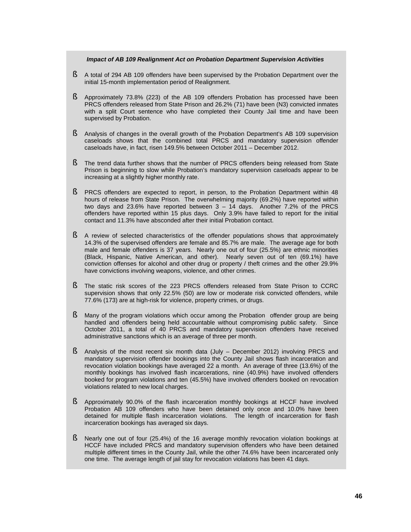#### *Impact of AB 109 Realignment Act on Probation Department Supervision Activities*

- § A total of 294 AB 109 offenders have been supervised by the Probation Department over the initial 15-month implementation period of Realignment.
- § Approximately 73.8% (223) of the AB 109 offenders Probation has processed have been PRCS offenders released from State Prison and 26.2% (71) have been (N3) convicted inmates with a split Court sentence who have completed their County Jail time and have been supervised by Probation.
- § Analysis of changes in the overall growth of the Probation Department's AB 109 supervision caseloads shows that the combined total PRCS and mandatory supervision offender caseloads have, in fact, risen 149.5% between October 2011 – December 2012.
- § The trend data further shows that the number of PRCS offenders being released from State Prison is beginning to slow while Probation's mandatory supervision caseloads appear to be increasing at a slightly higher monthly rate.
- § PRCS offenders are expected to report, in person, to the Probation Department within 48 hours of release from State Prison. The overwhelming majority (69.2%) have reported within two days and 23.6% have reported between 3 – 14 days. Another 7.2% of the PRCS offenders have reported within 15 plus days. Only 3.9% have failed to report for the initial contact and 11.3% have absconded after their initial Probation contact.
- **§** A review of selected characteristics of the offender populations shows that approximately 14.3% of the supervised offenders are female and 85.7% are male. The average age for both male and female offenders is 37 years. Nearly one out of four (25.5%) are ethnic minorities (Black, Hispanic, Native American, and other). Nearly seven out of ten (69.1%) have conviction offenses for alcohol and other drug or property / theft crimes and the other 29.9% have convictions involving weapons, violence, and other crimes.
- § The static risk scores of the 223 PRCS offenders released from State Prison to CCRC supervision shows that only 22.5% (50) are low or moderate risk convicted offenders, while 77.6% (173) are at high-risk for violence, property crimes, or drugs.
- § Many of the program violations which occur among the Probation offender group are being handled and offenders being held accountable without compromising public safety. Since October 2011, a total of 40 PRCS and mandatory supervision offenders have received administrative sanctions which is an average of three per month.
- § Analysis of the most recent six month data (July December 2012) involving PRCS and mandatory supervision offender bookings into the County Jail shows flash incarceration and revocation violation bookings have averaged 22 a month. An average of three (13.6%) of the monthly bookings has involved flash incarcerations, nine (40.9%) have involved offenders booked for program violations and ten (45.5%) have involved offenders booked on revocation violations related to new local charges.
- § Approximately 90.0% of the flash incarceration monthly bookings at HCCF have involved Probation AB 109 offenders who have been detained only once and 10.0% have been detained for multiple flash incarceration violations. The length of incarceration for flash incarceration bookings has averaged six days.
- § Nearly one out of four (25.4%) of the 16 average monthly revocation violation bookings at HCCF have included PRCS and mandatory supervision offenders who have been detained multiple different times in the County Jail, while the other 74.6% have been incarcerated only one time. The average length of jail stay for revocation violations has been 41 days.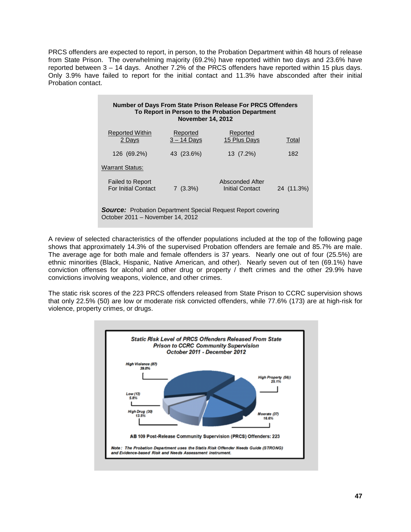PRCS offenders are expected to report, in person, to the Probation Department within 48 hours of release from State Prison. The overwhelming majority (69.2%) have reported within two days and 23.6% have reported between 3 – 14 days. Another 7.2% of the PRCS offenders have reported within 15 plus days. Only 3.9% have failed to report for the initial contact and 11.3% have absconded after their initial Probation contact.

| Number of Days From State Prison Release For PRCS Offenders<br>To Report in Person to the Probation Department<br><b>November 14, 2012</b> |                           |                                    |            |  |  |  |
|--------------------------------------------------------------------------------------------------------------------------------------------|---------------------------|------------------------------------|------------|--|--|--|
| <b>Reported Within</b><br>2 Days                                                                                                           | Reported<br>$3 - 14$ Days | Reported<br>15 Plus Days           | Total      |  |  |  |
| 126 (69.2%)                                                                                                                                | 43 (23.6%)                | 13 (7.2%)                          | 182        |  |  |  |
| <b>Warrant Status:</b>                                                                                                                     |                           |                                    |            |  |  |  |
| <b>Failed to Report</b><br><b>For Initial Contact</b>                                                                                      | $7(3.3\%)$                | Absconded After<br>Initial Contact | 24 (11.3%) |  |  |  |
| <b>Source:</b> Probation Department Special Request Report covering<br>October 2011 – November 14, 2012                                    |                           |                                    |            |  |  |  |

A review of selected characteristics of the offender populations included at the top of the following page shows that approximately 14.3% of the supervised Probation offenders are female and 85.7% are male. The average age for both male and female offenders is 37 years. Nearly one out of four (25.5%) are ethnic minorities (Black, Hispanic, Native American, and other). Nearly seven out of ten (69.1%) have conviction offenses for alcohol and other drug or property / theft crimes and the other 29.9% have convictions involving weapons, violence, and other crimes.

The static risk scores of the 223 PRCS offenders released from State Prison to CCRC supervision shows that only 22.5% (50) are low or moderate risk convicted offenders, while 77.6% (173) are at high-risk for violence, property crimes, or drugs.

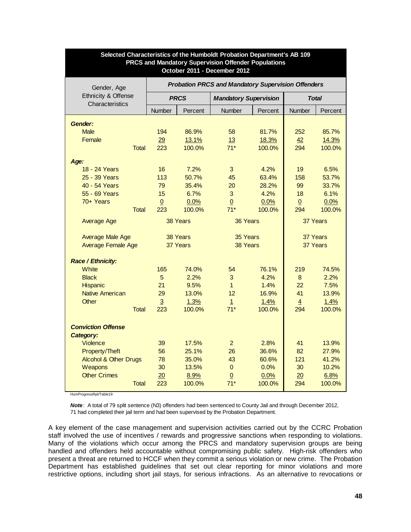| <b>PRCS and Mandatory Supervision Offender Populations</b><br>October 2011 - December 2012 |              |                                                           |             |                              |         |                |              |  |
|--------------------------------------------------------------------------------------------|--------------|-----------------------------------------------------------|-------------|------------------------------|---------|----------------|--------------|--|
| Gender, Age                                                                                |              | <b>Probation PRCS and Mandatory Supervision Offenders</b> |             |                              |         |                |              |  |
| Ethnicity & Offense<br>Characteristics                                                     |              |                                                           | <b>PRCS</b> | <b>Mandatory Supervision</b> |         |                | <b>Total</b> |  |
|                                                                                            |              | Number                                                    | Percent     | Number                       | Percent | Number         | Percent      |  |
| Gender:                                                                                    |              |                                                           |             |                              |         |                |              |  |
| <b>Male</b>                                                                                |              | 194                                                       | 86.9%       | 58                           | 81.7%   | 252            | 85.7%        |  |
| Female                                                                                     |              | 29                                                        | 13.1%       | 13                           | 18.3%   | 42             | 14.3%        |  |
|                                                                                            | <b>Total</b> | 223                                                       | 100.0%      | $71*$                        | 100.0%  | 294            | 100.0%       |  |
| Age:                                                                                       |              |                                                           |             |                              |         |                |              |  |
| 18 - 24 Years                                                                              |              | 16                                                        | 7.2%        | 3                            | 4.2%    | 19             | 6.5%         |  |
| 25 - 39 Years                                                                              |              | 113                                                       | 50.7%       | 45                           | 63.4%   | 158            | 53.7%        |  |
| 40 - 54 Years                                                                              |              | 79                                                        | 35.4%       | 20                           | 28.2%   | 99             | 33.7%        |  |
| 55 - 69 Years                                                                              |              | 15                                                        | 6.7%        | 3                            | 4.2%    | 18             | 6.1%         |  |
| $70+Years$                                                                                 |              | $\underline{0}$                                           | 0.0%        | $\overline{0}$               | 0.0%    | $\overline{0}$ | 0.0%         |  |
|                                                                                            | <b>Total</b> | 223                                                       | 100.0%      | $71*$                        | 100.0%  | 294            | 100.0%       |  |
| <b>Average Age</b>                                                                         |              |                                                           | 38 Years    | 36 Years                     |         | 37 Years       |              |  |
| <b>Average Male Age</b>                                                                    |              | 38 Years                                                  |             | 35 Years                     |         | 37 Years       |              |  |
| <b>Average Female Age</b>                                                                  |              |                                                           | 37 Years    | 38 Years                     |         | 37 Years       |              |  |
| Race / Ethnicity:                                                                          |              |                                                           |             |                              |         |                |              |  |
| White                                                                                      |              | 165                                                       | 74.0%       | 54                           | 76.1%   | 219            | 74.5%        |  |
| <b>Black</b>                                                                               |              | $\overline{5}$                                            | 2.2%        | 3                            | 4.2%    | 8              | 2.2%         |  |
| Hispanic                                                                                   |              | 21                                                        | 9.5%        | $\mathbf{1}$                 | 1.4%    | 22             | 7.5%         |  |
| <b>Native American</b>                                                                     |              | 29                                                        | 13.0%       | 12                           | 16.9%   | 41             | 13.9%        |  |
| <b>Other</b>                                                                               |              | $\overline{3}$                                            | 1.3%        | $\mathbf{1}$                 | 1.4%    | $\overline{4}$ | 1.4%         |  |
|                                                                                            | <b>Total</b> | 223                                                       | 100.0%      | $71*$                        | 100.0%  | 294            | 100.0%       |  |
| <b>Conviction Offense</b><br>Category:                                                     |              |                                                           |             |                              |         |                |              |  |
| Violence                                                                                   |              | 39                                                        | 17.5%       | $\overline{2}$               | 2.8%    | 41             | 13.9%        |  |
| Property/Theft                                                                             |              | 56                                                        | 25.1%       | 26                           | 36.6%   | 82             | 27.9%        |  |
| <b>Alcohol &amp; Other Drugs</b>                                                           |              | 78                                                        | 35.0%       | 43                           | 60.6%   | 121            | 41.2%        |  |
| Weapons                                                                                    |              | 30                                                        | 13.5%       | $\mathbf 0$                  | 0.0%    | 30             | 10.2%        |  |
| <b>Other Crimes</b>                                                                        |              | 20                                                        | 8.9%        | $\overline{0}$               | 0.0%    | 20             | 6.8%         |  |
|                                                                                            | Total        | 223                                                       | 100.0%      | $71*$                        | 100.0%  | 294            | 100.0%       |  |

# **Selected Characteristics of the Humboldt Probation Department's AB 109**

HumProgressRpt/Table19

*Note*: A total of 79 split sentence (N3) offenders had been sentenced to County Jail and through December 2012, 71 had completed their jail term and had been supervised by the Probation Department.

A key element of the case management and supervision activities carried out by the CCRC Probation staff involved the use of incentives / rewards and progressive sanctions when responding to violations. Many of the violations which occur among the PRCS and mandatory supervision groups are being handled and offenders held accountable without compromising public safety. High-risk offenders who present a threat are returned to HCCF when they commit a serious violation or new crime. The Probation Department has established guidelines that set out clear reporting for minor violations and more restrictive options, including short jail stays, for serious infractions. As an alternative to revocations or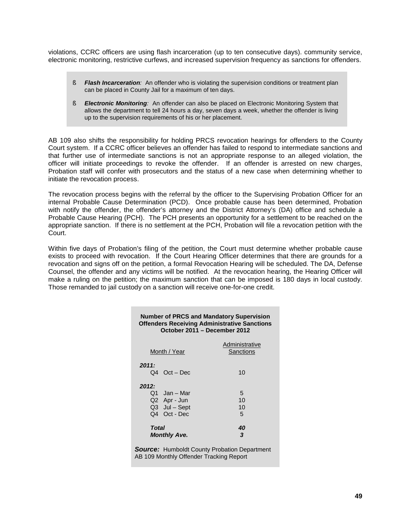violations, CCRC officers are using flash incarceration (up to ten consecutive days). community service, electronic monitoring, restrictive curfews, and increased supervision frequency as sanctions for offenders.

- **§** *Flash Incarceration:* An offender who is violating the supervision conditions or treatment plan can be placed in County Jail for a maximum of ten days.
- § *Electronic Monitoring:* An offender can also be placed on Electronic Monitoring System that allows the department to tell 24 hours a day, seven days a week, whether the offender is living up to the supervision requirements of his or her placement.

AB 109 also shifts the responsibility for holding PRCS revocation hearings for offenders to the County Court system. If a CCRC officer believes an offender has failed to respond to intermediate sanctions and that further use of intermediate sanctions is not an appropriate response to an alleged violation, the officer will initiate proceedings to revoke the offender. If an offender is arrested on new charges, Probation staff will confer with prosecutors and the status of a new case when determining whether to initiate the revocation process.

The revocation process begins with the referral by the officer to the Supervising Probation Officer for an internal Probable Cause Determination (PCD). Once probable cause has been determined, Probation with notify the offender, the offender's attorney and the District Attorney's (DA) office and schedule a Probable Cause Hearing (PCH). The PCH presents an opportunity for a settlement to be reached on the appropriate sanction. If there is no settlement at the PCH, Probation will file a revocation petition with the Court.

Within five days of Probation's filing of the petition, the Court must determine whether probable cause exists to proceed with revocation. If the Court Hearing Officer determines that there are grounds for a revocation and signs off on the petition, a formal Revocation Hearing will be scheduled. The DA, Defense Counsel, the offender and any victims will be notified. At the revocation hearing, the Hearing Officer will make a ruling on the petition; the maximum sanction that can be imposed is 180 days in local custody. Those remanded to jail custody on a sanction will receive one-for-one credit.

|                                                                                                |                                                               | <b>Number of PRCS and Mandatory Supervision</b><br><b>Offenders Receiving Administrative Sanctions</b><br>October 2011 - December 2012 |  |  |  |
|------------------------------------------------------------------------------------------------|---------------------------------------------------------------|----------------------------------------------------------------------------------------------------------------------------------------|--|--|--|
|                                                                                                | Month / Year                                                  | Administrative<br><b>Sanctions</b>                                                                                                     |  |  |  |
| 2011:                                                                                          | Q4 Oct - Dec                                                  | 10                                                                                                                                     |  |  |  |
| 2012:                                                                                          | Q1 Jan – Mar<br>Q2 Apr - Jun<br>Q3 Jul - Sept<br>Q4 Oct - Dec | 5<br>10<br>10<br>5                                                                                                                     |  |  |  |
| <b>Total</b>                                                                                   | <b>Monthly Ave.</b>                                           | 40<br>3                                                                                                                                |  |  |  |
| <b>Source:</b> Humboldt County Probation Department<br>AB 109 Monthly Offender Tracking Report |                                                               |                                                                                                                                        |  |  |  |

**49**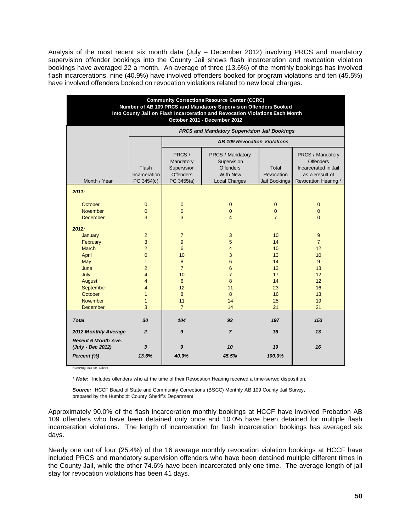Analysis of the most recent six month data (July – December 2012) involving PRCS and mandatory supervision offender bookings into the County Jail shows flash incarceration and revocation violation bookings have averaged 22 a month. An average of three (13.6%) of the monthly bookings has involved flash incarcerations, nine (40.9%) have involved offenders booked for program violations and ten (45.5%) have involved offenders booked on revocation violations related to new local charges.

| <b>Community Corrections Resource Center (CCRC)</b><br>Number of AB 109 PRCS and Mandatory Supervision Offenders Booked<br>Into County Jail on Flash Incarceration and Revocation Violations Each Month<br>October 2011 - December 2012 |                                                                                                                                                 |                                                                                                                        |                                                                                                                       |                                                                                          |                                                                                                          |  |
|-----------------------------------------------------------------------------------------------------------------------------------------------------------------------------------------------------------------------------------------|-------------------------------------------------------------------------------------------------------------------------------------------------|------------------------------------------------------------------------------------------------------------------------|-----------------------------------------------------------------------------------------------------------------------|------------------------------------------------------------------------------------------|----------------------------------------------------------------------------------------------------------|--|
|                                                                                                                                                                                                                                         |                                                                                                                                                 |                                                                                                                        | PRCS and Mandatory Supervision Jail Bookings                                                                          |                                                                                          |                                                                                                          |  |
|                                                                                                                                                                                                                                         |                                                                                                                                                 |                                                                                                                        | <b>AB 109 Revocation Violations</b>                                                                                   |                                                                                          |                                                                                                          |  |
| Month / Year                                                                                                                                                                                                                            | Flash<br>Incarceration<br>PC 3454(c)                                                                                                            | PRCS /<br>Mandatory<br>Supervision<br><b>Offenders</b><br>PC 3455(a)                                                   | PRCS / Mandatory<br>Supervision<br><b>Offenders</b><br><b>With New</b><br><b>Local Charges</b>                        | Total<br>Revocation<br>Jail Bookings                                                     | PRCS / Mandatory<br><b>Offenders</b><br>Incarcerated in Jail<br>as a Result of<br>Revocation Hearing *   |  |
| 2011:                                                                                                                                                                                                                                   |                                                                                                                                                 |                                                                                                                        |                                                                                                                       |                                                                                          |                                                                                                          |  |
| October<br><b>November</b><br><b>December</b><br>2012:<br>January<br>February<br><b>March</b><br>April<br>May<br>June<br>July<br>August<br>September                                                                                    | $\mathbf{0}$<br>0<br>3<br>$\overline{2}$<br>3<br>$\overline{2}$<br>$\overline{0}$<br>$\mathbf{1}$<br>$\overline{2}$<br>$\overline{4}$<br>4<br>4 | $\mathbf 0$<br>$\mathbf 0$<br>3<br>$\overline{7}$<br>9<br>6<br>10<br>8<br>$\overline{7}$<br>10<br>$6\phantom{1}$<br>12 | $\mathbf 0$<br>$\mathbf{0}$<br>$\overline{4}$<br>3<br>5<br>$\overline{4}$<br>3<br>6<br>6<br>$\overline{7}$<br>8<br>11 | $\mathbf 0$<br>0<br>$\overline{7}$<br>10<br>14<br>10<br>13<br>14<br>13<br>17<br>14<br>23 | $\pmb{0}$<br>$\pmb{0}$<br>$\overline{0}$<br>9<br>$\overline{7}$<br>12<br>10<br>9<br>13<br>12<br>12<br>16 |  |
| October<br><b>November</b>                                                                                                                                                                                                              | $\mathbf{1}$<br>$\mathbf{1}$                                                                                                                    | 8<br>11                                                                                                                | 8<br>14                                                                                                               | 16<br>25                                                                                 | 13<br>19                                                                                                 |  |
| <b>December</b>                                                                                                                                                                                                                         | 3                                                                                                                                               | $\overline{7}$                                                                                                         | 14                                                                                                                    | 21                                                                                       | 21                                                                                                       |  |
| <b>Total</b>                                                                                                                                                                                                                            | 30                                                                                                                                              | 104                                                                                                                    | 93                                                                                                                    | 197                                                                                      | 153                                                                                                      |  |
| 2012 Monthly Average                                                                                                                                                                                                                    | $\overline{2}$                                                                                                                                  | 9                                                                                                                      | $\overline{7}$                                                                                                        | 16                                                                                       | 13                                                                                                       |  |
| <b>Recent 6 Month Ave.</b><br>(July - Dec 2012)<br>Percent (%)                                                                                                                                                                          | $\mathbf{3}$<br>13.6%                                                                                                                           | $\boldsymbol{9}$<br>40.9%                                                                                              | 10<br>45.5%                                                                                                           | 19<br>100.0%                                                                             | 16                                                                                                       |  |

\* *Note:* Includes offenders who at the time of their Revocation Hearing received a time-served disposition.

Source: HCCF Board of State and Community Corrections (BSCC) Monthly AB 109 County Jail Survey, prepared by the Humboldt County Sheriff's Department.

Approximately 90.0% of the flash incarceration monthly bookings at HCCF have involved Probation AB 109 offenders who have been detained only once and 10.0% have been detained for multiple flash incarceration violations. The length of incarceration for flash incarceration bookings has averaged six days.

Nearly one out of four (25.4%) of the 16 average monthly revocation violation bookings at HCCF have included PRCS and mandatory supervision offenders who have been detained multiple different times in the County Jail, while the other 74.6% have been incarcerated only one time. The average length of jail stay for revocation violations has been 41 days.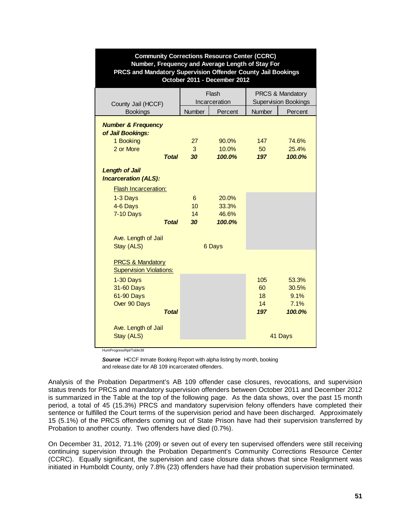| <b>Community Corrections Resource Center (CCRC)</b><br>Number, Frequency and Average Length of Stay For<br>PRCS and Mandatory Supervision Offender County Jail Bookings<br>October 2011 - December 2012 |         |                        |                                                            |                |  |  |
|---------------------------------------------------------------------------------------------------------------------------------------------------------------------------------------------------------|---------|------------------------|------------------------------------------------------------|----------------|--|--|
| County Jail (HCCF)                                                                                                                                                                                      |         | Flash<br>Incarceration | <b>PRCS &amp; Mandatory</b><br><b>Supervision Bookings</b> |                |  |  |
| <b>Bookings</b>                                                                                                                                                                                         | Number  | Percent                | Number                                                     | Percent        |  |  |
| <b>Number &amp; Frequency</b><br>of Jail Bookings:<br>1 Booking<br>2 or More                                                                                                                            | 27<br>3 | 90.0%<br>10.0%         | 147<br>50                                                  | 74.6%<br>25.4% |  |  |
| <b>Total</b>                                                                                                                                                                                            | 30      | 100.0%                 | 197                                                        | 100.0%         |  |  |
| <b>Length of Jail</b><br><b>Incarceration (ALS):</b><br><b>Flash Incarceration:</b>                                                                                                                     |         |                        |                                                            |                |  |  |
| 1-3 Days                                                                                                                                                                                                | 6       | 20.0%                  |                                                            |                |  |  |
| 4-6 Days                                                                                                                                                                                                | 10      | 33.3%                  |                                                            |                |  |  |
| <b>7-10 Days</b>                                                                                                                                                                                        | 14      | 46.6%                  |                                                            |                |  |  |
| <b>Total</b>                                                                                                                                                                                            | 30      | 100.0%                 |                                                            |                |  |  |
| Ave. Length of Jail<br>Stay (ALS)                                                                                                                                                                       |         | 6 Days                 |                                                            |                |  |  |
| <b>PRCS &amp; Mandatory</b><br><b>Supervision Violations:</b>                                                                                                                                           |         |                        |                                                            |                |  |  |
| 1-30 Days                                                                                                                                                                                               |         |                        | 105                                                        | 53.3%          |  |  |
| 31-60 Days                                                                                                                                                                                              |         |                        | 60                                                         | 30.5%          |  |  |
| 61-90 Days                                                                                                                                                                                              |         |                        | 18<br>14                                                   | 9.1%<br>7.1%   |  |  |
| Over 90 Days<br>Total                                                                                                                                                                                   |         |                        | 197                                                        | 100.0%         |  |  |
| Ave. Length of Jail<br>Stay (ALS)                                                                                                                                                                       |         |                        |                                                            | 41 Days        |  |  |
|                                                                                                                                                                                                         |         |                        |                                                            |                |  |  |

HumProgressRpt/Table38

**Source** HCCF Inmate Booking Report with alpha listing by month, booking and release date for AB 109 incarcerated offenders.

Analysis of the Probation Department's AB 109 offender case closures, revocations, and supervision status trends for PRCS and mandatory supervision offenders between October 2011 and December 2012 is summarized in the Table at the top of the following page. As the data shows, over the past 15 month period, a total of 45 (15.3%) PRCS and mandatory supervision felony offenders have completed their sentence or fulfilled the Court terms of the supervision period and have been discharged. Approximately 15 (5.1%) of the PRCS offenders coming out of State Prison have had their supervision transferred by Probation to another county. Two offenders have died (0.7%).

On December 31, 2012, 71.1% (209) or seven out of every ten supervised offenders were still receiving continuing supervision through the Probation Department's Community Corrections Resource Center (CCRC). Equally significant, the supervision and case closure data shows that since Realignment was initiated in Humboldt County, only 7.8% (23) offenders have had their probation supervision terminated.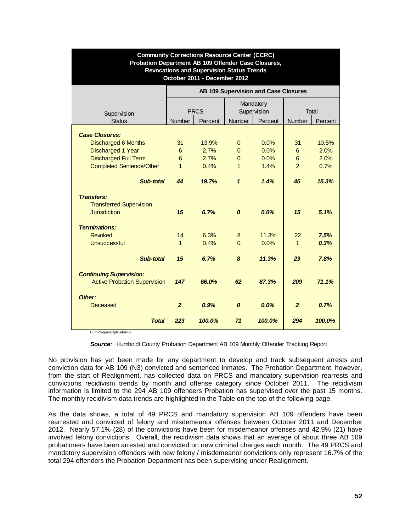| <b>Community Corrections Resource Center (CCRC)</b><br>Probation Department AB 109 Offender Case Closures,<br><b>Revocations and Supervision Status Trends</b><br>October 2011 - December 2012 |                                      |             |                  |             |                |         |  |
|------------------------------------------------------------------------------------------------------------------------------------------------------------------------------------------------|--------------------------------------|-------------|------------------|-------------|----------------|---------|--|
|                                                                                                                                                                                                | AB 109 Supervision and Case Closures |             |                  |             |                |         |  |
|                                                                                                                                                                                                |                                      |             |                  | Mandatory   |                |         |  |
| Supervision                                                                                                                                                                                    |                                      | <b>PRCS</b> |                  | Supervision |                | Total   |  |
| <b>Status</b>                                                                                                                                                                                  | <b>Number</b>                        | Percent     | <b>Number</b>    | Percent     | <b>Number</b>  | Percent |  |
| <b>Case Closures:</b>                                                                                                                                                                          |                                      |             |                  |             |                |         |  |
| <b>Discharged 6 Months</b>                                                                                                                                                                     | 31                                   | 13.9%       | $\mathbf{0}$     | 0.0%        | 31             | 10.5%   |  |
| <b>Discharged 1 Year</b>                                                                                                                                                                       | 6                                    | 2.7%        | $\Omega$         | 0.0%        | 6              | 2.0%    |  |
| <b>Discharged Full Term</b>                                                                                                                                                                    | 6                                    | 2.7%        | $\mathbf{0}$     | 0.0%        | 6              | 2.0%    |  |
| <b>Completed Sentence/Other</b>                                                                                                                                                                | $\mathbf{1}$                         | 0.4%        | $\mathbf{1}$     | 1.4%        | $\mathcal{P}$  | 0.7%    |  |
|                                                                                                                                                                                                |                                      |             |                  |             |                |         |  |
| Sub-total                                                                                                                                                                                      | 44                                   | 19.7%       | $\mathbf{1}$     | 1.4%        | 45             | 15.3%   |  |
| <b>Transfers:</b>                                                                                                                                                                              |                                      |             |                  |             |                |         |  |
| <b>Transferred Supervision</b>                                                                                                                                                                 |                                      |             |                  |             |                |         |  |
| <b>Jurisdiction</b>                                                                                                                                                                            | 15                                   | 6.7%        | $\boldsymbol{o}$ | 0.0%        | 15             | 5.1%    |  |
|                                                                                                                                                                                                |                                      |             |                  |             |                |         |  |
| <b>Terminations:</b>                                                                                                                                                                           |                                      |             |                  |             |                |         |  |
| <b>Revoked</b>                                                                                                                                                                                 | 14                                   | 6.3%        | 8                | 11.3%       | 22             | 7.5%    |  |
| <b>Unsuccessful</b>                                                                                                                                                                            | $\mathbf{1}$                         | 0.4%        | $\Omega$         | 0.0%        | $\overline{1}$ | 0.3%    |  |
| Sub-total                                                                                                                                                                                      | 15                                   | 6.7%        | 8                | 11.3%       | 23             | 7.8%    |  |
|                                                                                                                                                                                                |                                      |             |                  |             |                |         |  |
| <b>Continuing Supervision:</b>                                                                                                                                                                 |                                      |             |                  |             |                |         |  |
| <b>Active Probation Supervision</b>                                                                                                                                                            | 147                                  | 66.0%       | 62               | 87.3%       | 209            | 71.1%   |  |
|                                                                                                                                                                                                |                                      |             |                  |             |                |         |  |
| Other:                                                                                                                                                                                         |                                      |             |                  |             |                |         |  |
| Deceased                                                                                                                                                                                       | $\overline{2}$                       | 0.9%        | 0                | 0.0%        | $\overline{2}$ | 0.7%    |  |
| <b>Total</b>                                                                                                                                                                                   | 223                                  | 100.0%      | 71               | 100.0%      | 294            | 100.0%  |  |

HumProgressRpt/Table40

*Source:* Humboldt County Probation Department AB 109 Monthly Offender Tracking Report

No provision has yet been made for any department to develop and track subsequent arrests and conviction data for AB 109 (N3) convicted and sentenced inmates. The Probation Department, however, from the start of Realignment, has collected data on PRCS and mandatory supervision rearrests and convictions recidivism trends by month and offense category since October 2011. The recidivism information is limited to the 294 AB 109 offenders Probation has supervised over the past 15 months. The monthly recidivism data trends are highlighted in the Table on the top of the following page.

As the data shows, a total of 49 PRCS and mandatory supervision AB 109 offenders have been rearrested and convicted of felony and misdemeanor offenses between October 2011 and December 2012. Nearly 57.1% (28) of the convictions have been for misdemeanor offenses and 42.9% (21) have involved felony convictions. Overall, the recidivism data shows that an average of about three AB 109 probationers have been arrested and convicted on new criminal charges each month. The 49 PRCS and mandatory supervision offenders with new felony / misdemeanor convictions only represent 16.7% of the total 294 offenders the Probation Department has been supervising under Realignment.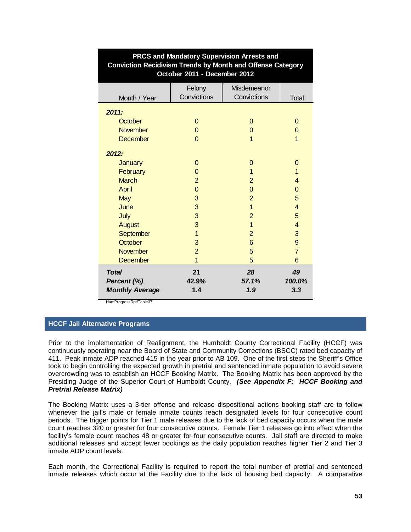| <b>Conviction Recidivism Trends by Month and Offense Category</b><br>October 2011 - December 2012 |                       |                            |                     |  |  |  |  |
|---------------------------------------------------------------------------------------------------|-----------------------|----------------------------|---------------------|--|--|--|--|
| Month / Year                                                                                      | Felony<br>Convictions | Misdemeanor<br>Convictions | <b>Total</b>        |  |  |  |  |
|                                                                                                   |                       |                            |                     |  |  |  |  |
| 2011:                                                                                             |                       |                            |                     |  |  |  |  |
| October                                                                                           | $\Omega$              | $\mathbf 0$                | $\Omega$            |  |  |  |  |
| November                                                                                          | $\mathbf 0$           | $\mathbf 0$                | 0                   |  |  |  |  |
| December                                                                                          | $\Omega$              | 1                          | $\mathbf{1}$        |  |  |  |  |
| 2012:                                                                                             |                       |                            |                     |  |  |  |  |
| January                                                                                           | $\mathbf 0$           | $\mathbf 0$                | 0                   |  |  |  |  |
| February                                                                                          | $\overline{0}$        | 1                          | 1                   |  |  |  |  |
| <b>March</b>                                                                                      | $\overline{2}$        | $\overline{2}$             | 4                   |  |  |  |  |
| April                                                                                             | $\overline{0}$        | $\mathbf 0$                | 0                   |  |  |  |  |
| May                                                                                               | $\mathbf{3}$          | $\overline{2}$             | 5                   |  |  |  |  |
| June                                                                                              | 3                     | $\overline{1}$             | $\overline{4}$      |  |  |  |  |
| July                                                                                              | 3                     | $\overline{2}$             | 5                   |  |  |  |  |
| <b>August</b>                                                                                     | 3                     | $\overline{1}$             | 4                   |  |  |  |  |
| September                                                                                         | $\overline{1}$        | $\overline{2}$             | 3                   |  |  |  |  |
| October                                                                                           | 3                     | 6                          | 9                   |  |  |  |  |
| <b>November</b>                                                                                   | $\overline{2}$        | 5                          | $\overline{7}$      |  |  |  |  |
| December                                                                                          | $\overline{1}$        | 5                          | 6                   |  |  |  |  |
| <b>Total</b><br>Percent (%)<br><b>Monthly Average</b>                                             | 21<br>42.9%<br>1.4    | 28<br>57.1%<br>1.9         | 49<br>100.0%<br>3.3 |  |  |  |  |

# **PRCS and Mandatory Supervision Arrests and**

HumProgressRpt/Table37

## **HCCF Jail Alternative Programs**

Prior to the implementation of Realignment, the Humboldt County Correctional Facility (HCCF) was continuously operating near the Board of State and Community Corrections (BSCC) rated bed capacity of 411. Peak inmate ADP reached 415 in the year prior to AB 109. One of the first steps the Sheriff's Office took to begin controlling the expected growth in pretrial and sentenced inmate population to avoid severe overcrowding was to establish an HCCF Booking Matrix. The Booking Matrix has been approved by the Presiding Judge of the Superior Court of Humboldt County. *(See Appendix F: HCCF Booking and Pretrial Release Matrix)*

The Booking Matrix uses a 3-tier offense and release dispositional actions booking staff are to follow whenever the jail's male or female inmate counts reach designated levels for four consecutive count periods. The trigger points for Tier 1 male releases due to the lack of bed capacity occurs when the male count reaches 320 or greater for four consecutive counts. Female Tier 1 releases go into effect when the facility's female count reaches 48 or greater for four consecutive counts. Jail staff are directed to make additional releases and accept fewer bookings as the daily population reaches higher Tier 2 and Tier 3 inmate ADP count levels.

Each month, the Correctional Facility is required to report the total number of pretrial and sentenced inmate releases which occur at the Facility due to the lack of housing bed capacity. A comparative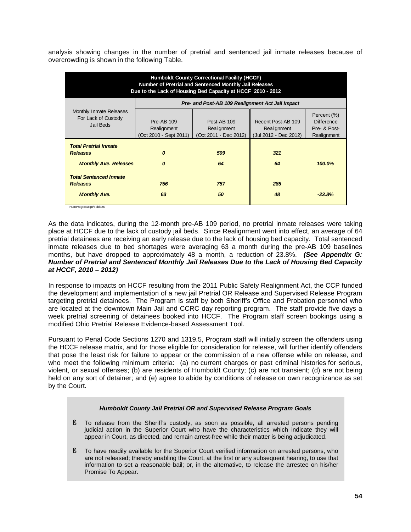analysis showing changes in the number of pretrial and sentenced jail inmate releases because of overcrowding is shown in the following Table.

| <b>Humboldt County Correctional Facility (HCCF)</b><br>Number of Pretrial and Sentenced Monthly Jail Releases<br>Due to the Lack of Housing Bed Capacity at HCCF 2010 - 2012 |                                                            |                                                     |                                                            |                                                                 |  |  |  |  |
|------------------------------------------------------------------------------------------------------------------------------------------------------------------------------|------------------------------------------------------------|-----------------------------------------------------|------------------------------------------------------------|-----------------------------------------------------------------|--|--|--|--|
|                                                                                                                                                                              |                                                            | Pre- and Post-AB 109 Realignment Act Jail Impact    |                                                            |                                                                 |  |  |  |  |
| Monthly Inmate Releases<br>For Lack of Custody<br>Jail Beds                                                                                                                  | <b>Pre-AB 109</b><br>Realignment<br>(Oct 2010 - Sept 2011) | Post-AB 109<br>Realignment<br>(Oct 2011 - Dec 2012) | Recent Post-AB 109<br>Realignment<br>(Jul 2012 - Dec 2012) | Percent (%)<br><b>Difference</b><br>Pre- & Post-<br>Realignment |  |  |  |  |
| <b>Total Pretrial Inmate</b><br><b>Releases</b>                                                                                                                              | 0                                                          | 509                                                 | 321                                                        |                                                                 |  |  |  |  |
| <b>Monthly Ave. Releases</b>                                                                                                                                                 | O                                                          | 64                                                  | 64                                                         | 100.0%                                                          |  |  |  |  |
| <b>Total Sentenced Inmate</b><br><b>Releases</b>                                                                                                                             | 756                                                        | 757                                                 | 285                                                        |                                                                 |  |  |  |  |
| <b>Monthly Ave.</b>                                                                                                                                                          | 63                                                         | 50                                                  | 48                                                         | $-23.8%$                                                        |  |  |  |  |

As the data indicates, during the 12-month pre-AB 109 period, no pretrial inmate releases were taking place at HCCF due to the lack of custody jail beds. Since Realignment went into effect, an average of 64 pretrial detainees are receiving an early release due to the lack of housing bed capacity. Total sentenced inmate releases due to bed shortages were averaging 63 a month during the pre-AB 109 baselines months, but have dropped to approximately 48 a month, a reduction of 23.8%. *(See Appendix G: Number of Pretrial and Sentenced Monthly Jail Releases Due to the Lack of Housing Bed Capacity at HCCF, 2010 – 2012)*

In response to impacts on HCCF resulting from the 2011 Public Safety Realignment Act, the CCP funded the development and implementation of a new jail Pretrial OR Release and Supervised Release Program targeting pretrial detainees. The Program is staff by both Sheriff's Office and Probation personnel who are located at the downtown Main Jail and CCRC day reporting program. The staff provide five days a week pretrial screening of detainees booked into HCCF. The Program staff screen bookings using a modified Ohio Pretrial Release Evidence-based Assessment Tool.

Pursuant to Penal Code Sections 1270 and 1319.5, Program staff will initially screen the offenders using the HCCF release matrix, and for those eligible for consideration for release, will further identify offenders that pose the least risk for failure to appear or the commission of a new offense while on release, and who meet the following minimum criteria: (a) no current charges or past criminal histories for serious, violent, or sexual offenses; (b) are residents of Humboldt County; (c) are not transient; (d) are not being held on any sort of detainer; and (e) agree to abide by conditions of release on own recognizance as set by the Court.

#### *Humboldt County Jail Pretrial OR and Supervised Release Program Goals*

- § To release from the Sheriff's custody, as soon as possible, all arrested persons pending judicial action in the Superior Court who have the characteristics which indicate they will appear in Court, as directed, and remain arrest-free while their matter is being adjudicated.
- § To have readily available for the Superior Court verified information on arrested persons, who are not released; thereby enabling the Court, at the first or any subsequent hearing, to use that information to set a reasonable bail; or, in the alternative, to release the arrestee on his/her Promise To Appear.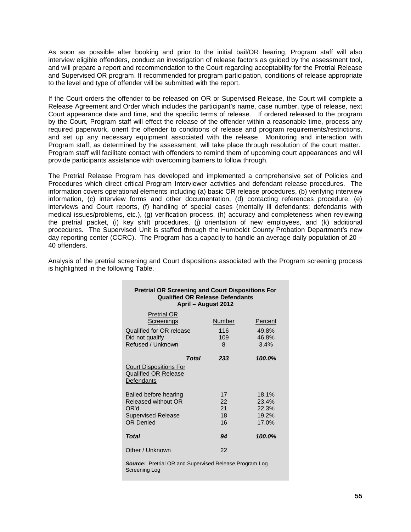As soon as possible after booking and prior to the initial bail/OR hearing, Program staff will also interview eligible offenders, conduct an investigation of release factors as guided by the assessment tool, and will prepare a report and recommendation to the Court regarding acceptability for the Pretrial Release and Supervised OR program. If recommended for program participation, conditions of release appropriate to the level and type of offender will be submitted with the report.

If the Court orders the offender to be released on OR or Supervised Release, the Court will complete a Release Agreement and Order which includes the participant's name, case number, type of release, next Court appearance date and time, and the specific terms of release. If ordered released to the program by the Court, Program staff will effect the release of the offender within a reasonable time, process any required paperwork, orient the offender to conditions of release and program requirements/restrictions, and set up any necessary equipment associated with the release. Monitoring and interaction with Program staff, as determined by the assessment, will take place through resolution of the court matter. Program staff will facilitate contact with offenders to remind them of upcoming court appearances and will provide participants assistance with overcoming barriers to follow through.

The Pretrial Release Program has developed and implemented a comprehensive set of Policies and Procedures which direct critical Program Interviewer activities and defendant release procedures. The information covers operational elements including (a) basic OR release procedures, (b) verifying interview information, (c) interview forms and other documentation, (d) contacting references procedure, (e) interviews and Court reports, (f) handling of special cases (mentally ill defendants; defendants with medical issues/problems, etc.), (g) verification process, (h) accuracy and completeness when reviewing the pretrial packet, (i) key shift procedures, (j) orientation of new employees, and (k) additional procedures. The Supervised Unit is staffed through the Humboldt County Probation Department's new day reporting center (CCRC). The Program has a capacity to handle an average daily population of 20 – 40 offenders.

Analysis of the pretrial screening and Court dispositions associated with the Program screening process is highlighted in the following Table.

| <b>Pretrial OR Screening and Court Dispositions For</b><br><b>Qualified OR Release Defendants</b><br>April – August 2012 |                            |                                           |  |  |  |  |  |
|--------------------------------------------------------------------------------------------------------------------------|----------------------------|-------------------------------------------|--|--|--|--|--|
| <b>Pretrial OR</b><br><b>Screenings</b><br>Qualified for OR release<br>Did not qualify<br>Refused / Unknown              | Number<br>116<br>109<br>8  | Percent<br>49.8%<br>46.8%<br>3.4%         |  |  |  |  |  |
|                                                                                                                          | <b>Total</b><br>233        | 100.0%                                    |  |  |  |  |  |
| <b>Court Dispositions For</b><br><b>Qualified OR Release</b><br>Defendants                                               |                            |                                           |  |  |  |  |  |
| Bailed before hearing<br>Released without OR<br>OR'd<br><b>Supervised Release</b><br><b>OR Denied</b>                    | 17<br>22<br>21<br>18<br>16 | 18.1%<br>23.4%<br>22.3%<br>19.2%<br>17.0% |  |  |  |  |  |
| Total                                                                                                                    | 94                         | 100.0%                                    |  |  |  |  |  |
| Other / Unknown                                                                                                          | 22                         |                                           |  |  |  |  |  |

**Source:** Pretrial OR and Supervised Release Program Log Screening Log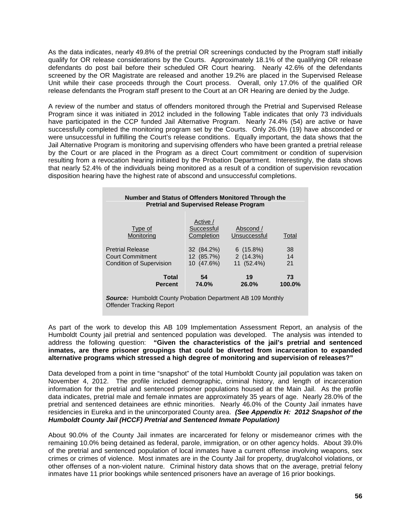As the data indicates, nearly 49.8% of the pretrial OR screenings conducted by the Program staff initially qualify for OR release considerations by the Courts. Approximately 18.1% of the qualifying OR release defendants do post bail before their scheduled OR Court hearing. Nearly 42.6% of the defendants screened by the OR Magistrate are released and another 19.2% are placed in the Supervised Release Unit while their case proceeds through the Court process. Overall, only 17.0% of the qualified OR release defendants the Program staff present to the Court at an OR Hearing are denied by the Judge.

A review of the number and status of offenders monitored through the Pretrial and Supervised Release Program since it was initiated in 2012 included in the following Table indicates that only 73 individuals have participated in the CCP funded Jail Alternative Program. Nearly 74.4% (54) are active or have successfully completed the monitoring program set by the Courts. Only 26.0% (19) have absconded or were unsuccessful in fulfilling the Court's release conditions. Equally important, the data shows that the Jail Alternative Program is monitoring and supervising offenders who have been granted a pretrial release by the Court or are placed in the Program as a direct Court commitment or condition of supervision resulting from a revocation hearing initiated by the Probation Department. Interestingly, the data shows that nearly 52.4% of the individuals being monitored as a result of a condition of supervision revocation disposition hearing have the highest rate of abscond and unsuccessful completions.

| Number and Status of Offenders Monitored Through the<br><b>Pretrial and Supervised Release Program</b> |                                      |                           |        |  |  |  |  |  |
|--------------------------------------------------------------------------------------------------------|--------------------------------------|---------------------------|--------|--|--|--|--|--|
| Type of<br>Monitoring                                                                                  | Active /<br>Successful<br>Completion | Abscond /<br>Unsuccessful | Total  |  |  |  |  |  |
| <b>Pretrial Release</b>                                                                                | 32 (84.2%)                           | $6(15.8\%)$               | 38     |  |  |  |  |  |
| Court Commitment                                                                                       | 12 (85.7%)                           | 2(14.3%)                  | 14     |  |  |  |  |  |
| <b>Condition of Supervision</b>                                                                        | 10 (47.6%)                           | 11 (52.4%)                | 21     |  |  |  |  |  |
| <b>Total</b>                                                                                           | 54                                   | 19                        | 73     |  |  |  |  |  |
| <b>Percent</b>                                                                                         | 74.0%                                | 26.0%                     | 100.0% |  |  |  |  |  |

*Source:* Humboldt County Probation Department AB 109 Monthly Offender Tracking Report

As part of the work to develop this AB 109 Implementation Assessment Report, an analysis of the Humboldt County jail pretrial and sentenced population was developed. The analysis was intended to address the following question: **"Given the characteristics of the jail's pretrial and sentenced inmates, are there prisoner groupings that could be diverted from incarceration to expanded alternative programs which stressed a high degree of monitoring and supervision of releases?"** 

Data developed from a point in time "snapshot" of the total Humboldt County jail population was taken on November 4, 2012. The profile included demographic, criminal history, and length of incarceration information for the pretrial and sentenced prisoner populations housed at the Main Jail. As the profile data indicates, pretrial male and female inmates are approximately 35 years of age. Nearly 28.0% of the pretrial and sentenced detainees are ethnic minorities. Nearly 46.0% of the County Jail inmates have residencies in Eureka and in the unincorporated County area. *(See Appendix H: 2012 Snapshot of the Humboldt County Jail (HCCF) Pretrial and Sentenced Inmate Population)*

About 90.0% of the County Jail inmates are incarcerated for felony or misdemeanor crimes with the remaining 10.0% being detained as federal, parole, immigration, or on other agency holds. About 39.0% of the pretrial and sentenced population of local inmates have a current offense involving weapons, sex crimes or crimes of violence. Most inmates are in the County Jail for property, drug/alcohol violations, or other offenses of a non-violent nature. Criminal history data shows that on the average, pretrial felony inmates have 11 prior bookings while sentenced prisoners have an average of 16 prior bookings.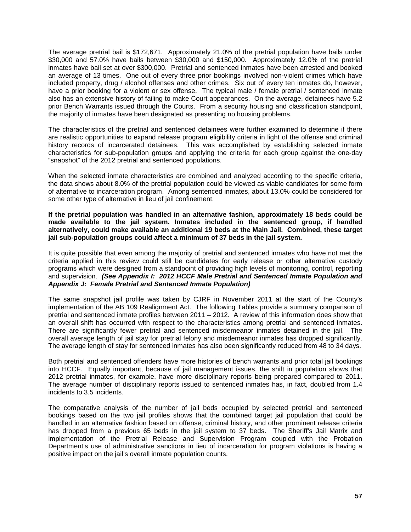The average pretrial bail is \$172,671. Approximately 21.0% of the pretrial population have bails under \$30,000 and 57.0% have bails between \$30,000 and \$150,000. Approximately 12.0% of the pretrial inmates have bail set at over \$300,000. Pretrial and sentenced inmates have been arrested and booked an average of 13 times. One out of every three prior bookings involved non-violent crimes which have included property, drug / alcohol offenses and other crimes. Six out of every ten inmates do, however, have a prior booking for a violent or sex offense. The typical male / female pretrial / sentenced inmate also has an extensive history of failing to make Court appearances. On the average, detainees have 5.2 prior Bench Warrants issued through the Courts. From a security housing and classification standpoint, the majority of inmates have been designated as presenting no housing problems.

The characteristics of the pretrial and sentenced detainees were further examined to determine if there are realistic opportunities to expand release program eligibility criteria in light of the offense and criminal history records of incarcerated detainees. This was accomplished by establishing selected inmate characteristics for sub-population groups and applying the criteria for each group against the one-day "snapshot" of the 2012 pretrial and sentenced populations.

When the selected inmate characteristics are combined and analyzed according to the specific criteria, the data shows about 8.0% of the pretrial population could be viewed as viable candidates for some form of alternative to incarceration program. Among sentenced inmates, about 13.0% could be considered for some other type of alternative in lieu of jail confinement.

**If the pretrial population was handled in an alternative fashion, approximately 18 beds could be made available to the jail system. Inmates included in the sentenced group, if handled alternatively, could make available an additional 19 beds at the Main Jail. Combined, these target jail sub-population groups could affect a minimum of 37 beds in the jail system.**

It is quite possible that even among the majority of pretrial and sentenced inmates who have not met the criteria applied in this review could still be candidates for early release or other alternative custody programs which were designed from a standpoint of providing high levels of monitoring, control, reporting and supervision. *(See Appendix I: 2012 HCCF Male Pretrial and Sentenced Inmate Population and Appendix J: Female Pretrial and Sentenced Inmate Population)*

The same snapshot jail profile was taken by CJRF in November 2011 at the start of the County's implementation of the AB 109 Realignment Act. The following Tables provide a summary comparison of pretrial and sentenced inmate profiles between 2011 – 2012. A review of this information does show that an overall shift has occurred with respect to the characteristics among pretrial and sentenced inmates. There are significantly fewer pretrial and sentenced misdemeanor inmates detained in the jail. The overall average length of jail stay for pretrial felony and misdemeanor inmates has dropped significantly. The average length of stay for sentenced inmates has also been significantly reduced from 48 to 34 days.

Both pretrial and sentenced offenders have more histories of bench warrants and prior total jail bookings into HCCF. Equally important, because of jail management issues, the shift in population shows that 2012 pretrial inmates, for example, have more disciplinary reports being prepared compared to 2011. The average number of disciplinary reports issued to sentenced inmates has, in fact, doubled from 1.4 incidents to 3.5 incidents.

The comparative analysis of the number of jail beds occupied by selected pretrial and sentenced bookings based on the two jail profiles shows that the combined target jail population that could be handled in an alternative fashion based on offense, criminal history, and other prominent release criteria has dropped from a previous 65 beds in the jail system to 37 beds. The Sheriff's Jail Matrix and implementation of the Pretrial Release and Supervision Program coupled with the Probation Department's use of administrative sanctions in lieu of incarceration for program violations is having a positive impact on the jail's overall inmate population counts.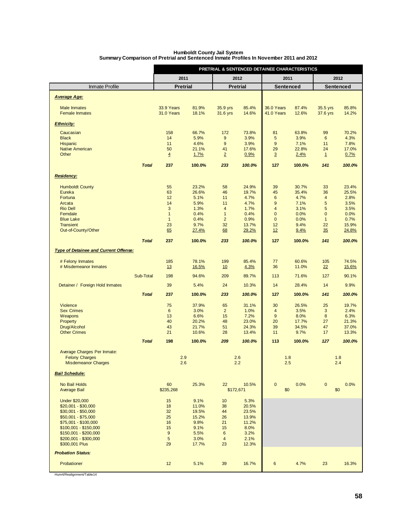| <b>Humboldt County Jail System</b>                                                     |
|----------------------------------------------------------------------------------------|
| Summary Comparison of Pretrial and Sentenced Inmate Profiles In November 2011 and 2012 |

|                                                     |              | PRETRIAL & SENTENCED DETAINEE CHARACTERISTICS |                |                                |                |                                |                |                      |                |
|-----------------------------------------------------|--------------|-----------------------------------------------|----------------|--------------------------------|----------------|--------------------------------|----------------|----------------------|----------------|
|                                                     |              | 2011                                          |                | 2012                           |                | 2011                           |                |                      | 2012           |
| Inmate Profile                                      |              | <b>Pretrial</b>                               |                | <b>Pretrial</b>                |                | <b>Sentenced</b>               |                | <b>Sentenced</b>     |                |
| <b>Average Age:</b>                                 |              |                                               |                |                                |                |                                |                |                      |                |
| <b>Male Inmates</b><br><b>Female Inmates</b>        |              | 33.9 Years<br>31.0 Years                      | 81.9%<br>18.1% | 35.9 yrs<br>31.6 yrs           | 85.4%<br>14.6% | 36.0 Years<br>41.0 Years       | 87.4%<br>12.6% | 35.5 yrs<br>37.6 yrs | 85.8%<br>14.2% |
| <b>Ethnicity:</b>                                   |              |                                               |                |                                |                |                                |                |                      |                |
| Caucasian                                           |              | 158                                           | 66.7%          | 172                            | 73.8%          | 81                             | 63.8%          | 99                   | 70.2%          |
| <b>Black</b><br><b>Hispanic</b>                     |              | 14<br>11                                      | 5.9%<br>4.6%   | 9<br>9                         | 3.9%<br>3.9%   | 5<br>9                         | 3.9%<br>7.1%   | 6<br>11              | 4.3%<br>7.8%   |
| <b>Native American</b>                              |              | 50                                            | 21.1%          | 41                             | 17.6%          | 29                             | 22.8%          | 24                   | 17.0%          |
| Other                                               |              | $\overline{4}$                                | 1.7%           | $\overline{2}$                 | 0.9%           | $\overline{3}$                 | 2.4%           | $\mathbf{1}$         | 0.7%           |
|                                                     | <b>Total</b> | 237                                           | 100.0%         | 233                            | 100.0%         | 127                            | 100.0%         | 141                  | 100.0%         |
| <b>Residency:</b>                                   |              |                                               |                |                                |                |                                |                |                      |                |
| <b>Humboldt County</b>                              |              | 55                                            | 23.2%          | 58                             | 24.9%          | 39                             | 30.7%          | 33                   | 23.4%          |
| Eureka                                              |              | 63                                            | 26.6%          | 46                             | 19.7%          | 45                             | 35.4%          | 36                   | 25.5%          |
| Fortuna                                             |              | 12                                            | 5.1%           | 11                             | 4.7%           | $6\phantom{1}6$                | 4.7%           | $\overline{4}$       | 2.8%           |
| Arcata                                              |              | 14                                            | 5.9%           | 11                             | 4.7%           | $\overline{9}$                 | 7.1%           | 5                    | 3.5%           |
| <b>Rio Dell</b><br>Ferndale                         |              | 3<br>$\mathbf{1}$                             | 1.3%<br>0.4%   | $\overline{4}$<br>$\mathbf{1}$ | 1.7%<br>0.4%   | $\overline{4}$<br>$\mathbf{0}$ | 3.1%<br>0.0%   | 5<br>$\overline{0}$  | 3.5%<br>0.0%   |
| <b>Blue Lake</b>                                    |              | $\mathbf{1}$                                  | 0.4%           | $\overline{2}$                 | 0.9%           | $\mathbf{0}$                   | 0.0%           | $\mathbf{1}$         | 0.7%           |
| <b>Transient</b>                                    |              | 23                                            | 9.7%           | 32                             | 13.7%          | 12                             | 9.4%           | 22                   | 15.9%          |
| Out-of-County/Other                                 |              | 65                                            | 27.4%          | 68                             | 29.2%          | 12                             | 9.4%           | 35                   | 24.8%          |
|                                                     | <b>Total</b> | 237                                           | 100.0%         | 233                            | 100.0%         | 127                            | 100.0%         | 141                  | 100.0%         |
| <b>Type of Detainee and Current Offense:</b>        |              |                                               |                |                                |                |                                |                |                      |                |
| # Felony Inmates                                    |              | 185                                           | 78.1%          | 199                            | 85.4%          | 77                             | 60.6%          | 105                  | 74.5%          |
| # Misdemeanor Inmates                               |              | 13                                            | 16.5%          | 10                             | 4.3%           | 36                             | 11.0%          | 22                   | 15.6%          |
|                                                     | Sub-Total    | 198                                           | 94.6%          | 209                            | 89.7%          | 113                            | 71.6%          | 127                  | 90.1%          |
| Detainer / Foreign Hold Inmates                     |              | 39                                            | 5.4%           | 24                             | 10.3%          | 14                             | 28.4%          | 14                   | 9.9%           |
|                                                     | <b>Total</b> | 237                                           | 100.0%         | 233                            | 100.0%         | 127                            | 100.0%         | 141                  | 100.0%         |
| Violence                                            |              | 75                                            | 37.9%          | 65                             | 31.1%          | 30                             | 26.5%          | 25                   | 19.7%          |
| <b>Sex Crimes</b>                                   |              | 6                                             | 3.0%           | $\overline{2}$                 | 1.0%           | $\overline{4}$                 | 3.5%           | 3                    | 2.4%           |
| Weapons                                             |              | 13                                            | 6.6%           | 15                             | 7.2%           | 9                              | 8.0%           | 8                    | 6.3%           |
| Property                                            |              | 40                                            | 20.2%          | 48                             | 23.0%          | 20                             | 17.7%          | 27                   | 21.3%          |
| Drug/Alcohol                                        |              | 43                                            | 21.7%          | 51                             | 24.3%          | 39                             | 34.5%          | 47                   | 37.0%          |
| <b>Other Crimes</b>                                 |              | 21                                            | 10.6%          | 28                             | 13.4%          | 11                             | 9.7%           | 17                   | 13.3%          |
|                                                     | <b>Total</b> | 198                                           | 100.0%         | 209                            | 100.0%         | 113                            | 100.0%         | 127                  | 100.0%         |
| Average Charges Per Inmate:                         |              | 2.9                                           |                | 2.6                            |                | 1.8                            |                | 1.8                  |                |
| <b>Felony Charges</b><br><b>Misdemeanor Charges</b> |              | 2.6                                           |                | 2.2                            |                | 2.5                            |                |                      | 2.4            |
| <b>Bail Schedule:</b>                               |              |                                               |                |                                |                |                                |                |                      |                |
| No Bail Holds                                       |              | 60                                            | 25.3%          | 22                             | 10.5%          | $\mathbf 0$                    | 0.0%           | $\mathbf 0$          | 0.0%           |
| <b>Average Bail</b>                                 |              | \$235,268                                     |                | \$172,671                      |                | \$0                            |                | \$0                  |                |
| <b>Under \$20,000</b>                               |              | 15                                            | 9.1%           | 10                             | 5.3%           |                                |                |                      |                |
| $$20,001 - $30,000$                                 |              | 18                                            | 11.0%          | 38                             | 20.5%          |                                |                |                      |                |
| $$30,001 - $50,000$<br>$$50,001 - $75,000$          |              | 32<br>25                                      | 19.5%<br>15.2% | 44<br>26                       | 23.5%<br>13.9% |                                |                |                      |                |
| $$75,001 - $100,000$                                |              | 16                                            | 9.8%           | 21                             | 11.2%          |                                |                |                      |                |
| $$100,001 - $150,000$                               |              | 15                                            | 9.1%           | 15                             | 8.0%           |                                |                |                      |                |
| \$150,001 - \$200,000                               |              | 9                                             | 5.5%           | $6\phantom{a}$                 | 3.2%           |                                |                |                      |                |
| \$200,001 - \$300,000                               |              | 5                                             | 3.0%           | $\overline{4}$                 | 2.1%           |                                |                |                      |                |
| \$300,001 Plus                                      |              | 29                                            | 17.7%          | 23                             | 12.3%          |                                |                |                      |                |
| <b>Probation Status:</b>                            |              |                                               |                |                                |                |                                |                |                      |                |
| Probationer                                         |              | 12                                            | 5.1%           | 39                             | 16.7%          | $\boldsymbol{6}$               | 4.7%           | 23                   | 16.3%          |

Hum4/Realignment/Table14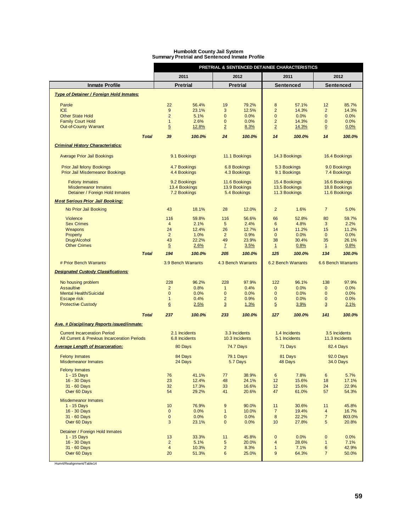|                                                                                         |                                |                          |                            |                                    |                                    | PRETRIAL & SENTENCED DETAINEE CHARACTERISTICS |                               |                                    |
|-----------------------------------------------------------------------------------------|--------------------------------|--------------------------|----------------------------|------------------------------------|------------------------------------|-----------------------------------------------|-------------------------------|------------------------------------|
|                                                                                         |                                | 2011                     |                            | 2012                               |                                    | 2011                                          |                               | 2012                               |
| <b>Inmate Profile</b>                                                                   |                                | <b>Pretrial</b>          |                            | <b>Pretrial</b>                    |                                    | Sentenced                                     |                               | Sentenced                          |
| Type of Detainer / Foreign Hold Inmates:                                                |                                |                          |                            |                                    |                                    |                                               |                               |                                    |
| Parole                                                                                  | 22                             | 56.4%                    | 19                         | 79.2%                              | 8                                  | 57.1%                                         | 12                            | 85.7%                              |
| <b>ICE</b>                                                                              | 9                              | 23.1%                    | 3                          | 12.5%                              | $\overline{2}$                     | 14.3%                                         | $\overline{2}$                | 14.3%                              |
| <b>Other State Hold</b><br><b>Family Court Hold</b>                                     | $\overline{2}$<br>$\mathbf{1}$ | 5.1%<br>2.6%             | $\bf{0}$<br>$\mathbf 0$    | 0.0%<br>0.0%                       | $\mathbf 0$<br>$\overline{2}$      | 0.0%<br>14.3%                                 | $\mathbf 0$<br>$\mathbf 0$    | 0.0%<br>0.0%                       |
| <b>Out-of-County Warrant</b>                                                            | $5\overline{)}$                | 12.8%                    | $\overline{2}$             | 8.3%                               | $\overline{2}$                     | 14.3%                                         | $\overline{0}$                | 0.0%                               |
| <b>Total</b>                                                                            | 39                             | 100.0%                   | 24                         | 100.0%                             | 14                                 | 100.0%                                        | 14                            | 100.0%                             |
| <b>Criminal History Characteristics:</b>                                                |                                |                          |                            |                                    |                                    |                                               |                               |                                    |
| <b>Average Prior Jail Bookings</b>                                                      |                                | 9.1 Bookings             |                            | 11.1 Bookings                      |                                    | 14.3 Bookings                                 |                               | 16.4 Bookings                      |
| <b>Prior Jail felony Bookings</b>                                                       |                                | 4.7 Bookings             |                            | 6.8 Bookings                       |                                    | 5.3 Bookings                                  |                               | 9.0 Bookings                       |
| <b>Prior Jail Misdemeanor Bookings</b>                                                  |                                | 4.4 Bookings             |                            | 4.3 Bookings                       |                                    | 9.1 Bookings                                  |                               | 7.4 Bookings                       |
| <b>Felony Inmates</b>                                                                   |                                | 9.2 Bookings             |                            | 11.6 Bookings                      |                                    | 15.4 Bookings                                 |                               | 16.6 Bookings                      |
| <b>Misdemeanor Inmates</b>                                                              |                                | 13.4 Bookings            |                            | 13.9 Bookings                      |                                    | 13.5 Bookings<br>11.3 Bookings                |                               | 18.8 Bookings                      |
| Detainer / Foreign Hold Inmates                                                         |                                | 7.2 Bookings             |                            | 5.4 Bookings                       |                                    |                                               |                               | 11.6 Bookings                      |
| <b>Most Serious Prior Jail Booking:</b><br>No Prior Jail Booking                        | 43                             | 18.1%                    | 28                         | 12.0%                              | $\overline{2}$                     | 1.6%                                          | $\overline{7}$                | 5.0%                               |
| Violence                                                                                | 116                            | 59.8%                    | 116                        | 56.6%                              | 66                                 | 52.8%                                         | 80                            | 59.7%                              |
| <b>Sex Crimes</b>                                                                       | $\overline{4}$                 | 2.1%                     | 5                          | 2.4%                               | 6                                  | 4.8%                                          | 3                             | 2.2%                               |
| Weapons                                                                                 | 24                             | 12.4%                    | 26                         | 12.7%                              | 14                                 | 11.2%                                         | 15                            | 11.2%                              |
| Property                                                                                | $\overline{2}$                 | 1.0%                     | $\overline{c}$             | 0.9%                               | $\mathbf 0$                        | 0.0%                                          | $\mathbf 0$                   | 0.0%                               |
| Drug/Alcohol<br><b>Other Crimes</b>                                                     | 43<br>$5\overline{)}$          | 22.2%<br>2.6%            | 49<br>$\overline{I}$       | 23.9%<br>3.5%                      | 38<br>1                            | 30.4%<br>0.8%                                 | 35<br>$\mathbf{1}$            | 26.1%<br>0.8%                      |
| <b>Total</b>                                                                            | 194                            | 100.0%                   | 205                        | 100.0%                             | 125                                | 100.0%                                        | 134                           | 100.0%                             |
| # Prior Bench Warrants                                                                  |                                |                          |                            |                                    |                                    |                                               |                               |                                    |
|                                                                                         |                                | 3.9 Bench Warrants       |                            | 4.3 Bench Warrants                 |                                    | 6.2 Bench Warrants                            |                               | 6.6 Bench Warrants                 |
| <b>Designated Custody Classifications:</b>                                              |                                |                          |                            |                                    |                                    |                                               |                               |                                    |
| No housing problem                                                                      | 228                            | 96.2%                    | 228                        | 97.9%                              | 122                                | 96.1%                                         | 138                           | 97.9%                              |
| <b>Assaultive</b>                                                                       | $\overline{2}$                 | 0.8%                     | $\mathbf{1}$               | 0.4%                               | $\mathbf{0}$                       | 0.0%                                          | $\mathbf{0}$                  | 0.0%                               |
| <b>Mental Health/Suicidal</b><br>Escape risk                                            | $\mathbf 0$<br>$\mathbf{1}$    | 0.0%<br>0.4%             | $\bf{0}$<br>$\overline{2}$ | 0.0%<br>0.9%                       | $\mathbf 0$<br>$\mathbf 0$         | 0.0%<br>0.0%                                  | $\mathbf 0$<br>$\mathbf 0$    | 0.0%<br>0.0%                       |
| <b>Protective Custody</b>                                                               | $6 \overline{6}$               | 2.5%                     | $\overline{3}$             | 1.3%                               | $\overline{5}$                     | 3.9%                                          | $\overline{3}$                | 2.1%                               |
| <b>Total</b>                                                                            | 237                            | 100.0%                   | 233                        | 100.0%                             | 127                                | 100.0%                                        | 141                           | 100.0%                             |
| Ave. # Disciplinary Reports issued/inmate:                                              |                                |                          |                            |                                    |                                    |                                               |                               |                                    |
| <b>Current Incarceration Period</b>                                                     |                                | 2.1 Incidents            |                            | 3.3 Incidents                      |                                    | 1.4 Incidents                                 |                               | 3.5 Incidents                      |
| All Current & Previous Incarceration Periods<br><b>Average Length of Incarceration:</b> |                                | 6.8 Incidents<br>80 Days |                            | 10.3 Incidents<br><b>74.7 Days</b> |                                    | 5.1 Incidents<br>71 Days                      |                               | 11.3 Incidents<br><b>82.4 Days</b> |
| <b>Felony Inmates</b>                                                                   |                                | 84 Days                  |                            | <b>79.1 Days</b>                   |                                    | 81 Days                                       |                               | 92.0 Days                          |
| Misdemeanor Inmates                                                                     |                                | 24 Days                  |                            | 5.7 Days                           |                                    | 48 Days                                       |                               | <b>34.0 Days</b>                   |
| <b>Felony Inmates</b><br>1 - 15 Days                                                    | 76                             | 41.1%                    | 77                         | 38.9%                              | 6                                  | 7.8%                                          | 6                             | 5.7%                               |
| 16 - 30 Days                                                                            | 23                             | 12.4%                    | 48                         | 24.1%                              | 12                                 | 15.6%                                         | 18                            | 17.1%                              |
| 31 - 60 Days                                                                            | 32                             | 17.3%                    | 33                         | 16.6%                              | 12                                 | 15.6%                                         | 24                            | 22.9%                              |
| Over 60 Days                                                                            | 54                             | 29.2%                    | 41                         | 20.6%                              | 47                                 | 61.0%                                         | 57                            | 54.3%                              |
| <b>Misdemeanor Inmates</b>                                                              |                                |                          |                            |                                    |                                    |                                               |                               |                                    |
| 1 - 15 Days<br>16 - 30 Days                                                             | 10<br>$\mathbf 0$              | 76.9%<br>0.0%            | 9<br>$\mathbf{1}$          | 90.0%<br>10.0%                     | 11<br>$\overline{7}$               | 30.6%<br>19.4%                                | 11<br>$\overline{\mathbf{4}}$ | 45.8%<br>16.7%                     |
| 31 - 60 Days                                                                            | $\pmb{0}$                      | 0.0%                     | $\pmb{0}$                  | 0.0%                               | $\bf 8$                            | 22.2%                                         | $\overline{7}$                | 803.0%                             |
| Over 60 Days                                                                            | 3                              | 23.1%                    | 0                          | 0.0%                               | 10                                 | 27.8%                                         | 5                             | 20.8%                              |
| Detainer / Foreign Hold Inmates                                                         |                                |                          |                            |                                    |                                    |                                               |                               |                                    |
| 1 - 15 Days<br>16 - 30 Days                                                             | 13<br>$\overline{2}$           | 33.3%<br>5.1%            | 11<br>5                    | 45.8%<br>20.0%                     | $\bf 0$<br>$\overline{\mathbf{4}}$ | 0.0%<br>28.6%                                 | $\pmb{0}$<br>$\mathbf{1}$     | 0.0%<br>7.1%                       |
| 31 - 60 Days                                                                            | $\overline{\mathbf{4}}$        | 10.3%                    | $\overline{\mathbf{c}}$    | 8.3%                               | $\mathbf{1}$                       | 7.1%                                          | $\boldsymbol{6}$              | 42.9%                              |
| Over 60 Days                                                                            | 20                             | 51.3%                    | 6                          | 25.0%                              | $\boldsymbol{9}$                   | 64.3%                                         | $\overline{7}$                | 50.0%                              |
|                                                                                         |                                |                          |                            |                                    |                                    |                                               |                               |                                    |

#### **Humboldt County Jail System Summary Pretrial and Sentenced Inmate Profile**

Hum4/Realignment/Table14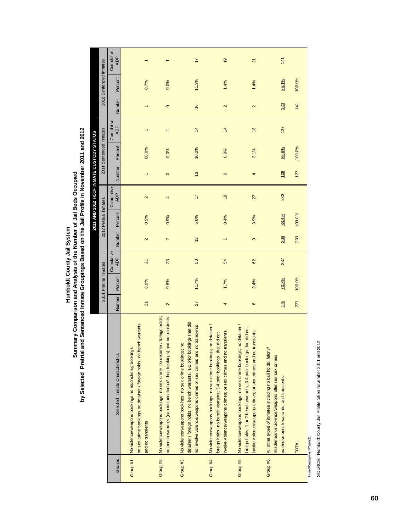Humboldt County Jail System<br>Summary Comparison and Analysis of the Number of Jail Beds Occupied<br>by Selected Pretrial and Sentenced Inmate Groupings Based on the Jail Profile in November 2011 and 2012 **by Selected Pretrial and Sentenced Inmate Groupings Based on the Jail Profile in November 2011 and 2012 Summary Comparison and Analysis of the Number of Jail Beds Occupied Humboldt County Jail System**

Щ

|           |                                                                                                                                                                                                                 |                 |                       |                          |                   |                       | 2011 AND 2012 HCCF INMATE CUSTODY STATUS |                  |                        |                          |                   |                        |                          |
|-----------|-----------------------------------------------------------------------------------------------------------------------------------------------------------------------------------------------------------------|-----------------|-----------------------|--------------------------|-------------------|-----------------------|------------------------------------------|------------------|------------------------|--------------------------|-------------------|------------------------|--------------------------|
|           |                                                                                                                                                                                                                 |                 | 2011 Pretrial Inmates |                          |                   | 2012 Pretrial Inmates |                                          |                  | 2011 Sentenced Inmates |                          |                   | 2012 Sentenced Inmates |                          |
|           | Selected Inmate Characteristics                                                                                                                                                                                 | Number          | Percent               | Cumulative<br><b>ADP</b> | Number            | Percent               | Cumulative<br><b>ADP</b>                 | Number           | Percent                | Cumulative<br><b>ADP</b> | Number            | Percent                | Cumulative<br><b>ADP</b> |
|           | no sex crime bookings no detainer / foreign holds; no bench warrants<br>Group #1: No violence/weapons bookings no alcohol/drug bookings<br>and no transients                                                    | $\overline{21}$ | 8.9%                  | $\overline{2}$           | $\mathbf{\Omega}$ | 0.9%                  | $\sim$                                   |                  | 80.0%                  |                          |                   | 0.7%                   |                          |
|           | Group #2: No violence/weapons bookings; no sex crime, no detainer / foreign holds;<br>no bench warrants (can includealcohol/ drug bookings) and no transients.                                                  | 2               | 0.8%                  | 23                       | 2                 | 0.9%                  | 4                                        | $\circ$          | 0.0%                   |                          | $\circ$           | 0.0%                   |                          |
|           | detainer / foreign holds; no bench warrants; 1-2 prior bookings that did<br>not involve violence/weapons crimes or sex crimes and no transients.<br>No violence/weapons bookings; no sex crime bookings; no     | 27              | 11.4%                 | 50                       | $\frac{3}{2}$     | 5.6%                  | $\overline{1}$                           | $\frac{3}{2}$    | 10.2%                  | $\overline{4}$           | $\frac{6}{2}$     | 11.3%                  | $\overline{1}$           |
| Group #4: | No violence/weapons bookings; no sex crime bookings; no detainer /<br>involve violence/weapons crimes; or sex crimes and no transients.<br>did not<br>foreign holds; no bench warrants; 3-4 prior bookings that | 4               | 1.7%                  | 54                       |                   | 0.4%                  | $\frac{8}{2}$                            | $\circ$          | 0.0%                   | $\frac{4}{3}$            | $\mathbf{\Omega}$ | 1.4%                   | $\overline{9}$           |
|           | No violence/weapons bookings; no sex crime bookings; no detainer<br>foreign holds; 1 or 2 bench warrants; 3-4 prior bookings that did not<br>involve violence/weapons crimes; or sex crimes and no transients.  | $\infty$        | 3.4%                  | 62                       | ၜ                 | 3.9%                  | 27                                       | 4                | 3.1%                   | $\frac{8}{2}$            | $\mathbf{\Omega}$ | 1.4%                   | $\overline{2}$           |
|           | All other types of inmates including no bail holds; felony/<br>misdemeanor violence/weapons offenses;sex crimes<br>extensive bench warrants; and transients.                                                    | 175             | 73.8%                 | 237                      | 206               | 88.4%                 | 233                                      | $\frac{109}{20}$ | 85.8%                  | 127                      | $\frac{20}{2}$    | 85.1%                  | 141                      |
| TOTAL     |                                                                                                                                                                                                                 | 237             | 100.0%                |                          | 233               | 100.0%                |                                          | 127              | 100.0%                 |                          | 141               | 100.0%                 |                          |

Hum4/Realignment/Table21 Hum4/Realignment/Table21

SOURCE: Humboldt County Jail Profile taken November 2011 and 2012 SOURCE: Humboldt County Jail Profile taken November 2011 and 2012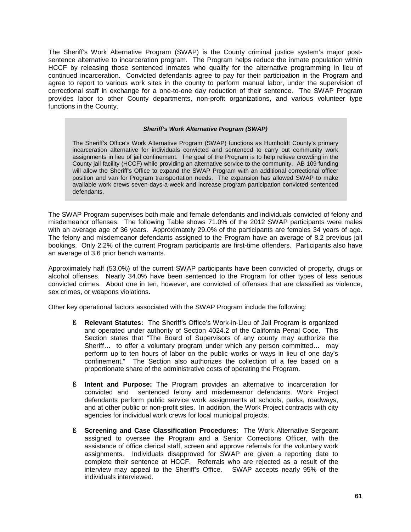The Sheriff's Work Alternative Program (SWAP) is the County criminal justice system's major postsentence alternative to incarceration program. The Program helps reduce the inmate population within HCCF by releasing those sentenced inmates who qualify for the alternative programming in lieu of continued incarceration. Convicted defendants agree to pay for their participation in the Program and agree to report to various work sites in the county to perform manual labor, under the supervision of correctional staff in exchange for a one-to-one day reduction of their sentence. The SWAP Program provides labor to other County departments, non-profit organizations, and various volunteer type functions in the County.

#### *Sheriff's Work Alternative Program (SWAP)*

The Sheriff's Office's Work Alternative Program (SWAP) functions as Humboldt County's primary incarceration alternative for individuals convicted and sentenced to carry out community work assignments in lieu of jail confinement. The goal of the Program is to help relieve crowding in the County jail facility (HCCF) while providing an alternative service to the community. AB 109 funding will allow the Sheriff's Office to expand the SWAP Program with an additional correctional officer position and van for Program transportation needs. The expansion has allowed SWAP to make available work crews seven-days-a-week and increase program participation convicted sentenced defendants.

The SWAP Program supervises both male and female defendants and individuals convicted of felony and misdemeanor offenses. The following Table shows 71.0% of the 2012 SWAP participants were males with an average age of 36 years. Approximately 29.0% of the participants are females 34 years of age. The felony and misdemeanor defendants assigned to the Program have an average of 8.2 previous jail bookings. Only 2.2% of the current Program participants are first-time offenders. Participants also have an average of 3.6 prior bench warrants.

Approximately half (53.0%) of the current SWAP participants have been convicted of property, drugs or alcohol offenses. Nearly 34.0% have been sentenced to the Program for other types of less serious convicted crimes. About one in ten, however, are convicted of offenses that are classified as violence, sex crimes, or weapons violations.

Other key operational factors associated with the SWAP Program include the following:

- § **Relevant Statutes:** The Sheriff's Office's Work-in-Lieu of Jail Program is organized and operated under authority of Section 4024.2 of the California Penal Code. This Section states that "The Board of Supervisors of any county may authorize the Sheriff… to offer a voluntary program under which any person committed… may perform up to ten hours of labor on the public works or ways in lieu of one day's confinement." The Section also authorizes the collection of a fee based on a proportionate share of the administrative costs of operating the Program.
- § **Intent and Purpose:** The Program provides an alternative to incarceration for convicted and sentenced felony and misdemeanor defendants. Work Project defendants perform public service work assignments at schools, parks, roadways, and at other public or non-profit sites. In addition, the Work Project contracts with city agencies for individual work crews for local municipal projects.
- § **Screening and Case Classification Procedures**: The Work Alternative Sergeant assigned to oversee the Program and a Senior Corrections Officer, with the assistance of office clerical staff, screen and approve referrals for the voluntary work assignments. Individuals disapproved for SWAP are given a reporting date to complete their sentence at HCCF. Referrals who are rejected as a result of the interview may appeal to the Sheriff's Office. SWAP accepts nearly 95% of the individuals interviewed.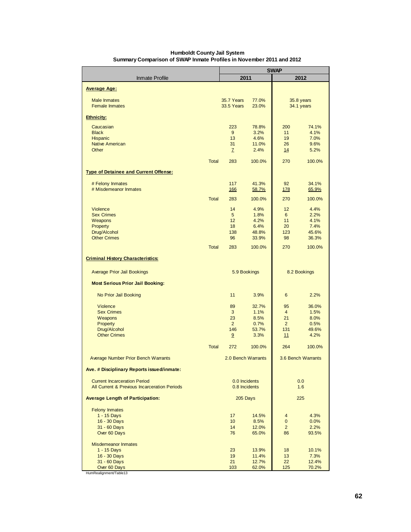|                                              |              |                       |                | <b>SWAP</b>                    |                    |
|----------------------------------------------|--------------|-----------------------|----------------|--------------------------------|--------------------|
| <b>Inmate Profile</b>                        |              | 2011                  |                |                                | 2012               |
| <b>Average Age:</b>                          |              |                       |                |                                |                    |
|                                              |              |                       |                |                                |                    |
| <b>Male Inmates</b>                          |              | 35.7 Years            | 77.0%          |                                | 35.8 years         |
| <b>Female Inmates</b>                        |              | 33.5 Years            | 23.0%          |                                | 34.1 years         |
| <b>Ethnicity:</b>                            |              |                       |                |                                |                    |
| Caucasian                                    |              | 223                   | 78.8%          | 200                            | 74.1%              |
| <b>Black</b>                                 |              | 9                     | 3.2%           | 11                             | 4.1%               |
| <b>Hispanic</b><br><b>Native American</b>    |              | 13<br>31              | 4.6%<br>11.0%  | 19<br>26                       | 7.0%<br>9.6%       |
| Other                                        |              | $\overline{I}$        | 2.4%           | 14                             | 5.2%               |
|                                              |              |                       |                |                                |                    |
|                                              | <b>Total</b> | 283                   | 100.0%         | 270                            | 100.0%             |
| <b>Type of Detainee and Current Offense:</b> |              |                       |                |                                |                    |
| # Felony Inmates                             |              | 117                   | 41.3%          | 92                             | 34.1%              |
| # Misdemeanor Inmates                        |              | <b>166</b>            | 58.7%          | 178                            | 65.9%              |
|                                              | <b>Total</b> | 283                   | 100.0%         | 270                            | 100.0%             |
| <b>Violence</b>                              |              | 14                    | 4.9%           | 12                             | 4.4%               |
| <b>Sex Crimes</b>                            |              | 5                     | 1.8%           | 6                              | 2.2%               |
| Weapons                                      |              | 12                    | 4.2%           | 11                             | 4.1%               |
| Property                                     |              | 18                    | 6.4%           | 20                             | 7.4%               |
| Drug/Alcohol<br><b>Other Crimes</b>          |              | 138<br>96             | 48.8%<br>33.9% | 123<br>98                      | 45.6%<br>36.3%     |
|                                              |              |                       |                |                                |                    |
|                                              | <b>Total</b> | 283                   | 100.0%         | 270                            | 100.0%             |
| <b>Criminal History Characteristics:</b>     |              |                       |                |                                |                    |
| <b>Average Prior Jail Bookings</b>           |              | 5.9 Bookings          |                |                                | 8.2 Bookings       |
| <b>Most Serious Prior Jail Booking:</b>      |              |                       |                |                                |                    |
| No Prior Jail Booking                        |              | 11                    | 3.9%           | 6                              | 2.2%               |
| <b>Violence</b>                              |              | 89                    | 32.7%          | 95                             | 36.0%              |
| <b>Sex Crimes</b>                            |              | 3                     | 1.1%           | $\overline{4}$                 | 1.5%               |
| Weapons                                      |              | 23                    | 8.5%           | 21                             | 8.0%               |
| Property                                     |              | $\overline{2}$<br>146 | 0.7%           | $\overline{2}$<br>131          | 0.5%<br>49.6%      |
| Drug/Alcohol<br><b>Other Crimes</b>          |              | 9                     | 53.7%<br>3.3%  | 11                             | 4.2%               |
|                                              |              |                       |                |                                |                    |
|                                              | <b>Total</b> | 272                   | 100.0%         | 264                            | 100.0%             |
| <b>Average Number Prior Bench Warrants</b>   |              | 2.0 Bench Warrants    |                |                                | 3.6 Bench Warrants |
| Ave. # Disciplinary Reports issued/inmate:   |              |                       |                |                                |                    |
| <b>Current Incarceration Period</b>          |              | 0.0 Incidents         |                |                                | 0.0                |
| All Current & Previous Incarceration Periods |              | 0.8 Incidents         |                |                                | 1.6                |
| <b>Average Length of Participation:</b>      |              | 205 Days              |                |                                | 225                |
| <b>Felony Inmates</b>                        |              |                       |                |                                |                    |
| 1 - 15 Days<br>16 - 30 Days                  |              | 17<br>10              | 14.5%<br>8.5%  | $\overline{4}$<br>$\mathbf{0}$ | 4.3%<br>0.0%       |
| 31 - 60 Days                                 |              | 14                    | 12.0%          | $\overline{2}$                 | 2.2%               |
| Over 60 Days                                 |              | 76                    | 65.0%          | 86                             | 93.5%              |
| <b>Misdemeanor Inmates</b>                   |              |                       |                |                                |                    |
| 1 - 15 Days                                  |              | 23                    | 13.9%          | 18                             | 10.1%              |
| 16 - 30 Days                                 |              | 19                    | 11.4%          | 13                             | 7.3%               |
| 31 - 60 Days<br>Over 60 Days                 |              | 21<br>103             | 12.7%<br>62.0% | 22<br>125                      | 12.4%<br>70.2%     |
| HumRealignment/Table13                       |              |                       |                |                                |                    |

#### **Humboldt County Jail System Summary Comparison of SWAP Inmate Profiles in November 2011 and 2012**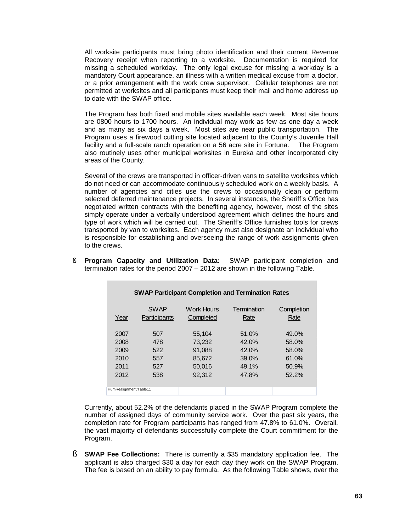All worksite participants must bring photo identification and their current Revenue Recovery receipt when reporting to a worksite. Documentation is required for missing a scheduled workday. The only legal excuse for missing a workday is a mandatory Court appearance, an illness with a written medical excuse from a doctor, or a prior arrangement with the work crew supervisor. Cellular telephones are not permitted at worksites and all participants must keep their mail and home address up to date with the SWAP office.

The Program has both fixed and mobile sites available each week. Most site hours are 0800 hours to 1700 hours. An individual may work as few as one day a week and as many as six days a week. Most sites are near public transportation. The Program uses a firewood cutting site located adjacent to the County's Juvenile Hall facility and a full-scale ranch operation on a 56 acre site in Fortuna. The Program also routinely uses other municipal worksites in Eureka and other incorporated city areas of the County.

Several of the crews are transported in officer-driven vans to satellite worksites which do not need or can accommodate continuously scheduled work on a weekly basis. A number of agencies and cities use the crews to occasionally clean or perform selected deferred maintenance projects. In several instances, the Sheriff's Office has negotiated written contracts with the benefiting agency, however, most of the sites simply operate under a verbally understood agreement which defines the hours and type of work which will be carried out. The Sheriff's Office furnishes tools for crews transported by van to worksites. Each agency must also designate an individual who is responsible for establishing and overseeing the range of work assignments given to the crews.

| <b>SWAP Participant Completion and Termination Rates</b> |              |                   |             |            |  |  |  |  |
|----------------------------------------------------------|--------------|-------------------|-------------|------------|--|--|--|--|
| Year                                                     | <b>SWAP</b>  | <b>Work Hours</b> | Termination | Completion |  |  |  |  |
|                                                          | Participants | Completed         | Rate        | Rate       |  |  |  |  |
| 2007                                                     | 507          | 55.104            | 51.0%       | 49.0%      |  |  |  |  |
| 2008                                                     | 478          | 73,232            | 42.0%       | 58.0%      |  |  |  |  |
| 2009                                                     | 522          | 91,088            | $42.0\%$    | 58.0%      |  |  |  |  |
| 2010                                                     | 557          | 85,672            | 39.0%       | 61.0%      |  |  |  |  |
| 2011                                                     | 527          | 50.016            | 49.1%       | 50.9%      |  |  |  |  |
| 2012                                                     | 538          | 92,312            | 47.8%       | 52.2%      |  |  |  |  |
| HumRealignment/Table11                                   |              |                   |             |            |  |  |  |  |

§ **Program Capacity and Utilization Data:** SWAP participant completion and termination rates for the period 2007 – 2012 are shown in the following Table.

Currently, about 52.2% of the defendants placed in the SWAP Program complete the number of assigned days of community service work. Over the past six years, the completion rate for Program participants has ranged from 47.8% to 61.0%. Overall, the vast majority of defendants successfully complete the Court commitment for the Program.

§ **SWAP Fee Collections:** There is currently a \$35 mandatory application fee. The applicant is also charged \$30 a day for each day they work on the SWAP Program. The fee is based on an ability to pay formula. As the following Table shows, over the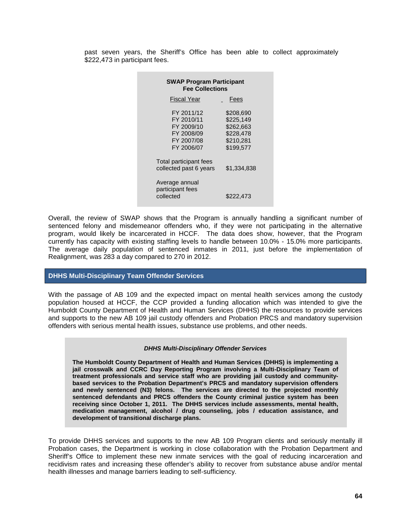past seven years, the Sheriff's Office has been able to collect approximately \$222,473 in participant fees.

| <b>SWAP Program Participant</b><br><b>Fee Collections</b>                        |                                                                            |  |  |  |  |  |  |  |
|----------------------------------------------------------------------------------|----------------------------------------------------------------------------|--|--|--|--|--|--|--|
| <b>Fiscal Year</b>                                                               | Fees                                                                       |  |  |  |  |  |  |  |
| FY 2011/12<br>FY 2010/11<br>FY 2009/10<br>FY 2008/09<br>FY 2007/08<br>FY 2006/07 | \$208,690<br>\$225.149<br>\$262.663<br>\$228.478<br>\$210,281<br>\$199.577 |  |  |  |  |  |  |  |
| Total participant fees<br>collected past 6 years                                 | \$1,334,838                                                                |  |  |  |  |  |  |  |
| Average annual<br>participant fees<br>collected                                  | \$222,473                                                                  |  |  |  |  |  |  |  |

Overall, the review of SWAP shows that the Program is annually handling a significant number of sentenced felony and misdemeanor offenders who, if they were not participating in the alternative program, would likely be incarcerated in HCCF. The data does show, however, that the Program currently has capacity with existing staffing levels to handle between 10.0% - 15.0% more participants. The average daily population of sentenced inmates in 2011, just before the implementation of Realignment, was 283 a day compared to 270 in 2012.

#### **DHHS Multi-Disciplinary Team Offender Services**

With the passage of AB 109 and the expected impact on mental health services among the custody population housed at HCCF, the CCP provided a funding allocation which was intended to give the Humboldt County Department of Health and Human Services (DHHS) the resources to provide services and supports to the new AB 109 jail custody offenders and Probation PRCS and mandatory supervision offenders with serious mental health issues, substance use problems, and other needs.

#### *DHHS Multi-Disciplinary Offender Services*

**The Humboldt County Department of Health and Human Services (DHHS) is implementing a jail crosswalk and CCRC Day Reporting Program involving a Multi-Disciplinary Team of treatment professionals and service staff who are providing jail custody and communitybased services to the Probation Department's PRCS and mandatory supervision offenders and newly sentenced (N3) felons. The services are directed to the projected monthly sentenced defendants and PRCS offenders the County criminal justice system has been receiving since October 1, 2011. The DHHS services include assessments, mental health, medication management, alcohol / drug counseling, jobs / education assistance, and development of transitional discharge plans.**

To provide DHHS services and supports to the new AB 109 Program clients and seriously mentally ill Probation cases, the Department is working in close collaboration with the Probation Department and Sheriff's Office to implement these new inmate services with the goal of reducing incarceration and recidivism rates and increasing these offender's ability to recover from substance abuse and/or mental health illnesses and manage barriers leading to self-sufficiency.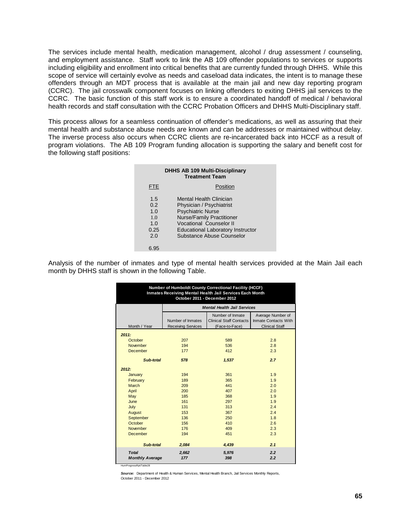The services include mental health, medication management, alcohol / drug assessment / counseling, and employment assistance. Staff work to link the AB 109 offender populations to services or supports including eligibility and enrollment into critical benefits that are currently funded through DHHS. While this scope of service will certainly evolve as needs and caseload data indicates, the intent is to manage these offenders through an MDT process that is available at the main jail and new day reporting program (CCRC). The jail crosswalk component focuses on linking offenders to exiting DHHS jail services to the CCRC. The basic function of this staff work is to ensure a coordinated handoff of medical / behavioral health records and staff consultation with the CCRC Probation Officers and DHHS Multi-Disciplinary staff.

This process allows for a seamless continuation of offender's medications, as well as assuring that their mental health and substance abuse needs are known and can be addresses or maintained without delay. The inverse process also occurs when CCRC clients are re-incarcerated back into HCCF as a result of program violations. The AB 109 Program funding allocation is supporting the salary and benefit cost for the following staff positions:

| <b>DHHS AB 109 Multi-Disciplinary</b><br><b>Treatment Team</b> |                                                                                                                                                                                                                                |  |  |  |  |
|----------------------------------------------------------------|--------------------------------------------------------------------------------------------------------------------------------------------------------------------------------------------------------------------------------|--|--|--|--|
| FTE                                                            | Position                                                                                                                                                                                                                       |  |  |  |  |
| 1.5<br>0.2<br>1.0<br>1 <sub>0</sub><br>1.0<br>0.25<br>2.0      | Mental Health Clinician<br>Physician / Psychiatrist<br><b>Psychiatric Nurse</b><br><b>Nurse/Family Practitioner</b><br><b>Vocational Counselor II</b><br><b>Educational Laboratory Instructor</b><br>Substance Abuse Counselor |  |  |  |  |
|                                                                |                                                                                                                                                                                                                                |  |  |  |  |

Analysis of the number of inmates and type of mental health services provided at the Main Jail each month by DHHS staff is shown in the following Table.

| Number of Humboldt County Correctional Facility (HCCF)<br>Inmates Receiving Mental Health Jail Services Each Month<br>October 2011 - December 2012 |                                                                    |                                                                      |                                                                    |  |  |  |  |
|----------------------------------------------------------------------------------------------------------------------------------------------------|--------------------------------------------------------------------|----------------------------------------------------------------------|--------------------------------------------------------------------|--|--|--|--|
|                                                                                                                                                    | <b>Mental Health Jail Services</b>                                 |                                                                      |                                                                    |  |  |  |  |
| Month / Year                                                                                                                                       | Number of Inmates<br><b>Receiving Services</b>                     | Number of Inmate<br><b>Clinical Staff Contacts</b><br>(Face-to-Face) | Average Number of<br>Inmate Contacts With<br><b>Clinical Staff</b> |  |  |  |  |
| 2011:                                                                                                                                              |                                                                    |                                                                      |                                                                    |  |  |  |  |
| October<br>November<br><b>December</b>                                                                                                             | 207<br>194<br>177                                                  | 589<br>536<br>412                                                    | 2.8<br>2.8<br>2.3                                                  |  |  |  |  |
| Sub-total                                                                                                                                          | 578                                                                | 1,537                                                                | 2.7                                                                |  |  |  |  |
| 2012:<br>January<br>February<br>March<br>April<br>May<br>June<br>July<br>August<br>September<br>October                                            | 194<br>189<br>209<br>200<br>185<br>161<br>131<br>153<br>136<br>156 | 361<br>365<br>441<br>407<br>368<br>297<br>313<br>367<br>250<br>410   | 1.9<br>1.9<br>2.0<br>2.0<br>1.9<br>1.9<br>2.4<br>2.4<br>1.8<br>2.6 |  |  |  |  |
| November<br><b>December</b><br>Sub-total                                                                                                           | 176<br>194<br>2,084                                                | 409<br>451<br>4,439                                                  | 2.3<br>2.3<br>2.1                                                  |  |  |  |  |
| <b>Total</b><br><b>Monthly Average</b>                                                                                                             | 2,662<br>177                                                       | 5,976<br>398                                                         | 2.2<br>2.2                                                         |  |  |  |  |

HumProgressRpt/Table28

*Source:* Department of Health & Human Services, Mental Health Branch, Jail Services Monthly Reports, October 2011 - December 2012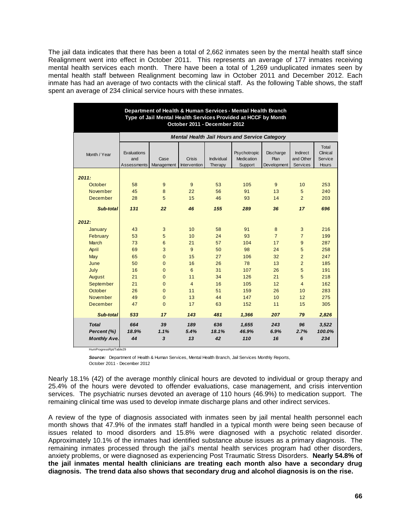The jail data indicates that there has been a total of 2,662 inmates seen by the mental health staff since Realignment went into effect in October 2011. This represents an average of 177 inmates receiving mental health services each month. There have been a total of 1,269 unduplicated inmates seen by mental health staff between Realignment becoming law in October 2011 and December 2012. Each inmate has had an average of two contacts with the clinical staff. As the following Table shows, the staff spent an average of 234 clinical service hours with these inmates.

| Department of Health & Human Services - Mental Health Branch<br>Type of Jail Mental Health Services Provided at HCCF by Month<br>October 2011 - December 2012 |                                          |                    |                               |                       |                                                      |                                         |                                   |                                              |
|---------------------------------------------------------------------------------------------------------------------------------------------------------------|------------------------------------------|--------------------|-------------------------------|-----------------------|------------------------------------------------------|-----------------------------------------|-----------------------------------|----------------------------------------------|
|                                                                                                                                                               |                                          |                    |                               |                       | <b>Mental Health Jail Hours and Service Category</b> |                                         |                                   |                                              |
| Month / Year                                                                                                                                                  | Evaluations<br>and<br><b>Assessments</b> | Case<br>Management | Crisis<br><b>Intervention</b> | Individual<br>Therapy | Psychotropic<br>Medication<br>Support                | <b>Discharge</b><br>Plan<br>Development | Indirect<br>and Other<br>Services | Total<br>Clinical<br>Service<br><b>Hours</b> |
|                                                                                                                                                               |                                          |                    |                               |                       |                                                      |                                         |                                   |                                              |
| 2011:<br>October                                                                                                                                              | 58                                       | 9                  | 9                             | 53                    | 105                                                  | 9                                       | 10                                | 253                                          |
| November                                                                                                                                                      | 45                                       | 8                  | 22                            | 56                    | 91                                                   | 13                                      | 5                                 | 240                                          |
| December                                                                                                                                                      | 28                                       | 5                  | 15                            | 46                    | 93                                                   | 14                                      | $\overline{2}$                    | 203                                          |
|                                                                                                                                                               |                                          |                    |                               |                       |                                                      |                                         |                                   |                                              |
| Sub-total                                                                                                                                                     | 131                                      | 22                 | 46                            | 155                   | 289                                                  | 36                                      | 17                                | 696                                          |
| 2012:                                                                                                                                                         |                                          |                    |                               |                       |                                                      |                                         |                                   |                                              |
| January                                                                                                                                                       | 43                                       | 3                  | 10                            | 58                    | 91                                                   | 8                                       | 3                                 | 216                                          |
| February                                                                                                                                                      | 53                                       | 5                  | 10                            | 24                    | 93                                                   | $\overline{7}$                          | $\overline{7}$                    | 199                                          |
| <b>March</b>                                                                                                                                                  | 73                                       | 6                  | 21                            | 57                    | 104                                                  | 17                                      | 9                                 | 287                                          |
| April                                                                                                                                                         | 69                                       | 3                  | 9                             | 50                    | 98                                                   | 24                                      | 5                                 | 258                                          |
| May                                                                                                                                                           | 65                                       | $\overline{0}$     | 15                            | 27                    | 106                                                  | 32                                      | $\overline{2}$                    | 247                                          |
| June                                                                                                                                                          | 50                                       | $\overline{0}$     | 16                            | 26                    | 78                                                   | 13                                      | $\overline{2}$                    | 185                                          |
| July                                                                                                                                                          | 16                                       | $\overline{0}$     | 6                             | 31                    | 107                                                  | 26                                      | 5                                 | 191                                          |
| August                                                                                                                                                        | 21                                       | $\Omega$           | 11                            | 34                    | 126                                                  | 21                                      | 5                                 | 218                                          |
| September                                                                                                                                                     | 21                                       | $\Omega$           | $\overline{4}$                | 16                    | 105                                                  | 12                                      | $\overline{4}$                    | 162                                          |
| October                                                                                                                                                       | 26                                       | $\overline{0}$     | 11                            | 51                    | 159                                                  | 26                                      | 10                                | 283                                          |
| November                                                                                                                                                      | 49                                       | $\overline{0}$     | 13                            | 44                    | 147                                                  | 10                                      | 12                                | 275                                          |
| <b>December</b>                                                                                                                                               | 47                                       | $\Omega$           | 17                            | 63                    | 152                                                  | 11                                      | 15                                | 305                                          |
| Sub-total                                                                                                                                                     | 533                                      | 17                 | 143                           | 481                   | 1,366                                                | 207                                     | 79                                | 2,826                                        |
| <b>Total</b><br>Percent (%)<br><b>Monthly Ave.</b>                                                                                                            | 664<br>18.9%<br>44                       | 39<br>1.1%<br>3    | 189<br>5.4%<br>13             | 636<br>18.1%<br>42    | 1,655<br>46.9%<br>110                                | 243<br>6.9%<br>16                       | 96<br>2.7%<br>6                   | 3,522<br>100.0%<br>234                       |

HumProgressRpt/Table29

*Source:* Department of Health & Human Services, Mental Health Branch, Jail Services Monthly Reports, October 2011 - December 2012

Nearly 18.1% (42) of the average monthly clinical hours are devoted to individual or group therapy and 25.4% of the hours were devoted to offender evaluations, case management, and crisis intervention services. The psychiatric nurses devoted an average of 110 hours (46.9%) to medication support. The remaining clinical time was used to develop inmate discharge plans and other indirect services.

A review of the type of diagnosis associated with inmates seen by jail mental health personnel each month shows that 47.9% of the inmates staff handled in a typical month were being seen because of issues related to mood disorders and 15.8% were diagnosed with a psychotic related disorder. Approximately 10.1% of the inmates had identified substance abuse issues as a primary diagnosis. The remaining inmates processed through the jail's mental health services program had other disorders, anxiety problems, or were diagnosed as experiencing Post Traumatic Stress Disorders. **Nearly 54.8% of the jail inmates mental health clinicians are treating each month also have a secondary drug diagnosis. The trend data also shows that secondary drug and alcohol diagnosis is on the rise.**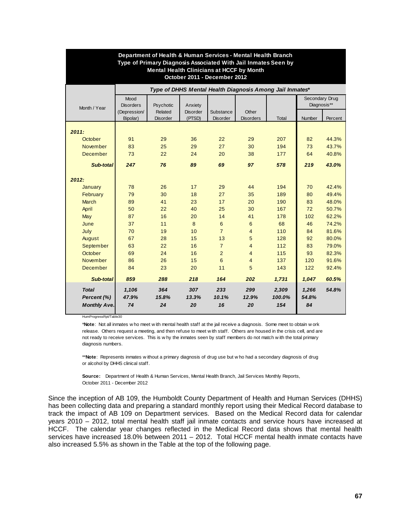| Department of Health & Human Services - Mental Health Branch<br>Type of Primary Diagnosis Associated With Jail Inmates Seen by<br><b>Mental Health Clinicians at HCCF by Month</b><br>October 2011 - December 2012 |                          |                            |                           |                              |                                                          |        |               |                |
|--------------------------------------------------------------------------------------------------------------------------------------------------------------------------------------------------------------------|--------------------------|----------------------------|---------------------------|------------------------------|----------------------------------------------------------|--------|---------------|----------------|
|                                                                                                                                                                                                                    |                          |                            |                           |                              | Type of DHHS Mental Health Diagnosis Among Jail Inmates* |        |               |                |
| Month / Year                                                                                                                                                                                                       | Mood<br><b>Disorders</b> | Psychotic                  | Anxiety                   |                              |                                                          |        | Diagnosis**   | Secondary Drug |
|                                                                                                                                                                                                                    | (Depression/<br>Bipolar) | Related<br><b>Disorder</b> | <b>Disorder</b><br>(PTSD) | Substance<br><b>Disorder</b> | Other<br><b>Disorders</b>                                | Total  | <b>Number</b> | Percent        |
| 2011:                                                                                                                                                                                                              |                          |                            |                           |                              |                                                          |        |               |                |
| October                                                                                                                                                                                                            | 91                       | 29                         | 36                        | 22                           | 29                                                       | 207    | 82            | 44.3%          |
| <b>November</b>                                                                                                                                                                                                    | 83                       | 25                         | 29                        | 27                           | 30                                                       | 194    | 73            | 43.7%          |
| <b>December</b>                                                                                                                                                                                                    | 73                       | 22                         | 24                        | 20                           | 38                                                       | 177    | 64            | 40.8%          |
| Sub-total                                                                                                                                                                                                          | 247                      | 76                         | 89                        | 69                           | 97                                                       | 578    | 219           | 43.0%          |
| 2012:                                                                                                                                                                                                              |                          |                            |                           |                              |                                                          |        |               |                |
| <b>January</b>                                                                                                                                                                                                     | 78                       | 26                         | 17                        | 29                           | 44                                                       | 194    | 70            | 42.4%          |
| February                                                                                                                                                                                                           | 79                       | 30                         | 18                        | 27                           | 35                                                       | 189    | 80            | 49.4%          |
| <b>March</b>                                                                                                                                                                                                       | 89                       | 41                         | 23                        | 17                           | 20                                                       | 190    | 83            | 48.0%          |
| April                                                                                                                                                                                                              | 50                       | 22                         | 40                        | 25                           | 30                                                       | 167    | 72            | 50.7%          |
| May                                                                                                                                                                                                                | 87                       | 16                         | 20                        | 14                           | 41                                                       | 178    | 102           | 62.2%          |
| June                                                                                                                                                                                                               | 37                       | 11                         | 8                         | 6                            | 6                                                        | 68     | 46            | 74.2%          |
| July                                                                                                                                                                                                               | 70                       | 19                         | 10                        | $\overline{7}$               | $\overline{4}$                                           | 110    | 84            | 81.6%          |
| August                                                                                                                                                                                                             | 67                       | 28                         | 15                        | 13                           | 5                                                        | 128    | 92            | 80.0%          |
| September                                                                                                                                                                                                          | 63                       | 22                         | 16                        | $\overline{7}$               | $\overline{4}$                                           | 112    | 83            | 79.0%          |
| October                                                                                                                                                                                                            | 69                       | 24                         | 16                        | $\overline{2}$               | $\overline{4}$                                           | 115    | 93            | 82.3%          |
| November                                                                                                                                                                                                           | 86                       | 26                         | 15                        | 6                            | $\overline{4}$                                           | 137    | 120           | 91.6%          |
| December                                                                                                                                                                                                           | 84                       | 23                         | 20                        | 11                           | 5                                                        | 143    | 122           | 92.4%          |
| Sub-total                                                                                                                                                                                                          | 859                      | 288                        | 218                       | 164                          | 202                                                      | 1,731  | 1.047         | 60.5%          |
| <b>Total</b>                                                                                                                                                                                                       | 1,106                    | 364                        | 307                       | 233                          | 299                                                      | 2,309  | 1,266         | 54.8%          |
| Percent (%)                                                                                                                                                                                                        | 47.9%                    | 15.8%                      | 13.3%                     | 10.1%                        | 12.9%                                                    | 100.0% | 54.8%         |                |
| <b>Monthly Ave.</b>                                                                                                                                                                                                | 74                       | 24                         | 20                        | 16                           | 20                                                       | 154    | 84            |                |

HumProgressRpt/Table30

release. Others request a meeting, and then refuse to meet w ith staff. Others are housed in the crisis cell, and are not ready to receive services. This is w hy the inmates seen by staff members do not match w ith the total primary diagnosis numbers. \***Note**: Not all inmates w ho meet w ith mental health staff at the jail receive a diagnosis. Some meet to obtain w ork

or alcohol by DHHS clinical staff. \*\***Note**: Represents inmates w ithout a primary diagnosis of drug use but w ho had a secondary diagnosis of drug

October 2011 - December 2012 **Source:** Department of Health & Human Services, Mental Health Branch, Jail Services Monthly Reports,

Since the inception of AB 109, the Humboldt County Department of Health and Human Services (DHHS) has been collecting data and preparing a standard monthly report using their Medical Record database to track the impact of AB 109 on Department services. Based on the Medical Record data for calendar years 2010 – 2012, total mental health staff jail inmate contacts and service hours have increased at HCCF. The calendar year changes reflected in the Medical Record data shows that mental health services have increased 18.0% between 2011 – 2012. Total HCCF mental health inmate contacts have also increased 5.5% as shown in the Table at the top of the following page.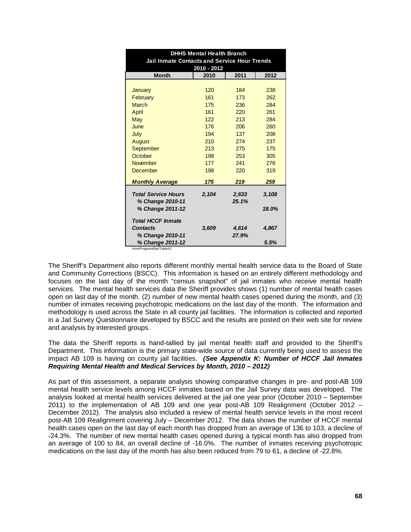| <b>DHHS Mental Health Branch</b><br><b>Jail Inmate Contacts and Service Hour Trends</b><br>2010 - 2012 |       |       |            |  |  |  |
|--------------------------------------------------------------------------------------------------------|-------|-------|------------|--|--|--|
| <b>Month</b>                                                                                           | 2010  | 2011  | 2012       |  |  |  |
|                                                                                                        | 120   | 184   |            |  |  |  |
| January                                                                                                | 161   | 173   | 238<br>262 |  |  |  |
| February                                                                                               |       |       |            |  |  |  |
| <b>March</b>                                                                                           | 175   | 236   | 284        |  |  |  |
| April                                                                                                  | 161   | 220   | 261        |  |  |  |
| May                                                                                                    | 122   | 213   | 284        |  |  |  |
| June                                                                                                   | 176   | 206   | 260        |  |  |  |
| July                                                                                                   | 194   | 137   | 208        |  |  |  |
| August                                                                                                 | 210   | 274   | 237        |  |  |  |
| September                                                                                              | 213   | 275   | 175        |  |  |  |
| October                                                                                                | 198   | 253   | 305        |  |  |  |
| <b>November</b>                                                                                        | 177   | 241   | 276        |  |  |  |
| <b>December</b>                                                                                        | 198   | 220   | 319        |  |  |  |
| <b>Monthly Average</b>                                                                                 | 175   | 219   | 259        |  |  |  |
| <b>Total Service Hours</b>                                                                             | 2,104 | 2,633 | 3,108      |  |  |  |
| % Change 2010-11                                                                                       |       | 25.1% |            |  |  |  |
| % Change 2011-12                                                                                       |       |       | 18.0%      |  |  |  |
|                                                                                                        |       |       |            |  |  |  |
| <b>Total HCCF Inmate</b>                                                                               |       |       |            |  |  |  |
| <b>Contacts</b>                                                                                        | 3,609 | 4,614 | 4,867      |  |  |  |
| % Change 2010-11                                                                                       |       | 27.9% |            |  |  |  |
| % Change 2011-12                                                                                       |       |       | 5.5%       |  |  |  |
| HumProgressRpt/Table41                                                                                 |       |       |            |  |  |  |

The Sheriff's Department also reports different monthly mental health service data to the Board of State and Community Corrections (BSCC). This information is based on an entirely different methodology and focuses on the last day of the month "census snapshot" of jail inmates who receive mental health services. The mental health services data the Sheriff provides shows (1) number of mental health cases open on last day of the month. (2) number of new mental health cases opened during the month, and (3) number of inmates receiving psychotropic medications on the last day of the month. The information and methodology is used across the State in all county jail facilities. The information is collected and reported in a Jail Survey Questionnaire developed by BSCC and the results are posted on their web site for review and analysis by interested groups.

The data the Sheriff reports is hand-tallied by jail mental health staff and provided to the Sheriff's Department. This information is the primary state-wide source of data currently being used to assess the impact AB 109 is having on county jail facilities. *(See Appendix K: Number of HCCF Jail Inmates Requiring Mental Health and Medical Services by Month, 2010 – 2012)*

As part of this assessment, a separate analysis showing comparative changes in pre- and post-AB 109 mental health service levels among HCCF inmates based on the Jail Survey data was developed. The analysis looked at mental health services delivered at the jail one year prior (October 2010 – September 2011) to the implementation of AB 109 and one year post-AB 109 Realignment (October 2012 – December 2012). The analysis also included a review of mental health service levels in the most recent post-AB 109 Realignment covering July – December 2012. The data shows the number of HCCF mental health cases open on the last day of each month has dropped from an average of 136 to 103, a decline of -24.3%. The number of new mental health cases opened during a typical month has also dropped from an average of 100 to 84, an overall decline of -16.0%. The number of inmates receiving psychotropic medications on the last day of the month has also been reduced from 79 to 61, a decline of -22.8%.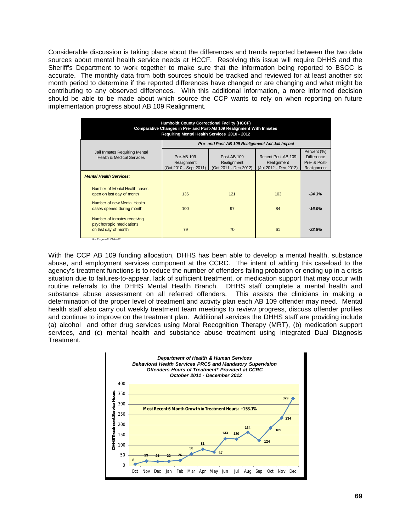Considerable discussion is taking place about the differences and trends reported between the two data sources about mental health service needs at HCCF. Resolving this issue will require DHHS and the Sheriff's Department to work together to make sure that the information being reported to BSCC is accurate. The monthly data from both sources should be tracked and reviewed for at least another six month period to determine if the reported differences have changed or are changing and what might be contributing to any observed differences. With this additional information, a more informed decision should be able to be made about which source the CCP wants to rely on when reporting on future implementation progress about AB 109 Realignment.

| <b>Humboldt County Correctional Facility (HCCF)</b><br>Comparative Changes in Pre- and Post-AB 109 Realignment With Inmates<br>Requiring Mental Health Services 2010 - 2012 |                                                     |                                                     |                                                            |                                                                 |  |  |  |  |
|-----------------------------------------------------------------------------------------------------------------------------------------------------------------------------|-----------------------------------------------------|-----------------------------------------------------|------------------------------------------------------------|-----------------------------------------------------------------|--|--|--|--|
|                                                                                                                                                                             | Pre- and Post-AB 109 Realignment Act Jail Impact    |                                                     |                                                            |                                                                 |  |  |  |  |
| Jail Inmates Requiring Mental<br><b>Health &amp; Medical Services</b>                                                                                                       | Pre-AB 109<br>Realignment<br>(Oct 2010 - Sept 2011) | Post-AB 109<br>Realignment<br>(Oct 2011 - Dec 2012) | Recent Post-AB 109<br>Realignment<br>(Jul 2012 - Dec 2012) | Percent (%)<br><b>Difference</b><br>Pre- & Post-<br>Realignment |  |  |  |  |
| <b>Mental Health Services:</b>                                                                                                                                              |                                                     |                                                     |                                                            |                                                                 |  |  |  |  |
| Number of Mental Health cases<br>open on last day of month                                                                                                                  | 136                                                 | 121                                                 | 103                                                        | $-24.3%$                                                        |  |  |  |  |
| Number of new Mental Health<br>cases opened during month                                                                                                                    | 100                                                 | 97                                                  | 84                                                         | $-16.0%$                                                        |  |  |  |  |
| Number of inmates receiving<br>psychotropic medications<br>on last day of month<br>HumProgressRot/Table27                                                                   | 79                                                  | 70                                                  | 61                                                         | $-22.8%$                                                        |  |  |  |  |

With the CCP AB 109 funding allocation, DHHS has been able to develop a mental health, substance abuse, and employment services component at the CCRC. The intent of adding this caseload to the agency's treatment functions is to reduce the number of offenders failing probation or ending up in a crisis situation due to failures-to-appear, lack of sufficient treatment, or medication support that may occur with routine referrals to the DHHS Mental Health Branch. DHHS staff complete a mental health and substance abuse assessment on all referred offenders. This assists the clinicians in making a determination of the proper level of treatment and activity plan each AB 109 offender may need. Mental health staff also carry out weekly treatment team meetings to review progress, discuss offender profiles and continue to improve on the treatment plan. Additional services the DHHS staff are providing include (a) alcohol and other drug services using Moral Recognition Therapy (MRT), (b) medication support services, and (c) mental health and substance abuse treatment using Integrated Dual Diagnosis Treatment.

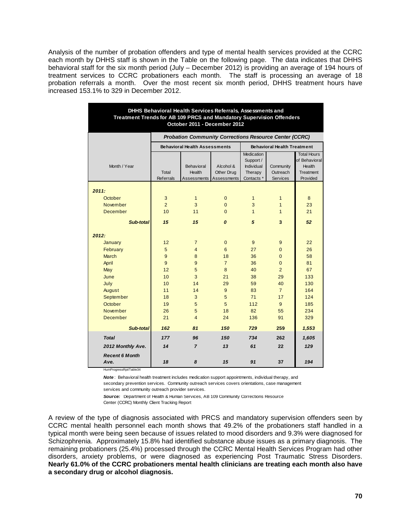Analysis of the number of probation offenders and type of mental health services provided at the CCRC each month by DHHS staff is shown in the Table on the following page. The data indicates that DHHS behavioral staff for the six month period (July – December 2012) is providing an average of 194 hours of treatment services to CCRC probationers each month. The staff is processing an average of 18 probation referrals a month. Over the most recent six month period, DHHS treatment hours have increased 153.1% to 329 in December 2012.

| DHHS Behavioral Health Services Referrals, Assessments and<br>Treatment Trends for AB 109 PRCS and Mandatory Supervision Offenders |                                                               |                                      |                |                                |                                    |                         |  |  |
|------------------------------------------------------------------------------------------------------------------------------------|---------------------------------------------------------------|--------------------------------------|----------------|--------------------------------|------------------------------------|-------------------------|--|--|
| October 2011 - December 2012                                                                                                       |                                                               |                                      |                |                                |                                    |                         |  |  |
|                                                                                                                                    | <b>Probation Community Corrections Resource Center (CCRC)</b> |                                      |                |                                |                                    |                         |  |  |
|                                                                                                                                    |                                                               | <b>Behavioral Health Assessments</b> |                |                                | <b>Behavioral Health Treatment</b> |                         |  |  |
|                                                                                                                                    |                                                               |                                      |                | <b>Medication</b>              |                                    | <b>Total Hours</b>      |  |  |
| Month / Year                                                                                                                       |                                                               | Behavioral                           | Alcohol &      | Support /<br><b>Individual</b> | Community                          | of Behavioral<br>Health |  |  |
|                                                                                                                                    | Total                                                         | Health                               | Other Drug     | Therapy                        | Outreach                           | <b>Treatment</b>        |  |  |
|                                                                                                                                    | <b>Referrals</b>                                              | Assessments                          | Assessments    | Contacts <sup>*</sup>          | <b>Services</b>                    | Provided                |  |  |
|                                                                                                                                    |                                                               |                                      |                |                                |                                    |                         |  |  |
| 2011:                                                                                                                              |                                                               |                                      |                |                                |                                    |                         |  |  |
| October                                                                                                                            | 3                                                             | $\mathbf{1}$                         | $\mathbf{0}$   | $\mathbf{1}$                   | $\mathbf{1}$                       | 8                       |  |  |
| <b>November</b>                                                                                                                    | $\overline{2}$                                                | 3                                    | $\Omega$       | 3                              | $\mathbf{1}$                       | 23                      |  |  |
| <b>December</b>                                                                                                                    | 10                                                            | 11                                   | $\Omega$       | $\mathbf{1}$                   | $\mathbf{1}$                       | 21                      |  |  |
| Sub-total                                                                                                                          | 15                                                            | 15                                   | 0              | 5                              | 3                                  | 52                      |  |  |
| 2012:                                                                                                                              |                                                               |                                      |                |                                |                                    |                         |  |  |
| January                                                                                                                            | 12                                                            | $\overline{7}$                       | $\mathbf{0}$   | 9                              | 9                                  | 22                      |  |  |
| February                                                                                                                           | 5                                                             | $\overline{4}$                       | 6              | 27                             | $\overline{0}$                     | 26                      |  |  |
| <b>March</b>                                                                                                                       | 9                                                             | 8                                    | 18             | 36                             | $\Omega$                           | 58                      |  |  |
| April                                                                                                                              | 9                                                             | 9                                    | $\overline{7}$ | 36                             | $\Omega$                           | 81                      |  |  |
| May                                                                                                                                | 12                                                            | 5                                    | 8              | 40                             | $\overline{2}$                     | 67                      |  |  |
| June                                                                                                                               | 10                                                            | 3                                    | 21             | 38                             | 29                                 | 133                     |  |  |
| July                                                                                                                               | 10                                                            | 14                                   | 29             | 59                             | 40                                 | 130                     |  |  |
| August                                                                                                                             | 11                                                            | 14                                   | 9              | 83                             | $\overline{7}$                     | 164                     |  |  |
| September                                                                                                                          | 18                                                            | 3                                    | 5              | 71                             | 17                                 | 124                     |  |  |
| October                                                                                                                            | 19                                                            | 5                                    | 5              | 112                            | 9                                  | 185                     |  |  |
| November                                                                                                                           | 26                                                            | 5                                    | 18             | 82                             | 55                                 | 234                     |  |  |
| December                                                                                                                           | 21                                                            | $\overline{4}$                       | 24             | 136                            | 91                                 | 329                     |  |  |
| Sub-total                                                                                                                          | 162                                                           | 81                                   | 150            | 729                            | 259                                | 1,553                   |  |  |
| <b>Total</b>                                                                                                                       | 177                                                           | 96                                   | 150            | 734                            | 262                                | 1,605                   |  |  |
| 2012 Monthly Ave.                                                                                                                  | 14                                                            | $\overline{z}$                       | 13             | 61                             | 22                                 | 129                     |  |  |
| <b>Recent 6 Month</b><br>Ave.                                                                                                      | 18                                                            | 8                                    | 15             | 91                             | 37                                 | 194                     |  |  |

HumProgressRpt/Table34

*Note* : Behavioral health treatment includes medication support appointments, individual therapy, and secondary prevention services. Community outreach services covers orientations, case management

services and community outreach provider services.

*Source:* Department of Health & Human Services, AB 109 Community Corrections Resource Center (CCRC) Monthly Client Tracking Report

A review of the type of diagnosis associated with PRCS and mandatory supervision offenders seen by CCRC mental health personnel each month shows that 49.2% of the probationers staff handled in a typical month were being seen because of issues related to mood disorders and 9.3% were diagnosed for Schizophrenia. Approximately 15.8% had identified substance abuse issues as a primary diagnosis. The remaining probationers (25.4%) processed through the CCRC Mental Health Services Program had other disorders, anxiety problems, or were diagnosed as experiencing Post Traumatic Stress Disorders. **Nearly 61.0% of the CCRC probationers mental health clinicians are treating each month also have a secondary drug or alcohol diagnosis.**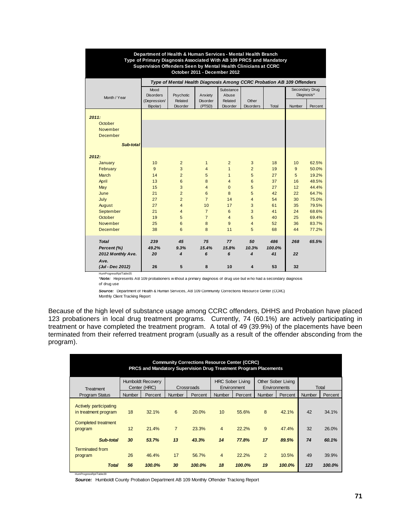| Department of Health & Human Services - Mental Health Branch<br>Type of Primary Diagnosis Associated With AB 109 PRCS and Mandatory<br>Supervision Offenders Seen by Mental Health Clinicians at CCRC<br>October 2011 - December 2012 |                          |                                                                       |                           |                            |                           |        |                              |         |  |  |
|---------------------------------------------------------------------------------------------------------------------------------------------------------------------------------------------------------------------------------------|--------------------------|-----------------------------------------------------------------------|---------------------------|----------------------------|---------------------------|--------|------------------------------|---------|--|--|
|                                                                                                                                                                                                                                       |                          | Type of Mental Health Diagnosis Among CCRC Probation AB 109 Offenders |                           |                            |                           |        |                              |         |  |  |
| Month / Year                                                                                                                                                                                                                          | Mood<br><b>Disorders</b> | Psychotic                                                             | Anxiety                   | Substance<br>Abuse         |                           |        | Secondary Drug<br>Diagnosis* |         |  |  |
|                                                                                                                                                                                                                                       | (Depression/<br>Bipolar) | Related<br><b>Disorder</b>                                            | <b>Disorder</b><br>(PTSD) | Related<br><b>Disorder</b> | Other<br><b>Disorders</b> | Total  | Number                       | Percent |  |  |
| 2011:                                                                                                                                                                                                                                 |                          |                                                                       |                           |                            |                           |        |                              |         |  |  |
| October                                                                                                                                                                                                                               |                          |                                                                       |                           |                            |                           |        |                              |         |  |  |
| November                                                                                                                                                                                                                              |                          |                                                                       |                           |                            |                           |        |                              |         |  |  |
| December                                                                                                                                                                                                                              |                          |                                                                       |                           |                            |                           |        |                              |         |  |  |
| Sub-total                                                                                                                                                                                                                             |                          |                                                                       |                           |                            |                           |        |                              |         |  |  |
|                                                                                                                                                                                                                                       |                          |                                                                       |                           |                            |                           |        |                              |         |  |  |
| 2012:                                                                                                                                                                                                                                 |                          |                                                                       |                           |                            |                           |        |                              |         |  |  |
| January                                                                                                                                                                                                                               | 10                       | $\overline{2}$                                                        | $\overline{1}$            | $\overline{2}$             | 3                         | 18     | 10                           | 62.5%   |  |  |
| February                                                                                                                                                                                                                              | 9                        | 3                                                                     | $\overline{4}$            | $\mathbf{1}$               | $\overline{2}$            | 19     | 9                            | 50.0%   |  |  |
| March                                                                                                                                                                                                                                 | 14                       | $\overline{2}$                                                        | 5                         | $\mathbf{1}$               | 5                         | 27     | 5                            | 19.2%   |  |  |
| April                                                                                                                                                                                                                                 | 13                       | 6                                                                     | 8                         | $\overline{4}$             | 6                         | 37     | 16                           | 48.5%   |  |  |
| May                                                                                                                                                                                                                                   | 15                       | 3                                                                     | $\overline{4}$            | $\Omega$                   | 5                         | 27     | 12                           | 44.4%   |  |  |
| June                                                                                                                                                                                                                                  | 21                       | $\overline{2}$                                                        | 6                         | 8                          | 5                         | 42     | 22                           | 64.7%   |  |  |
| July                                                                                                                                                                                                                                  | 27                       | $\overline{2}$                                                        | $\overline{7}$            | 14                         | $\overline{4}$            | 54     | 30                           | 75.0%   |  |  |
| August                                                                                                                                                                                                                                | 27                       | $\overline{4}$                                                        | 10                        | 17                         | 3                         | 61     | 35                           | 79.5%   |  |  |
| September                                                                                                                                                                                                                             | 21                       | $\overline{4}$                                                        | $\overline{7}$            | 6                          | 3                         | 41     | 24                           | 68.6%   |  |  |
| October                                                                                                                                                                                                                               | 19                       | 5                                                                     | $\overline{7}$            | $\overline{4}$             | 5                         | 40     | 25                           | 69.4%   |  |  |
| November                                                                                                                                                                                                                              | 25                       | 6                                                                     | 8                         | 9                          | $\overline{4}$            | 52     | 36                           | 83.7%   |  |  |
| <b>December</b>                                                                                                                                                                                                                       | 38                       | 6                                                                     | 8                         | 11                         | 5                         | 68     | 44                           | 77.2%   |  |  |
| <b>Total</b>                                                                                                                                                                                                                          | 239                      | 45                                                                    | 75                        | 77                         | 50                        | 486    | 268                          | 65.5%   |  |  |
| Percent (%)                                                                                                                                                                                                                           | 49.2%                    | 9.3%                                                                  | 15.4%                     | 15.8%                      | 10.3%                     | 100.0% |                              |         |  |  |
| 2012 Monthly Ave.                                                                                                                                                                                                                     | 20                       | 4                                                                     | 6                         | 6                          | 4                         | 41     | 22                           |         |  |  |
| Ave.                                                                                                                                                                                                                                  |                          |                                                                       |                           |                            |                           |        |                              |         |  |  |
| (Jul - Dec 2012)<br>HumProgressRpt/Table35                                                                                                                                                                                            | 26                       | 5                                                                     | 8                         | 10                         | $\overline{\mathbf{4}}$   | 53     | 32                           |         |  |  |

\**Note:* Represents AB 109 probationers w ithout a primary diagnosis of drug use but w ho had a secondary diagnosis of drug use

*Source:* Department of Health & Human Services, AB 109 Community Corrections Resource Center (CCRC) Monthly Client Tracking Report

Because of the high level of substance usage among CCRC offenders, DHHS and Probation have placed 123 probationers in local drug treatment programs. Currently, 74 (60.1%) are actively participating in treatment or have completed the treatment program. A total of 49 (39.9%) of the placements have been terminated from their referred treatment program (usually as a result of the offender absconding from the program).

| <b>Community Corrections Resource Center (CCRC)</b><br><b>PRCS and Mandatory Supervision Drug Treatment Program Placements</b> |               |                                                                                                                                        |                     |                 |                      |                 |                      |                 |               |                 |
|--------------------------------------------------------------------------------------------------------------------------------|---------------|----------------------------------------------------------------------------------------------------------------------------------------|---------------------|-----------------|----------------------|-----------------|----------------------|-----------------|---------------|-----------------|
| Treatment                                                                                                                      |               | Other Sober Living<br><b>Humboldt Recovery</b><br><b>HRC Sober Living</b><br>Center (HRC)<br>Crossroads<br>Environment<br>Environments |                     |                 |                      |                 | Total                |                 |               |                 |
| <b>Program Status</b>                                                                                                          | <b>Number</b> | Percent                                                                                                                                | <b>Number</b>       | Percent         | <b>Number</b>        | Percent         | <b>Number</b>        | Percent         | <b>Number</b> | Percent         |
| Actively participating<br>in treatment program<br><b>Completed treatment</b><br>program                                        | 18<br>12      | 32.1%<br>21.4%                                                                                                                         | 6<br>$\overline{7}$ | 20.0%<br>23.3%  | 10<br>$\overline{4}$ | 55.6%<br>22.2%  | 8<br>9               | 42.1%<br>47.4%  | 42<br>32      | 34.1%<br>26.0%  |
| Sub-total                                                                                                                      | 30            | 53.7%                                                                                                                                  | 13                  | 43.3%           | 14                   | 77.8%           | 17                   | 89.5%           | 74            | 60.1%           |
| <b>Terminated from</b><br>program<br>Total<br>HumProgressRpt/Table39                                                           | 26<br>56      | 46.4%<br>100.0%                                                                                                                        | 17<br>30            | 56.7%<br>100.0% | $\overline{4}$<br>18 | 22.2%<br>100.0% | $\overline{2}$<br>19 | 10.5%<br>100.0% | 49<br>123     | 39.9%<br>100.0% |

*Source:* Humboldt County Probation Department AB 109 Monthly Offender Tracking Report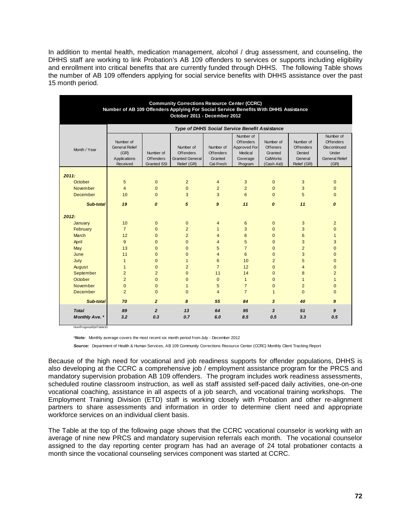In addition to mental health, medication management, alcohol / drug assessment, and counseling, the DHHS staff are working to link Probation's AB 109 offenders to services or supports including eligibility and enrollment into critical benefits that are currently funded through DHHS. The following Table shows the number of AB 109 offenders applying for social service benefits with DHHS assistance over the past 15 month period.

| <b>Community Corrections Resource Center (CCRC)</b><br>Number of AB 109 Offenders Applying For Social Service Benefits With DHHS Assistance<br>October 2011 - December 2012 |                                                                        |                                              |                                                                 |                                                       |                                                                          |                                                            |                                                            |                                                                                         |  |
|-----------------------------------------------------------------------------------------------------------------------------------------------------------------------------|------------------------------------------------------------------------|----------------------------------------------|-----------------------------------------------------------------|-------------------------------------------------------|--------------------------------------------------------------------------|------------------------------------------------------------|------------------------------------------------------------|-----------------------------------------------------------------------------------------|--|
|                                                                                                                                                                             | <b>Type of DHHS Social Service Benefit Assistance</b>                  |                                              |                                                                 |                                                       |                                                                          |                                                            |                                                            |                                                                                         |  |
| Month / Year                                                                                                                                                                | Number of<br><b>General Relief</b><br>(GR)<br>Applications<br>Received | Number of<br>Offenders<br><b>Granted SSI</b> | Number of<br>Offenders<br><b>Granted General</b><br>Relief (GR) | Number of<br><b>Offenders</b><br>Granted<br>Cal-Fresh | Number of<br>Offenders<br>Approved For<br>Medical<br>Coverage<br>Program | Number of<br>Offeners<br>Granted<br>CalWorks<br>(Cash Aid) | Number of<br>Offenders<br>Denied<br>General<br>Relief (GR) | Number of<br>Offenders<br><b>Discontinued</b><br>Under<br><b>General Relief</b><br>(GR) |  |
| 2011.                                                                                                                                                                       |                                                                        |                                              |                                                                 |                                                       |                                                                          |                                                            |                                                            |                                                                                         |  |
| October                                                                                                                                                                     | 5                                                                      | $\overline{0}$                               | $\overline{2}$                                                  | $\overline{4}$                                        | 3                                                                        | $\mathbf{0}$                                               | 3                                                          | $\mathbf{0}$                                                                            |  |
| November                                                                                                                                                                    | $\overline{4}$                                                         | $\Omega$                                     | $\mathbf{0}$                                                    | $\overline{2}$                                        | $\overline{2}$                                                           | $\mathbf{0}$                                               | 3                                                          | $\overline{0}$                                                                          |  |
| <b>December</b>                                                                                                                                                             | 10                                                                     | $\overline{0}$                               | 3                                                               | 3                                                     | $6\phantom{1}$                                                           | $\Omega$                                                   | 5                                                          | $\mathbf{0}$                                                                            |  |
| Sub-total                                                                                                                                                                   | 19                                                                     | 0                                            | 5                                                               | 9                                                     | 11                                                                       | 0                                                          | 11                                                         | 0                                                                                       |  |
| 2012:                                                                                                                                                                       |                                                                        |                                              |                                                                 |                                                       |                                                                          |                                                            |                                                            |                                                                                         |  |
| January                                                                                                                                                                     | 10                                                                     | $\mathbf{0}$                                 | $\mathbf{0}$                                                    | $\overline{4}$                                        | 6                                                                        | $\mathbf{0}$                                               | 3                                                          | $\overline{2}$                                                                          |  |
| February                                                                                                                                                                    | $\overline{7}$                                                         | $\overline{0}$                               | $\overline{2}$                                                  | $\mathbf{1}$                                          | 3                                                                        | $\mathbf{0}$                                               | 3                                                          | $\mathbf{0}$                                                                            |  |
| March                                                                                                                                                                       | 12                                                                     | $\overline{0}$                               | $\overline{2}$                                                  | $\overline{4}$                                        | $6\phantom{1}6$                                                          | $\mathbf{0}$                                               | $6\phantom{1}$                                             | $\mathbf{1}$                                                                            |  |
| April                                                                                                                                                                       | 9                                                                      | $\Omega$                                     | $\Omega$                                                        | 4                                                     | 5                                                                        | $\Omega$                                                   | 3                                                          | 3                                                                                       |  |
| May                                                                                                                                                                         | 13                                                                     | $\overline{0}$                               | $\Omega$                                                        | 5                                                     | $\overline{7}$                                                           | $\Omega$                                                   | $\overline{2}$                                             | $\overline{0}$                                                                          |  |
| June                                                                                                                                                                        | 11                                                                     | $\Omega$                                     | $\Omega$                                                        | $\overline{4}$                                        | 6                                                                        | $\Omega$                                                   | 3                                                          | $\mathbf{0}$                                                                            |  |
| July                                                                                                                                                                        | $\mathbf{1}$                                                           | $\Omega$                                     | $\mathbf{1}$                                                    | 6                                                     | 10                                                                       | $\overline{2}$                                             | 5                                                          | $\overline{0}$                                                                          |  |
| August                                                                                                                                                                      | $\mathbf{1}$                                                           | $\overline{0}$                               | $\overline{2}$                                                  | $\overline{7}$                                        | 12                                                                       | $\overline{0}$                                             | $\overline{4}$                                             | 0                                                                                       |  |
| September                                                                                                                                                                   | $\overline{2}$                                                         | $\overline{2}$                               | $\overline{0}$                                                  | 11                                                    | 14                                                                       | $\mathbf{0}$                                               | 8                                                          | $\overline{2}$                                                                          |  |
| October                                                                                                                                                                     | $\overline{2}$                                                         | $\Omega$                                     | $\mathbf{0}$                                                    | $\mathbf{0}$                                          | $\mathbf{1}$                                                             | $\overline{0}$                                             | $\mathbf{1}$                                               | $\mathbf{1}$                                                                            |  |
| November                                                                                                                                                                    | $\mathbf{0}$                                                           | $\mathbf{0}$                                 | $\mathbf{1}$                                                    | 5                                                     | $\overline{7}$                                                           | $\overline{0}$                                             | $\overline{2}$                                             | $\overline{0}$                                                                          |  |
| December                                                                                                                                                                    | $\overline{2}$                                                         | $\Omega$                                     | $\Omega$                                                        | $\overline{4}$                                        | $\overline{7}$                                                           | $\mathbf{1}$                                               | $\mathbf{0}$                                               | $\mathbf{0}$                                                                            |  |
| Sub-total                                                                                                                                                                   | 70                                                                     | $\overline{2}$                               | 8                                                               | 55                                                    | 84                                                                       | $\overline{\mathbf{3}}$                                    | 40                                                         | $\boldsymbol{9}$                                                                        |  |
| <b>Total</b>                                                                                                                                                                | 89                                                                     | $\overline{2}$                               | 13                                                              | 64                                                    | 95                                                                       | 3                                                          | 51                                                         | 9                                                                                       |  |
| Monthly Ave. *                                                                                                                                                              | 3.2                                                                    | 0.3                                          | 0.7                                                             | 6.0                                                   | 8.5                                                                      | 0.5                                                        | 3.3                                                        | 0.5                                                                                     |  |

HumProgressRpt/Table33

\**Note:* Monthly average covers the most recent six month period from July - December 2012

*Source:* Department of Health & Human Services, AB 109 Community Corrections Resource Center (CCRC) Monthly Client Tracking Report

Because of the high need for vocational and job readiness supports for offender populations, DHHS is also developing at the CCRC a comprehensive job / employment assistance program for the PRCS and mandatory supervision probation AB 109 offenders. The program includes work readiness assessments, scheduled routine classroom instruction, as well as staff assisted self-paced daily activities, one-on-one vocational coaching, assistance in all aspects of a job search, and vocational training workshops. The Employment Training Division (ETD) staff is working closely with Probation and other re-alignment partners to share assessments and information in order to determine client need and appropriate workforce services on an individual client basis.

The Table at the top of the following page shows that the CCRC vocational counselor is working with an average of nine new PRCS and mandatory supervision referrals each month. The vocational counselor assigned to the day reporting center program has had an average of 24 total probationer contacts a month since the vocational counseling services component was started at CCRC.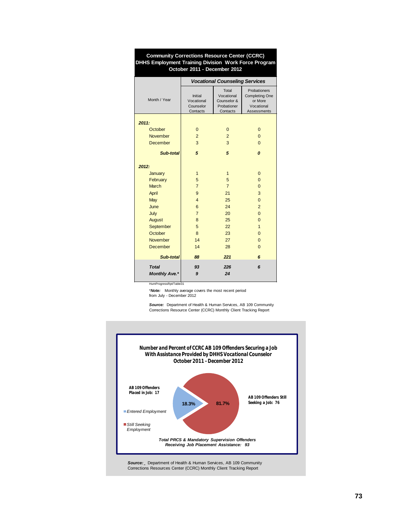| DHHS Employment Training Division Work Force Program<br>October 2011 - December 2012 |                                                |                                                               |                                                                               |  |  |  |  |
|--------------------------------------------------------------------------------------|------------------------------------------------|---------------------------------------------------------------|-------------------------------------------------------------------------------|--|--|--|--|
|                                                                                      |                                                | <b>Vocational Counseling Services</b>                         |                                                                               |  |  |  |  |
| Month / Year                                                                         | Initial<br>Vocational<br>Counselor<br>Contacts | Total<br>Vocational<br>Counselor &<br>Probationer<br>Contacts | Probationers<br><b>Completing One</b><br>or More<br>Vocational<br>Assessments |  |  |  |  |
| 2011:                                                                                |                                                |                                                               |                                                                               |  |  |  |  |
| October                                                                              | $\mathbf 0$                                    | $\mathbf 0$                                                   | $\overline{0}$                                                                |  |  |  |  |
| <b>November</b>                                                                      | $\overline{2}$                                 | $\overline{2}$                                                | $\Omega$                                                                      |  |  |  |  |
| <b>December</b>                                                                      | 3                                              | 3                                                             | $\Omega$                                                                      |  |  |  |  |
| Sub-total                                                                            | 5                                              | 5                                                             | 0                                                                             |  |  |  |  |
| 2012:                                                                                |                                                |                                                               |                                                                               |  |  |  |  |
| January                                                                              | $\mathbf{1}$                                   | $\mathbf{1}$                                                  | $\overline{0}$                                                                |  |  |  |  |
| February                                                                             | 5                                              | 5                                                             | $\overline{0}$                                                                |  |  |  |  |
| <b>March</b>                                                                         | $\overline{7}$                                 | $\overline{7}$                                                | $\Omega$                                                                      |  |  |  |  |
| April                                                                                | 9                                              | 21                                                            | 3                                                                             |  |  |  |  |
| May                                                                                  | $\overline{4}$                                 | 25                                                            | $\overline{0}$                                                                |  |  |  |  |
| June                                                                                 | 6                                              | 24                                                            | $\overline{2}$                                                                |  |  |  |  |
| July                                                                                 | $\overline{7}$                                 | 20                                                            | $\overline{0}$                                                                |  |  |  |  |
| August                                                                               | 8                                              | 25                                                            | $\overline{0}$                                                                |  |  |  |  |
| September                                                                            | 5                                              | 22                                                            | $\mathbf{1}$                                                                  |  |  |  |  |
| October                                                                              | 8                                              | 23                                                            | $\overline{0}$                                                                |  |  |  |  |
| <b>November</b>                                                                      | 14                                             | 27                                                            | $\overline{0}$                                                                |  |  |  |  |
| <b>December</b>                                                                      | 14                                             | 28                                                            | $\Omega$                                                                      |  |  |  |  |
| Sub-total                                                                            | 88                                             | 221                                                           | 6                                                                             |  |  |  |  |
| Total                                                                                | 93                                             | 226                                                           | 6                                                                             |  |  |  |  |
| <b>Monthly Ave.*</b>                                                                 | 9                                              | 24                                                            |                                                                               |  |  |  |  |

**Community Corrections Resource Center (CCRC) DHHS Employment Training Division Work Force Program**

HumProgressRpt/Table31

\**Note:* Monthly average covers the most recent period from July - December 2012

Source: Department of Health & Human Services, AB 109 Community Corrections Resource Center (CCRC) Monthly Client Tracking Report

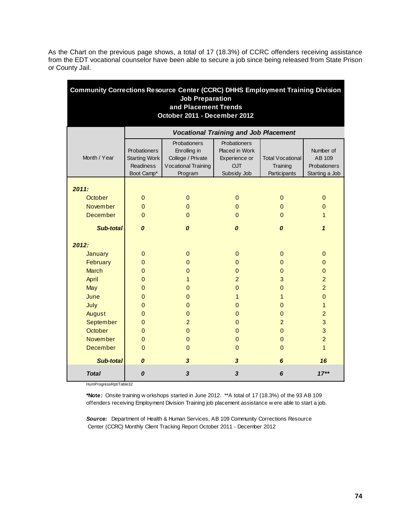As the Chart on the previous page shows, a total of 17 (18.3%) of CCRC offenders receiving assistance from the EDT vocational counselor have been able to secure a job since being released from State Prison or County Jail.

| <b>Community Corrections Resource Center (CCRC) DHHS Employment Training Division</b><br><b>Job Preparation</b><br>and Placement Trends |                                                                        |                                                                                            |                                                                              |                                                     |                                                       |  |  |  |  |  |
|-----------------------------------------------------------------------------------------------------------------------------------------|------------------------------------------------------------------------|--------------------------------------------------------------------------------------------|------------------------------------------------------------------------------|-----------------------------------------------------|-------------------------------------------------------|--|--|--|--|--|
| October 2011 - December 2012                                                                                                            |                                                                        |                                                                                            |                                                                              |                                                     |                                                       |  |  |  |  |  |
|                                                                                                                                         |                                                                        | <b>Vocational Training and Job Placement</b>                                               |                                                                              |                                                     |                                                       |  |  |  |  |  |
| Month / Year                                                                                                                            | Probationers<br><b>Starting Work</b><br><b>Readiness</b><br>Boot Camp* | <b>Probationers</b><br>Enrolling in<br>College / Private<br>Vocational Training<br>Program | Probationers<br>Placed in Work<br>Experience or<br><b>OJT</b><br>Subsidy Job | <b>Total Vocational</b><br>Training<br>Participants | Number of<br>AB 109<br>Probationers<br>Starting a Job |  |  |  |  |  |
| 2011:                                                                                                                                   |                                                                        |                                                                                            |                                                                              |                                                     |                                                       |  |  |  |  |  |
| October                                                                                                                                 | $\mathbf{0}$                                                           | $\mathbf{0}$                                                                               | $\mathbf{0}$                                                                 | $\mathbf{0}$                                        | $\mathbf{0}$                                          |  |  |  |  |  |
| November                                                                                                                                | $\Omega$                                                               | $\Omega$                                                                                   | $\Omega$                                                                     | $\Omega$                                            | $\Omega$                                              |  |  |  |  |  |
| December                                                                                                                                | $\Omega$                                                               | $\Omega$                                                                                   | $\Omega$                                                                     | $\Omega$                                            | 1                                                     |  |  |  |  |  |
| <b>Sub-total</b>                                                                                                                        | 0                                                                      | 0                                                                                          | $\boldsymbol{0}$                                                             | $\boldsymbol{o}$                                    | $\mathbf{1}$                                          |  |  |  |  |  |
| 2012:                                                                                                                                   |                                                                        |                                                                                            |                                                                              |                                                     |                                                       |  |  |  |  |  |
| <b>January</b>                                                                                                                          | $\mathbf{0}$                                                           | $\mathbf{0}$                                                                               | $\overline{0}$                                                               | $\mathbf{0}$                                        | $\pmb{0}$                                             |  |  |  |  |  |
| February                                                                                                                                | $\mathbf{0}$                                                           | 0                                                                                          | $\Omega$                                                                     | $\Omega$                                            | $\mathbf{0}$                                          |  |  |  |  |  |
| <b>March</b>                                                                                                                            | $\Omega$                                                               | $\Omega$                                                                                   | $\Omega$                                                                     | $\mathbf{0}$                                        | $\overline{0}$                                        |  |  |  |  |  |
| April                                                                                                                                   | $\mathbf 0$                                                            | 1                                                                                          | $\overline{2}$                                                               | 3                                                   | $\overline{2}$                                        |  |  |  |  |  |
| May                                                                                                                                     | $\mathbf 0$                                                            | 0                                                                                          | $\overline{0}$                                                               | $\mathbf 0$                                         | $\overline{2}$                                        |  |  |  |  |  |
| June                                                                                                                                    | $\Omega$                                                               | 0                                                                                          | $\mathbf{1}$                                                                 | $\mathbf{1}$                                        | $\overline{0}$                                        |  |  |  |  |  |
| July                                                                                                                                    | 0                                                                      | 0                                                                                          | $\Omega$                                                                     | $\Omega$                                            | $\mathbf{1}$                                          |  |  |  |  |  |
| August                                                                                                                                  | 0                                                                      | $\mathbf{0}$                                                                               | $\overline{0}$                                                               | $\overline{0}$                                      | $\overline{a}$                                        |  |  |  |  |  |
| September                                                                                                                               | $\overline{0}$                                                         | $\overline{a}$                                                                             | $\overline{0}$                                                               | $\overline{a}$                                      | $\mathbf{3}$                                          |  |  |  |  |  |
| October                                                                                                                                 | $\overline{0}$                                                         | $\mathbf 0$                                                                                | $\overline{0}$                                                               | $\mathbf{0}$                                        | 3                                                     |  |  |  |  |  |
| <b>November</b>                                                                                                                         | $\overline{0}$                                                         | $\mathbf{0}$                                                                               | $\mathbf{0}$                                                                 | $\overline{0}$                                      | $\overline{2}$                                        |  |  |  |  |  |
| <b>December</b>                                                                                                                         | $\Omega$                                                               | $\Omega$                                                                                   | $\Omega$                                                                     | $\Omega$                                            | $\overline{1}$                                        |  |  |  |  |  |
| Sub-total                                                                                                                               | $\boldsymbol{o}$                                                       | 3                                                                                          | 3                                                                            | 6                                                   | 16                                                    |  |  |  |  |  |
| <b>Total</b>                                                                                                                            | 0                                                                      | 3                                                                                          | 3                                                                            | 6                                                   | $17**$                                                |  |  |  |  |  |

HumProgressRpt/Table32

**\*Note:** Onsite training w orkshops started in June 2012. \*\*A total of 17 (18.3%) of the 93 AB 109 offenders receiving Employment Division Training job placement assistance w ere able to start a job.

*Source:* Department of Health & Human Services, AB 109 Community Corrections Resource Center (CCRC) Monthly Client Tracking Report October 2011 - December 2012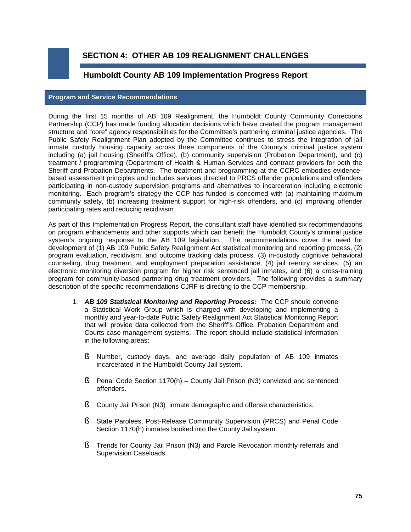**SECTION 4: OTHER AB 109 REALIGNMENT CHALLENGES**

# **Humboldt County AB 109 Implementation Progress Report**

### **Program and Service Recommendations**

During the first 15 months of AB 109 Realignment, the Humboldt County Community Corrections Partnership (CCP) has made funding allocation decisions which have created the program management structure and "core" agency responsibilities for the Committee's partnering criminal justice agencies. The Public Safety Realignment Plan adopted by the Committee continues to stress the integration of jail inmate custody housing capacity across three components of the County's criminal justice system including (a) jail housing (Sheriff's Office), (b) community supervision (Probation Department), and (c) treatment / programming (Department of Health & Human Services and contract providers for both the Sheriff and Probation Departments. The treatment and programming at the CCRC embodies evidencebased assessment principles and includes services directed to PRCS offender populations and offenders participating in non-custody supervision programs and alternatives to incarceration including electronic monitoring. Each program's strategy the CCP has funded is concerned with (a) maintaining maximum community safety, (b) increasing treatment support for high-risk offenders, and (c) improving offender participating rates and reducing recidivism.

As part of this Implementation Progress Report, the consultant staff have identified six recommendations on program enhancements and other supports which can benefit the Humboldt County's criminal justice system's ongoing response to the AB 109 legislation. The recommendations cover the need for development of (1) AB 109 Public Safety Realignment Act statistical monitoring and reporting process, (2) program evaluation, recidivism, and outcome tracking data process. (3) in-custody cognitive behavioral counseling, drug treatment, and employment preparation assistance, (4) jail reentry services, (5) an electronic monitoring diversion program for higher risk sentenced jail inmates, and (6) a cross-training program for community-based partnering drug treatment providers. The following provides a summary description of the specific recommendations CJRF is directing to the CCP membership.

- 1. *AB 109 Statistical Monitoring and Reporting Process:* The CCP should convene a Statistical Work Group which is charged with developing and implementing a monthly and year-to-date Public Safety Realignment Act Statistical Monitoring Report that will provide data collected from the Sheriff's Office, Probation Department and Courts case management systems. The report should include statistical information in the following areas:
	- § Number, custody days, and average daily population of AB 109 inmates incarcerated in the Humboldt County Jail system.
	- **§** Penal Code Section 1170(h) County Jail Prison (N3) convicted and sentenced offenders.
	- **§** County Jail Prison (N3) inmate demographic and offense characteristics.
	- § State Parolees, Post-Release Community Supervision (PRCS) and Penal Code Section 1170(h) inmates booked into the County Jail system.
	- § Trends for County Jail Prison (N3) and Parole Revocation monthly referrals and Supervision Caseloads.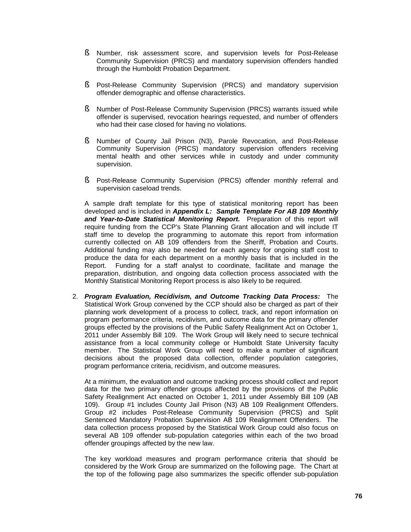- § Number, risk assessment score, and supervision levels for Post-Release Community Supervision (PRCS) and mandatory supervision offenders handled through the Humboldt Probation Department.
- § Post-Release Community Supervision (PRCS) and mandatory supervision offender demographic and offense characteristics.
- § Number of Post-Release Community Supervision (PRCS) warrants issued while offender is supervised, revocation hearings requested, and number of offenders who had their case closed for having no violations.
- § Number of County Jail Prison (N3), Parole Revocation, and Post-Release Community Supervision (PRCS) mandatory supervision offenders receiving mental health and other services while in custody and under community supervision.
- § Post-Release Community Supervision (PRCS) offender monthly referral and supervision caseload trends.

A sample draft template for this type of statistical monitoring report has been developed and is included in *Appendix L: Sample Template For AB 109 Monthly and Year-to-Date Statistical Monitoring Report.* Preparation of this report will require funding from the CCP's State Planning Grant allocation and will include IT staff time to develop the programming to automate this report from information currently collected on AB 109 offenders from the Sheriff, Probation and Courts. Additional funding may also be needed for each agency for ongoing staff cost to produce the data for each department on a monthly basis that is included in the Report. Funding for a staff analyst to coordinate, facilitate and manage the preparation, distribution, and ongoing data collection process associated with the Monthly Statistical Monitoring Report process is also likely to be required.

2. *Program Evaluation, Recidivism, and Outcome Tracking Data Process:* The Statistical Work Group convened by the CCP should also be charged as part of their planning work development of a process to collect, track, and report information on program performance criteria, recidivism, and outcome data for the primary offender groups effected by the provisions of the Public Safety Realignment Act on October 1, 2011 under Assembly Bill 109. The Work Group will likely need to secure technical assistance from a local community college or Humboldt State University faculty member. The Statistical Work Group will need to make a number of significant decisions about the proposed data collection, offender population categories, program performance criteria, recidivism, and outcome measures.

At a minimum, the evaluation and outcome tracking process should collect and report data for the two primary offender groups affected by the provisions of the Public Safety Realignment Act enacted on October 1, 2011 under Assembly Bill 109 (AB 109). Group #1 includes County Jail Prison (N3) AB 109 Realignment Offenders. Group #2 includes Post-Release Community Supervision (PRCS) and Split Sentenced Mandatory Probation Supervision AB 109 Realignment Offenders. The data collection process proposed by the Statistical Work Group could also focus on several AB 109 offender sub-population categories within each of the two broad offender groupings affected by the new law.

The key workload measures and program performance criteria that should be considered by the Work Group are summarized on the following page. The Chart at the top of the following page also summarizes the specific offender sub-population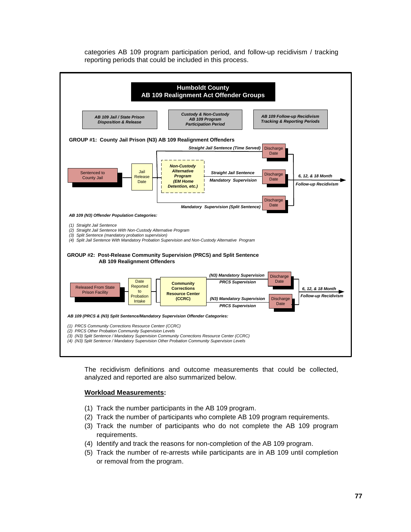categories AB 109 program participation period, and follow-up recidivism / tracking reporting periods that could be included in this process.



The recidivism definitions and outcome measurements that could be collected, analyzed and reported are also summarized below.

## **Workload Measurements:**

- (1) Track the number participants in the AB 109 program.
- (2) Track the number of participants who complete AB 109 program requirements.
- (3) Track the number of participants who do not complete the AB 109 program requirements.
- (4) Identify and track the reasons for non-completion of the AB 109 program.
- (5) Track the number of re-arrests while participants are in AB 109 until completion or removal from the program.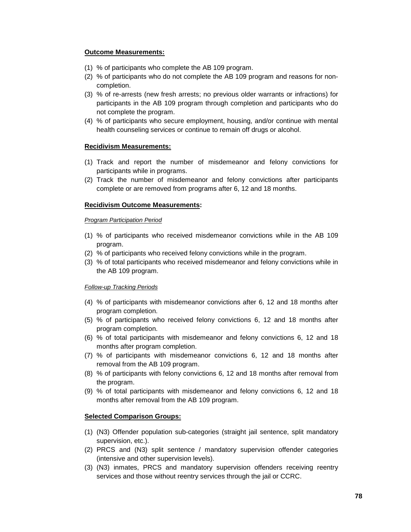### **Outcome Measurements:**

- (1) % of participants who complete the AB 109 program.
- (2) % of participants who do not complete the AB 109 program and reasons for noncompletion.
- (3) % of re-arrests (new fresh arrests; no previous older warrants or infractions) for participants in the AB 109 program through completion and participants who do not complete the program.
- (4) % of participants who secure employment, housing, and/or continue with mental health counseling services or continue to remain off drugs or alcohol.

## **Recidivism Measurements:**

- (1) Track and report the number of misdemeanor and felony convictions for participants while in programs.
- (2) Track the number of misdemeanor and felony convictions after participants complete or are removed from programs after 6, 12 and 18 months.

## **Recidivism Outcome Measurements:**

#### *Program Participation Period*

- (1) % of participants who received misdemeanor convictions while in the AB 109 program.
- (2) % of participants who received felony convictions while in the program.
- (3) % of total participants who received misdemeanor and felony convictions while in the AB 109 program.

#### *Follow-up Tracking Periods*

- (4) % of participants with misdemeanor convictions after 6, 12 and 18 months after program completion.
- (5) % of participants who received felony convictions 6, 12 and 18 months after program completion.
- (6) % of total participants with misdemeanor and felony convictions 6, 12 and 18 months after program completion.
- (7) % of participants with misdemeanor convictions 6, 12 and 18 months after removal from the AB 109 program.
- (8) % of participants with felony convictions 6, 12 and 18 months after removal from the program.
- (9) % of total participants with misdemeanor and felony convictions 6, 12 and 18 months after removal from the AB 109 program.

#### **Selected Comparison Groups:**

- (1) (N3) Offender population sub-categories (straight jail sentence, split mandatory supervision, etc.).
- (2) PRCS and (N3) split sentence / mandatory supervision offender categories (intensive and other supervision levels).
- (3) (N3) inmates, PRCS and mandatory supervision offenders receiving reentry services and those without reentry services through the jail or CCRC.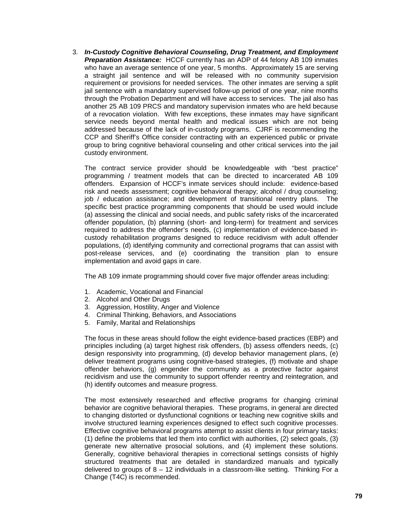3. *In-Custody Cognitive Behavioral Counseling, Drug Treatment, and Employment Preparation Assistance:* HCCF currently has an ADP of 44 felony AB 109 inmates who have an average sentence of one year, 5 months. Approximately 15 are serving a straight jail sentence and will be released with no community supervision requirement or provisions for needed services. The other inmates are serving a split jail sentence with a mandatory supervised follow-up period of one year, nine months through the Probation Department and will have access to services. The jail also has another 25 AB 109 PRCS and mandatory supervision inmates who are held because of a revocation violation. With few exceptions, these inmates may have significant service needs beyond mental health and medical issues which are not being addressed because of the lack of in-custody programs. CJRF is recommending the CCP and Sheriff's Office consider contracting with an experienced public or private group to bring cognitive behavioral counseling and other critical services into the jail custody environment.

The contract service provider should be knowledgeable with "best practice" programming / treatment models that can be directed to incarcerated AB 109 offenders. Expansion of HCCF's inmate services should include: evidence-based risk and needs assessment; cognitive behavioral therapy; alcohol / drug counseling; job / education assistance; and development of transitional reentry plans. The specific best practice programming components that should be used would include (a) assessing the clinical and social needs, and public safety risks of the incarcerated offender population, (b) planning (short- and long-term) for treatment and services required to address the offender's needs, (c) implementation of evidence-based incustody rehabilitation programs designed to reduce recidivism with adult offender populations, (d) identifying community and correctional programs that can assist with post-release services, and (e) coordinating the transition plan to ensure implementation and avoid gaps in care.

The AB 109 inmate programming should cover five major offender areas including:

- 1. Academic, Vocational and Financial
- 2. Alcohol and Other Drugs
- 3. Aggression, Hostility, Anger and Violence
- 4. Criminal Thinking, Behaviors, and Associations
- 5. Family, Marital and Relationships

The focus in these areas should follow the eight evidence-based practices (EBP) and principles including (a) target highest risk offenders, (b) assess offenders needs, (c) design responsivity into programming, (d) develop behavior management plans, (e) deliver treatment programs using cognitive-based strategies, (f) motivate and shape offender behaviors, (g) engender the community as a protective factor against recidivism and use the community to support offender reentry and reintegration, and (h) identify outcomes and measure progress.

The most extensively researched and effective programs for changing criminal behavior are cognitive behavioral therapies. These programs, in general are directed to changing distorted or dysfunctional cognitions or teaching new cognitive skills and involve structured learning experiences designed to effect such cognitive processes. Effective cognitive behavioral programs attempt to assist clients in four primary tasks: (1) define the problems that led them into conflict with authorities, (2) select goals, (3) generate new alternative prosocial solutions, and (4) implement these solutions. Generally, cognitive behavioral therapies in correctional settings consists of highly structured treatments that are detailed in standardized manuals and typically delivered to groups of  $8 - 12$  individuals in a classroom-like setting. Thinking For a Change (T4C) is recommended.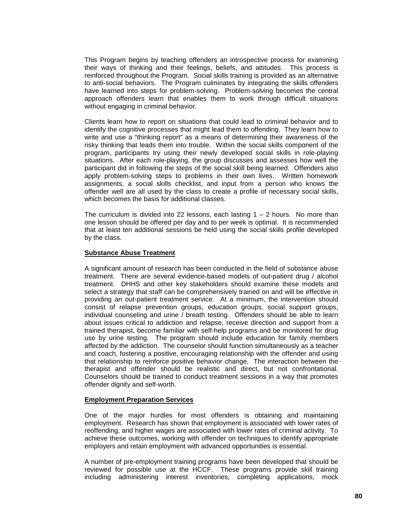This Program begins by teaching offenders an introspective process for examining their ways of thinking and their feelings, beliefs, and attitudes. This process is reinforced throughout the Program. Social skills training is provided as an alternative to anti-social behaviors. The Program culminates by integrating the skills offenders have learned into steps for problem-solving. Problem-solving becomes the central approach offenders learn that enables them to work through difficult situations without engaging in criminal behavior.

Clients learn how to report on situations that could lead to criminal behavior and to identify the cognitive processes that might lead them to offending. They learn how to write and use a "thinking report" as a means of determining their awareness of the risky thinking that leads them into trouble. Within the social skills component of the program, participants try using their newly developed social skills in role-playing situations. After each role-playing, the group discusses and assesses how well the participant did in following the steps of the social skill being learned. Offenders also apply problem-solving steps to problems in their own lives. Written homework assignments, a social skills checklist, and input from a person who knows the offender well are all used by the class to create a profile of necessary social skills, which becomes the basis for additional classes.

The curriculum is divided into 22 lessons, each lasting  $1 - 2$  hours. No more than one lesson should be offered per day and to per week is optimal. It is recommended that at least ten additional sessions be held using the social skills profile developed by the class.

#### **Substance Abuse Treatment**

A significant amount of research has been conducted in the field of substance abuse treatment. There are several evidence-based models of out-patient drug / alcohol treatment. DHHS and other key stakeholders should examine these models and select a strategy that staff can be comprehensively trained on and will be effective in providing an out-patient treatment service. At a minimum, the intervention should consist of relapse prevention groups, education groups, social support groups, individual counseling and urine  $\overline{\ell}$  breath testing. Offenders should be able to learn about issues critical to addiction and relapse, receive direction and support from a trained therapist, become familiar with self-help programs and be monitored for drug use by urine testing. The program should include education for family members affected by the addiction. The counselor should function simultaneously as a teacher and coach, fostering a positive, encouraging relationship with the offender and using that relationship to reinforce positive behavior change. The interaction between the therapist and offender should be realistic and direct, but not confrontational. Counselors should be trained to conduct treatment sessions in a way that promotes offender dignity and self-worth.

#### **Employment Preparation Services**

One of the major hurdles for most offenders is obtaining and maintaining employment. Research has shown that employment is associated with lower rates of reoffending, and higher wages are associated with lower rates of criminal activity. To achieve these outcomes, working with offender on techniques to identify appropriate employers and retain employment with advanced opportunities is essential.

A number of pre-employment training programs have been developed that should be reviewed for possible use at the HCCF. These programs provide skill training including administering interest inventories, completing applications, mock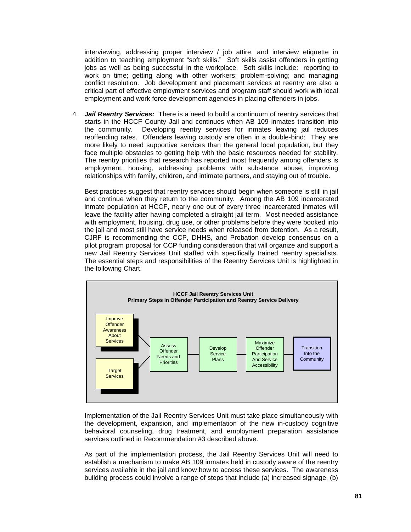interviewing, addressing proper interview / job attire, and interview etiquette in addition to teaching employment "soft skills." Soft skills assist offenders in getting jobs as well as being successful in the workplace. Soft skills include: reporting to work on time; getting along with other workers; problem-solving; and managing conflict resolution. Job development and placement services at reentry are also a critical part of effective employment services and program staff should work with local employment and work force development agencies in placing offenders in jobs.

4. *Jail Reentry Services:* There is a need to build a continuum of reentry services that starts in the HCCF County Jail and continues when AB 109 inmates transition into the community. Developing reentry services for inmates leaving jail reduces reoffending rates. Offenders leaving custody are often in a double-bind: They are more likely to need supportive services than the general local population, but they face multiple obstacles to getting help with the basic resources needed for stability. The reentry priorities that research has reported most frequently among offenders is employment, housing, addressing problems with substance abuse, improving relationships with family, children, and intimate partners, and staying out of trouble.

Best practices suggest that reentry services should begin when someone is still in jail and continue when they return to the community. Among the AB 109 incarcerated inmate population at HCCF, nearly one out of every three incarcerated inmates will leave the facility after having completed a straight jail term. Most needed assistance with employment, housing, drug use, or other problems before they were booked into the jail and most still have service needs when released from detention. As a result, CJRF is recommending the CCP, DHHS, and Probation develop consensus on a pilot program proposal for CCP funding consideration that will organize and support a new Jail Reentry Services Unit staffed with specifically trained reentry specialists. The essential steps and responsibilities of the Reentry Services Unit is highlighted in the following Chart.



Implementation of the Jail Reentry Services Unit must take place simultaneously with the development, expansion, and implementation of the new in-custody cognitive behavioral counseling, drug treatment, and employment preparation assistance services outlined in Recommendation #3 described above.

As part of the implementation process, the Jail Reentry Services Unit will need to establish a mechanism to make AB 109 inmates held in custody aware of the reentry services available in the jail and know how to access these services. The awareness building process could involve a range of steps that include (a) increased signage, (b)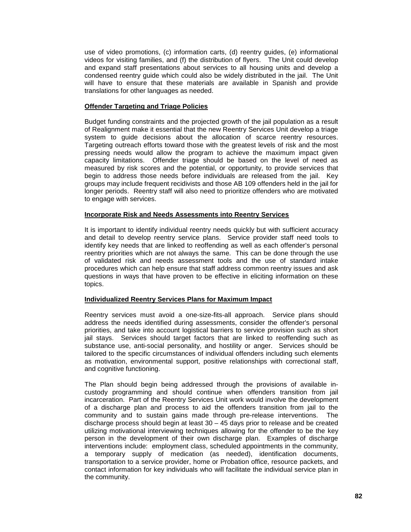use of video promotions, (c) information carts, (d) reentry guides, (e) informational videos for visiting families, and (f) the distribution of flyers. The Unit could develop and expand staff presentations about services to all housing units and develop a condensed reentry guide which could also be widely distributed in the jail. The Unit will have to ensure that these materials are available in Spanish and provide translations for other languages as needed.

### **Offender Targeting and Triage Policies**

Budget funding constraints and the projected growth of the jail population as a result of Realignment make it essential that the new Reentry Services Unit develop a triage system to guide decisions about the allocation of scarce reentry resources. Targeting outreach efforts toward those with the greatest levels of risk and the most pressing needs would allow the program to achieve the maximum impact given capacity limitations. Offender triage should be based on the level of need as measured by risk scores and the potential, or opportunity, to provide services that begin to address those needs before individuals are released from the jail. Key groups may include frequent recidivists and those AB 109 offenders held in the jail for longer periods. Reentry staff will also need to prioritize offenders who are motivated to engage with services.

#### **Incorporate Risk and Needs Assessments into Reentry Services**

It is important to identify individual reentry needs quickly but with sufficient accuracy and detail to develop reentry service plans. Service provider staff need tools to identify key needs that are linked to reoffending as well as each offender's personal reentry priorities which are not always the same. This can be done through the use of validated risk and needs assessment tools and the use of standard intake procedures which can help ensure that staff address common reentry issues and ask questions in ways that have proven to be effective in eliciting information on these topics.

# **Individualized Reentry Services Plans for Maximum Impact**

Reentry services must avoid a one-size-fits-all approach. Service plans should address the needs identified during assessments, consider the offender's personal priorities, and take into account logistical barriers to service provision such as short jail stays. Services should target factors that are linked to reoffending such as substance use, anti-social personality, and hostility or anger. Services should be tailored to the specific circumstances of individual offenders including such elements as motivation, environmental support, positive relationships with correctional staff, and cognitive functioning.

The Plan should begin being addressed through the provisions of available incustody programming and should continue when offenders transition from jail incarceration. Part of the Reentry Services Unit work would involve the development of a discharge plan and process to aid the offenders transition from jail to the community and to sustain gains made through pre-release interventions. The discharge process should begin at least  $30 - 45$  days prior to release and be created utilizing motivational interviewing techniques allowing for the offender to be the key person in the development of their own discharge plan. Examples of discharge interventions include: employment class, scheduled appointments in the community, a temporary supply of medication (as needed), identification documents, transportation to a service provider, home or Probation office, resource packets, and contact information for key individuals who will facilitate the individual service plan in the community.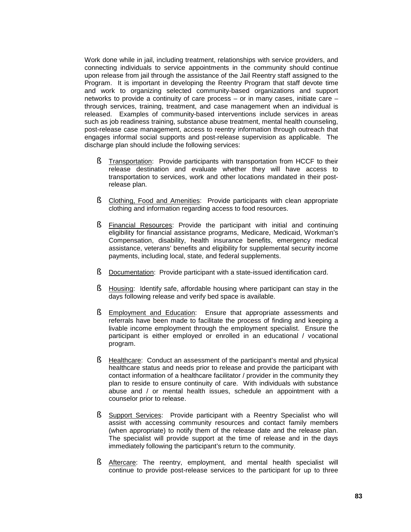Work done while in jail, including treatment, relationships with service providers, and connecting individuals to service appointments in the community should continue upon release from jail through the assistance of the Jail Reentry staff assigned to the Program. It is important in developing the Reentry Program that staff devote time and work to organizing selected community-based organizations and support networks to provide a continuity of care process – or in many cases, initiate care – through services, training, treatment, and case management when an individual is released. Examples of community-based interventions include services in areas such as job readiness training, substance abuse treatment, mental health counseling, post-release case management, access to reentry information through outreach that engages informal social supports and post-release supervision as applicable. The discharge plan should include the following services:

- § Transportation: Provide participants with transportation from HCCF to their release destination and evaluate whether they will have access to transportation to services, work and other locations mandated in their postrelease plan.
- § Clothing, Food and Amenities: Provide participants with clean appropriate clothing and information regarding access to food resources.
- § Financial Resources: Provide the participant with initial and continuing eligibility for financial assistance programs, Medicare, Medicaid, Workman's Compensation, disability, health insurance benefits, emergency medical assistance, veterans' benefits and eligibility for supplemental security income payments, including local, state, and federal supplements.
- § Documentation: Provide participant with a state-issued identification card.
- § Housing: Identify safe, affordable housing where participant can stay in the days following release and verify bed space is available.
- § Employment and Education: Ensure that appropriate assessments and referrals have been made to facilitate the process of finding and keeping a livable income employment through the employment specialist. Ensure the participant is either employed or enrolled in an educational / vocational program.
- § Healthcare: Conduct an assessment of the participant's mental and physical healthcare status and needs prior to release and provide the participant with contact information of a healthcare facilitator / provider in the community they plan to reside to ensure continuity of care. With individuals with substance abuse and / or mental health issues, schedule an appointment with a counselor prior to release.
- § Support Services: Provide participant with a Reentry Specialist who will assist with accessing community resources and contact family members (when appropriate) to notify them of the release date and the release plan. The specialist will provide support at the time of release and in the days immediately following the participant's return to the community.
- § Aftercare: The reentry, employment, and mental health specialist will continue to provide post-release services to the participant for up to three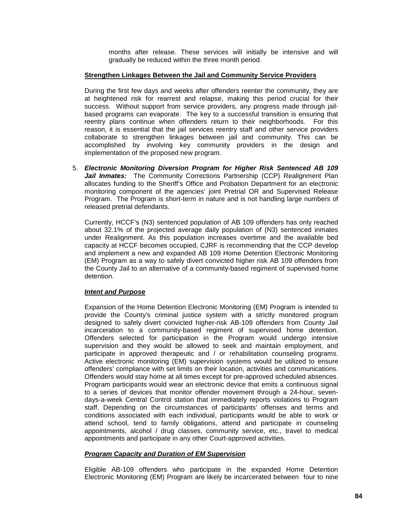months after release. These services will initially be intensive and will gradually be reduced within the three month period.

### **Strengthen Linkages Between the Jail and Community Service Providers**

During the first few days and weeks after offenders reenter the community, they are at heightened risk for rearrest and relapse, making this period crucial for their success. Without support from service providers, any progress made through jailbased programs can evaporate. The key to a successful transition is ensuring that reentry plans continue when offenders return to their neighborhoods. For this reason, it is essential that the jail services reentry staff and other service providers collaborate to strengthen linkages between jail and community. This can be accomplished by involving key community providers in the design and implementation of the proposed new program.

5. *Electronic Monitoring Diversion Program for Higher Risk Sentenced AB 109 Jail Inmates:* The Community Corrections Partnership (CCP) Realignment Plan allocates funding to the Sheriff's Office and Probation Department for an electronic monitoring component of the agencies' joint Pretrial OR and Supervised Release Program. The Program is short-term in nature and is not handling large numbers of released pretrial defendants.

Currently, HCCF's (N3) sentenced population of AB 109 offenders has only reached about 32.1% of the projected average daily population of (N3) sentenced inmates under Realignment. As this population increases overtime and the available bed capacity at HCCF becomes occupied, CJRF is recommending that the CCP develop and implement a new and expanded AB 109 Home Detention Electronic Monitoring (EM) Program as a way to safely divert convicted higher risk AB 109 offenders from the County Jail to an alternative of a community-based regiment of supervised home detention.

#### *Intent and Purpose*

Expansion of the Home Detention Electronic Monitoring (EM) Program is intended to provide the County's criminal justice system with a strictly monitored program designed to safely divert convicted higher-risk AB-109 offenders from County Jail incarceration to a community-based regiment of supervised home detention. Offenders selected for participation in the Program would undergo intensive supervision and they would be allowed to seek and maintain employment, and participate in approved therapeutic and / or rehabilitation counseling programs. Active electronic monitoring (EM) supervision systems would be utilized to ensure offenders' compliance with set limits on their location, activities and communications. Offenders would stay home at all times except for pre-approved scheduled absences. Program participants would wear an electronic device that emits a continuous signal to a series of devices that monitor offender movement through a 24-hour, sevendays-a-week Central Control station that immediately reports violations to Program staff. Depending on the circumstances of participants' offenses and terms and conditions associated with each individual, participants would be able to work or attend school, tend to family obligations, attend and participate in counseling appointments, alcohol / drug classes, community service, etc., travel to medical appointments and participate in any other Court-approved activities.

# *Program Capacity and Duration of EM Supervision*

Eligible AB-109 offenders who participate in the expanded Home Detention Electronic Monitoring (EM) Program are likely be incarcerated between four to nine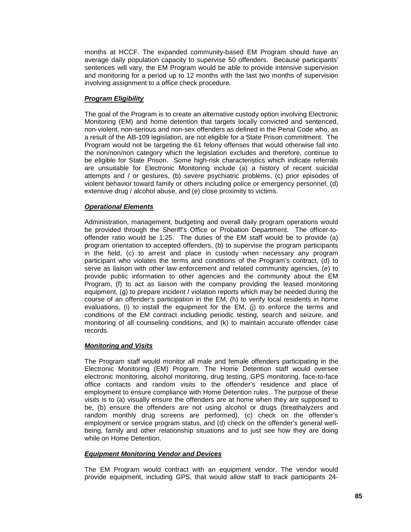months at HCCF. The expanded community-based EM Program should have an average daily population capacity to supervise 50 offenders. Because participants' sentences will vary, the EM Program would be able to provide intensive supervision and monitoring for a period up to 12 months with the last two months of supervision involving assignment to a office check procedure.

# *Program Eligibility*

The goal of the Program is to create an alternative custody option involving Electronic Monitoring (EM) and home detention that targets locally convicted and sentenced, non-violent, non-serious and non-sex offenders as defined in the Penal Code who, as a result of the AB-109 legislation, are not eligible for a State Prison commitment. The Program would not be targeting the 61 felony offenses that would otherwise fall into the non/non/non category which the legislation excludes and therefore, continue to be eligible for State Prison. Some high-risk characteristics which indicate referrals are unsuitable for Electronic Monitoring include (a) a history of recent suicidal attempts and / or gestures, (b) severe psychiatric problems, (c) prior episodes of violent behavior toward family or others including police or emergency personnel, (d) extensive drug / alcohol abuse, and (e) close proximity to victims.

# *Operational Elements*

Administration, management, budgeting and overall daily program operations would be provided through the Sheriff's Office or Probation Department. The officer-tooffender ratio would be 1:25. The duties of the EM staff would be to provide (a) program orientation to accepted offenders, (b) to supervise the program participants in the field, (c) to arrest and place in custody when necessary any program participant who violates the terms and conditions of the Program's contract, (d) to serve as liaison with other law enforcement and related community agencies, (e) to provide public information to other agencies and the community about the EM Program, (f) to act as liaison with the company providing the leased monitoring equipment, (g) to prepare incident / violation reports which may be needed during the course of an offender's participation in the EM, (h) to verify local residents in home evaluations, (i) to install the equipment for the EM, (i) to enforce the terms and conditions of the EM contract including periodic testing, search and seizure, and monitoring of all counseling conditions, and (k) to maintain accurate offender case records.

#### *Monitoring and Visits*

The Program staff would monitor all male and female offenders participating in the Electronic Monitoring (EM) Program. The Home Detention staff would oversee electronic monitoring, alcohol monitoring, drug testing, GPS monitoring, face-to-face office contacts and random visits to the offender's residence and place of employment to ensure compliance with Home Detention rules. The purpose of these visits is to (a) visually ensure the offenders are at home when they are supposed to be, (b) ensure the offenders are not using alcohol or drugs (breathalyzers and random monthly drug screens are performed), (c) check on the offender's employment or service program status, and (d) check on the offender's general wellbeing, family and other relationship situations and to just see how they are doing while on Home Detention.

#### *Equipment Monitoring Vendor and Devices*

The EM Program would contract with an equipment vendor. The vendor would provide equipment, including GPS, that would allow staff to track participants 24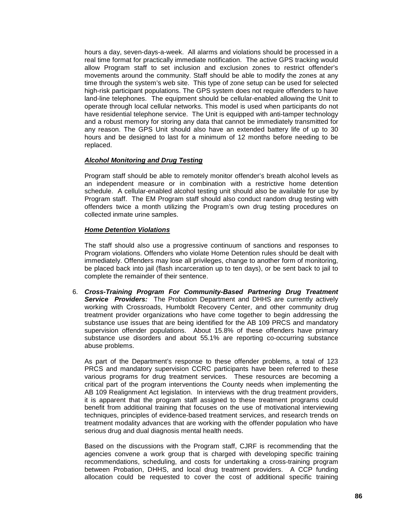hours a day, seven-days-a-week. All alarms and violations should be processed in a real time format for practically immediate notification. The active GPS tracking would allow Program staff to set inclusion and exclusion zones to restrict offender's movements around the community. Staff should be able to modify the zones at any time through the system's web site. This type of zone setup can be used for selected high-risk participant populations. The GPS system does not require offenders to have land-line telephones. The equipment should be cellular-enabled allowing the Unit to operate through local cellular networks. This model is used when participants do not have residential telephone service. The Unit is equipped with anti-tamper technology and a robust memory for storing any data that cannot be immediately transmitted for any reason. The GPS Unit should also have an extended battery life of up to 30 hours and be designed to last for a minimum of 12 months before needing to be replaced.

#### *Alcohol Monitoring and Drug Testing*

Program staff should be able to remotely monitor offender's breath alcohol levels as an independent measure or in combination with a restrictive home detention schedule. A cellular-enabled alcohol testing unit should also be available for use by Program staff. The EM Program staff should also conduct random drug testing with offenders twice a month utilizing the Program's own drug testing procedures on collected inmate urine samples.

## *Home Detention Violations*

The staff should also use a progressive continuum of sanctions and responses to Program violations. Offenders who violate Home Detention rules should be dealt with immediately. Offenders may lose all privileges, change to another form of monitoring, be placed back into jail (flash incarceration up to ten days), or be sent back to jail to complete the remainder of their sentence.

6. *Cross-Training Program For Community-Based Partnering Drug Treatment Service Providers:* The Probation Department and DHHS are currently actively working with Crossroads, Humboldt Recovery Center, and other community drug treatment provider organizations who have come together to begin addressing the substance use issues that are being identified for the AB 109 PRCS and mandatory supervision offender populations. About 15.8% of these offenders have primary substance use disorders and about 55.1% are reporting co-occurring substance abuse problems.

As part of the Department's response to these offender problems, a total of 123 PRCS and mandatory supervision CCRC participants have been referred to these various programs for drug treatment services. These resources are becoming a critical part of the program interventions the County needs when implementing the AB 109 Realignment Act legislation. In interviews with the drug treatment providers, it is apparent that the program staff assigned to these treatment programs could benefit from additional training that focuses on the use of motivational interviewing techniques, principles of evidence-based treatment services, and research trends on treatment modality advances that are working with the offender population who have serious drug and dual diagnosis mental health needs.

Based on the discussions with the Program staff, CJRF is recommending that the agencies convene a work group that is charged with developing specific training recommendations, scheduling, and costs for undertaking a cross-training program between Probation, DHHS, and local drug treatment providers. A CCP funding allocation could be requested to cover the cost of additional specific training